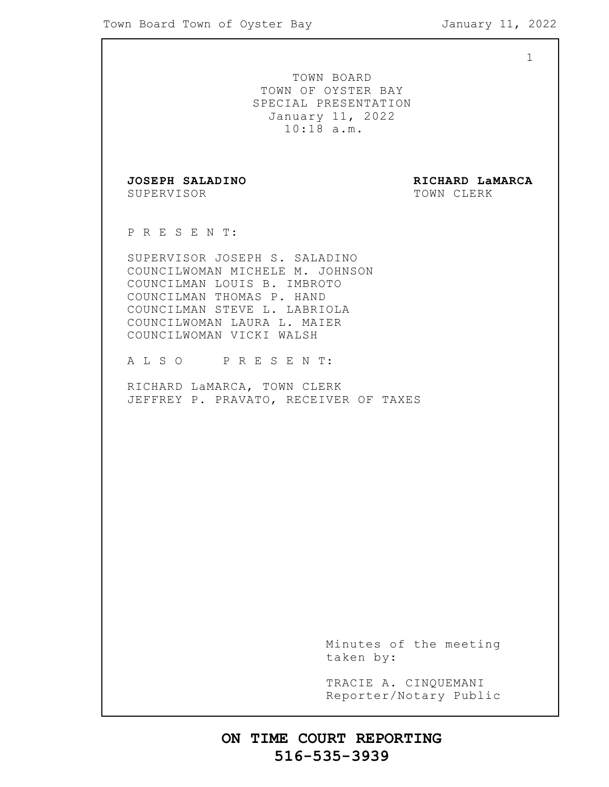1

TOWN BOARD TOWN OF OYSTER BAY SPECIAL PRESENTATION January 11, 2022 10:18 a.m. **JOSEPH SALADINO RICHARD LaMARCA** SUPERVISOR TOWN CLERK P R E S E N T: SUPERVISOR JOSEPH S. SALADINO COUNCILWOMAN MICHELE M. JOHNSON COUNCILMAN LOUIS B. IMBROTO COUNCILMAN THOMAS P. HAND COUNCILMAN STEVE L. LABRIOLA COUNCILWOMAN LAURA L. MAIER COUNCILWOMAN VICKI WALSH A L S O P R E S E N T: RICHARD LaMARCA, TOWN CLERK JEFFREY P. PRAVATO, RECEIVER OF TAXES

> Minutes of the meeting taken by:

> TRACIE A. CINQUEMANI Reporter/Notary Public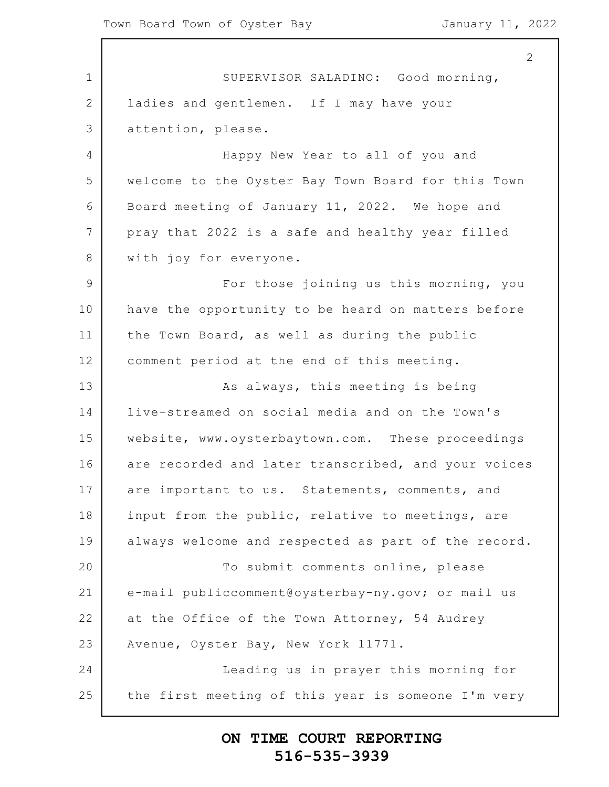1 2 3 4 5 6 7 8 9 10 11 12 13 14 15 16 17 18 19 20 21 22 23 24 25 2 SUPERVISOR SALADINO: Good morning, ladies and gentlemen. If I may have your attention, please. Happy New Year to all of you and welcome to the Oyster Bay Town Board for this Town Board meeting of January 11, 2022. We hope and pray that 2022 is a safe and healthy year filled with joy for everyone. For those joining us this morning, you have the opportunity to be heard on matters before the Town Board, as well as during the public comment period at the end of this meeting. As always, this meeting is being live-streamed on social media and on the Town's website, www.oysterbaytown.com. These proceedings are recorded and later transcribed, and your voices are important to us. Statements, comments, and input from the public, relative to meetings, are always welcome and respected as part of the record. To submit comments online, please e-mail publiccomment@oysterbay-ny.gov; or mail us at the Office of the Town Attorney, 54 Audrey Avenue, Oyster Bay, New York 11771. Leading us in prayer this morning for the first meeting of this year is someone I'm very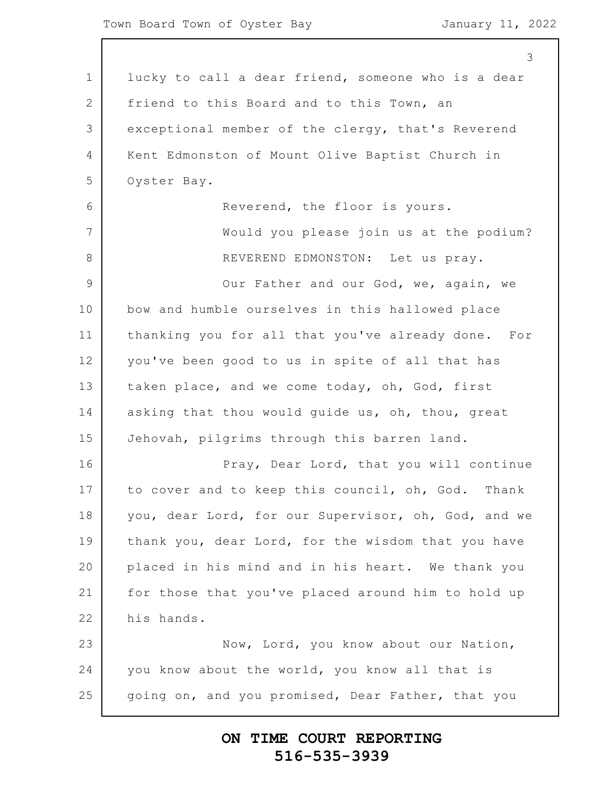|                | 3                                                   |
|----------------|-----------------------------------------------------|
| 1              | lucky to call a dear friend, someone who is a dear  |
| $\overline{2}$ | friend to this Board and to this Town, an           |
| 3              | exceptional member of the clergy, that's Reverend   |
| 4              | Kent Edmonston of Mount Olive Baptist Church in     |
| 5              | Oyster Bay.                                         |
| 6              | Reverend, the floor is yours.                       |
| 7              | Would you please join us at the podium?             |
| 8              | REVEREND EDMONSTON: Let us pray.                    |
| $\overline{9}$ | Our Father and our God, we, again, we               |
| 10             | bow and humble ourselves in this hallowed place     |
| 11             | thanking you for all that you've already done. For  |
| 12             | you've been good to us in spite of all that has     |
| 13             | taken place, and we come today, oh, God, first      |
| 14             | asking that thou would guide us, oh, thou, great    |
| 15             | Jehovah, pilgrims through this barren land.         |
| 16             | Pray, Dear Lord, that you will continue             |
| 17             | to cover and to keep this council, oh, God. Thank   |
| 18             | you, dear Lord, for our Supervisor, oh, God, and we |
| 19             | thank you, dear Lord, for the wisdom that you have  |
| 20             | placed in his mind and in his heart. We thank you   |
| 21             | for those that you've placed around him to hold up  |
| 22             | his hands.                                          |
| 23             | Now, Lord, you know about our Nation,               |
| 24             | you know about the world, you know all that is      |
| 25             | going on, and you promised, Dear Father, that you   |
|                |                                                     |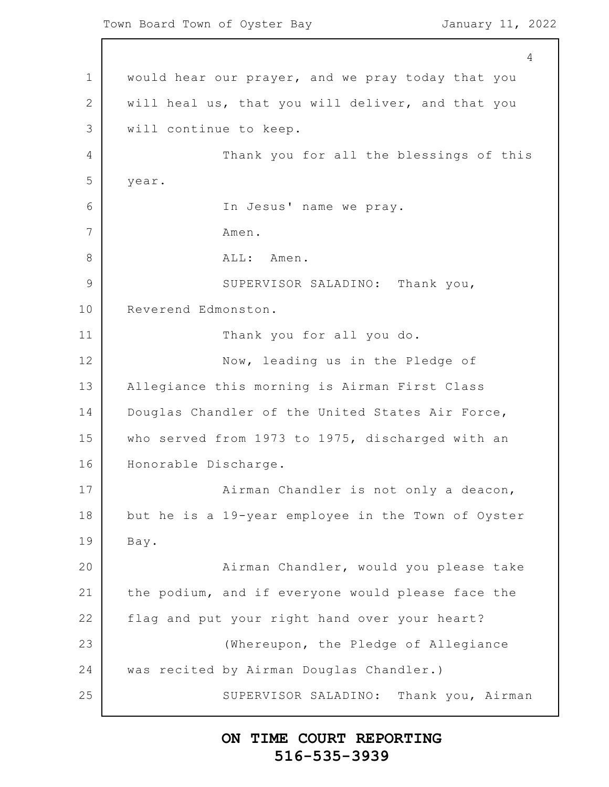1 2 3 4 5 6 7 8 9 10 11 12 13 14 15 16 17 18 19 20 21 22 23 24 25 4 would hear our prayer, and we pray today that you will heal us, that you will deliver, and that you will continue to keep. Thank you for all the blessings of this year. In Jesus' name we pray. Amen. ALL: Amen. SUPERVISOR SALADINO: Thank you, Reverend Edmonston. Thank you for all you do. Now, leading us in the Pledge of Allegiance this morning is Airman First Class Douglas Chandler of the United States Air Force, who served from 1973 to 1975, discharged with an Honorable Discharge. Airman Chandler is not only a deacon, but he is a 19-year employee in the Town of Oyster Bay. Airman Chandler, would you please take the podium, and if everyone would please face the flag and put your right hand over your heart? (Whereupon, the Pledge of Allegiance was recited by Airman Douglas Chandler.) SUPERVISOR SALADINO: Thank you, Airman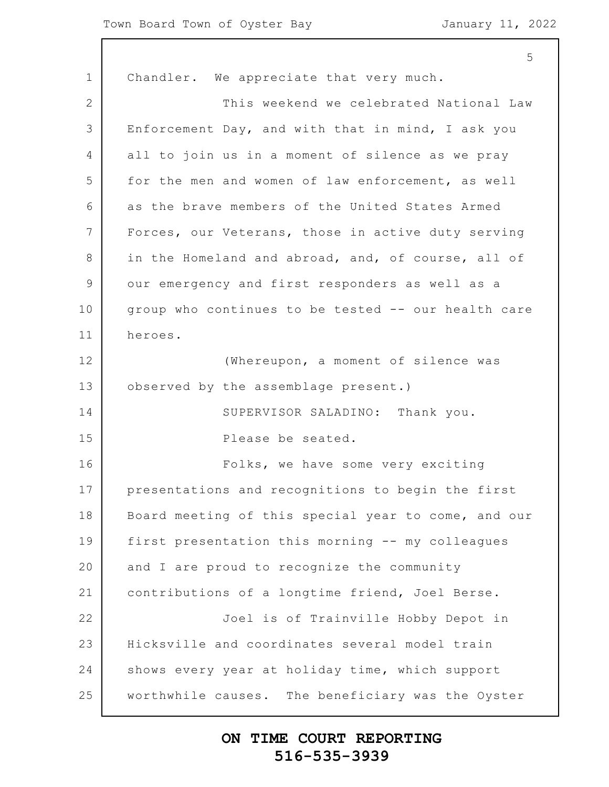1 2 3 4 5 6 7 8 9 10 11 12 13 14 15 16 17 18 19 20 21 22 23 24 25 Chandler. We appreciate that very much. This weekend we celebrated National Law Enforcement Day, and with that in mind, I ask you all to join us in a moment of silence as we pray for the men and women of law enforcement, as well as the brave members of the United States Armed Forces, our Veterans, those in active duty serving in the Homeland and abroad, and, of course, all of our emergency and first responders as well as a group who continues to be tested -- our health care heroes. (Whereupon, a moment of silence was observed by the assemblage present.) SUPERVISOR SALADINO: Thank you. Please be seated. Folks, we have some very exciting presentations and recognitions to begin the first Board meeting of this special year to come, and our first presentation this morning -- my colleagues and I are proud to recognize the community contributions of a longtime friend, Joel Berse. Joel is of Trainville Hobby Depot in Hicksville and coordinates several model train shows every year at holiday time, which support worthwhile causes. The beneficiary was the Oyster

#### **ON TIME COURT REPORTING 516-535-3939**

5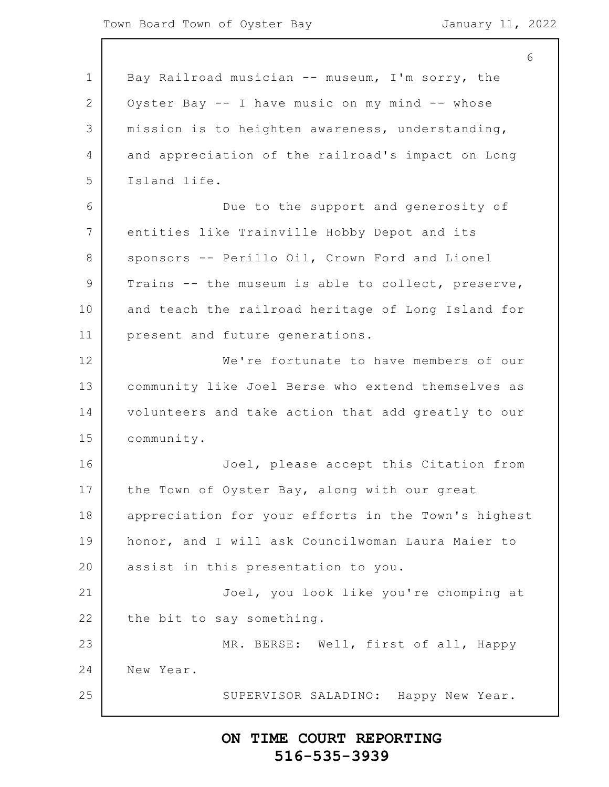1 2 3 4 5 6 7 8 9 10 11 12 13 14 15 16 17 18 19 20 21 22 23 24 25 6 Bay Railroad musician -- museum, I'm sorry, the Oyster Bay -- I have music on my mind -- whose mission is to heighten awareness, understanding, and appreciation of the railroad's impact on Long Island life. Due to the support and generosity of entities like Trainville Hobby Depot and its sponsors -- Perillo Oil, Crown Ford and Lionel Trains -- the museum is able to collect, preserve, and teach the railroad heritage of Long Island for present and future generations. We're fortunate to have members of our community like Joel Berse who extend themselves as volunteers and take action that add greatly to our community. Joel, please accept this Citation from the Town of Oyster Bay, along with our great appreciation for your efforts in the Town's highest honor, and I will ask Councilwoman Laura Maier to assist in this presentation to you. Joel, you look like you're chomping at the bit to say something. MR. BERSE: Well, first of all, Happy New Year. SUPERVISOR SALADINO: Happy New Year.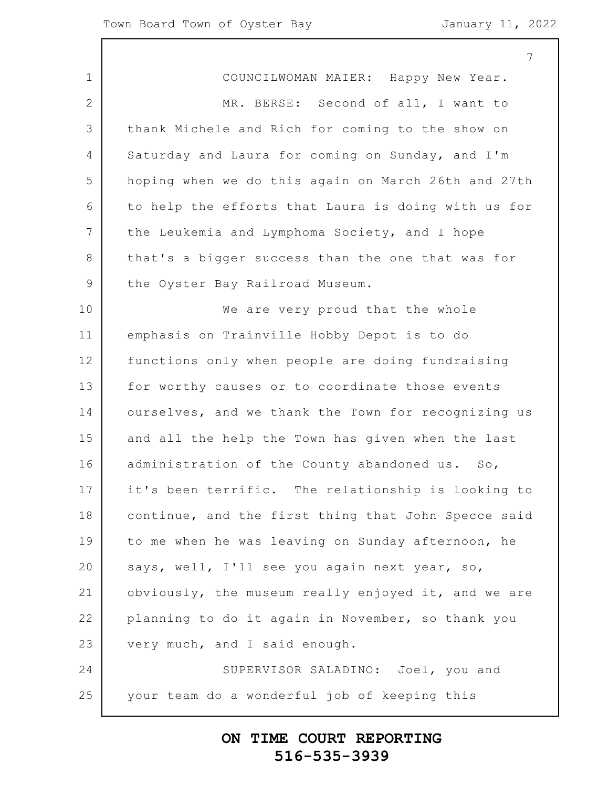|                 | 7                                                   |
|-----------------|-----------------------------------------------------|
| 1               | COUNCILWOMAN MAIER: Happy New Year.                 |
| $\overline{2}$  | MR. BERSE: Second of all, I want to                 |
| 3               | thank Michele and Rich for coming to the show on    |
| 4               | Saturday and Laura for coming on Sunday, and I'm    |
| 5               | hoping when we do this again on March 26th and 27th |
| 6               | to help the efforts that Laura is doing with us for |
| $7\phantom{.0}$ | the Leukemia and Lymphoma Society, and I hope       |
| 8               | that's a bigger success than the one that was for   |
| 9               | the Oyster Bay Railroad Museum.                     |
| 10              | We are very proud that the whole                    |
| 11              | emphasis on Trainville Hobby Depot is to do         |
| 12              | functions only when people are doing fundraising    |
| 13              | for worthy causes or to coordinate those events     |
| 14              | ourselves, and we thank the Town for recognizing us |
| 15              | and all the help the Town has given when the last   |
| 16              | administration of the County abandoned us. So,      |
| 17              | it's been terrific. The relationship is looking to  |
| 18              | continue, and the first thing that John Specce said |
| 19              | to me when he was leaving on Sunday afternoon, he   |
| 20              | says, well, I'll see you again next year, so,       |
| 21              | obviously, the museum really enjoyed it, and we are |
| 22              | planning to do it again in November, so thank you   |
| 23              | very much, and I said enough.                       |
| 24              | SUPERVISOR SALADINO: Joel, you and                  |
| 25              | your team do a wonderful job of keeping this        |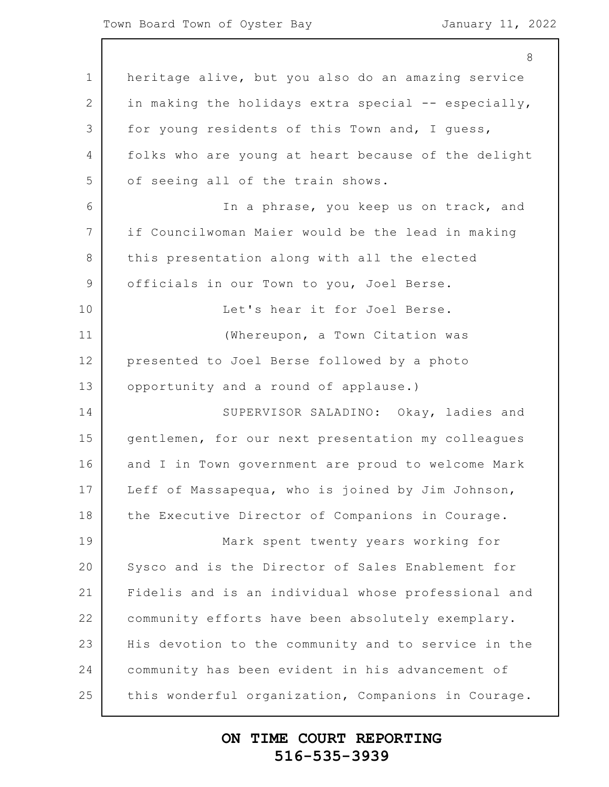1 2 3 4 5 6 7 8 9 10 11 12 13 14 15 16 17 18 19 20 21 22 23 24 25 8 heritage alive, but you also do an amazing service in making the holidays extra special -- especially, for young residents of this Town and, I guess, folks who are young at heart because of the delight of seeing all of the train shows. In a phrase, you keep us on track, and if Councilwoman Maier would be the lead in making this presentation along with all the elected officials in our Town to you, Joel Berse. Let's hear it for Joel Berse. (Whereupon, a Town Citation was presented to Joel Berse followed by a photo opportunity and a round of applause.) SUPERVISOR SALADINO: Okay, ladies and gentlemen, for our next presentation my colleagues and I in Town government are proud to welcome Mark Leff of Massapequa, who is joined by Jim Johnson, the Executive Director of Companions in Courage. Mark spent twenty years working for Sysco and is the Director of Sales Enablement for Fidelis and is an individual whose professional and community efforts have been absolutely exemplary. His devotion to the community and to service in the community has been evident in his advancement of this wonderful organization, Companions in Courage.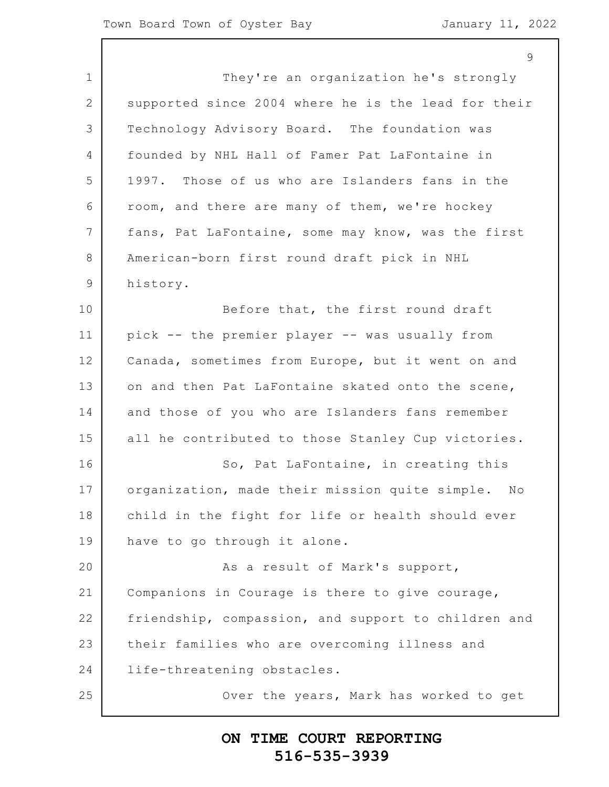$\mathsf{Q}$ 

1 2 3 4 5 6 7 8 9 10 11 12 13 14 15 16 17 18 19 20 21 22 23 24 25 They're an organization he's strongly supported since 2004 where he is the lead for their Technology Advisory Board. The foundation was founded by NHL Hall of Famer Pat LaFontaine in 1997. Those of us who are Islanders fans in the room, and there are many of them, we're hockey fans, Pat LaFontaine, some may know, was the first American-born first round draft pick in NHL history. Before that, the first round draft pick -- the premier player -- was usually from Canada, sometimes from Europe, but it went on and on and then Pat LaFontaine skated onto the scene, and those of you who are Islanders fans remember all he contributed to those Stanley Cup victories. So, Pat LaFontaine, in creating this organization, made their mission quite simple. No child in the fight for life or health should ever have to go through it alone. As a result of Mark's support, Companions in Courage is there to give courage, friendship, compassion, and support to children and their families who are overcoming illness and life-threatening obstacles. Over the years, Mark has worked to get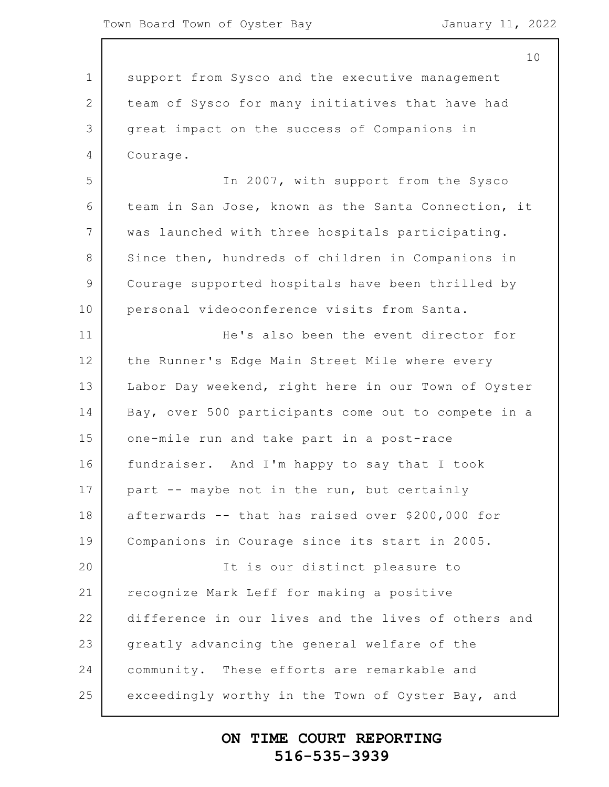1 2 3 4 5 6 7 8 9 10 11 12 13 14 15 16 17 18 19 20 21 22 23 24 25 10 support from Sysco and the executive management team of Sysco for many initiatives that have had great impact on the success of Companions in Courage. In 2007, with support from the Sysco team in San Jose, known as the Santa Connection, it was launched with three hospitals participating. Since then, hundreds of children in Companions in Courage supported hospitals have been thrilled by personal videoconference visits from Santa. He's also been the event director for the Runner's Edge Main Street Mile where every Labor Day weekend, right here in our Town of Oyster Bay, over 500 participants come out to compete in a one-mile run and take part in a post-race fundraiser. And I'm happy to say that I took part -- maybe not in the run, but certainly afterwards -- that has raised over \$200,000 for Companions in Courage since its start in 2005. It is our distinct pleasure to recognize Mark Leff for making a positive difference in our lives and the lives of others and greatly advancing the general welfare of the community. These efforts are remarkable and exceedingly worthy in the Town of Oyster Bay, and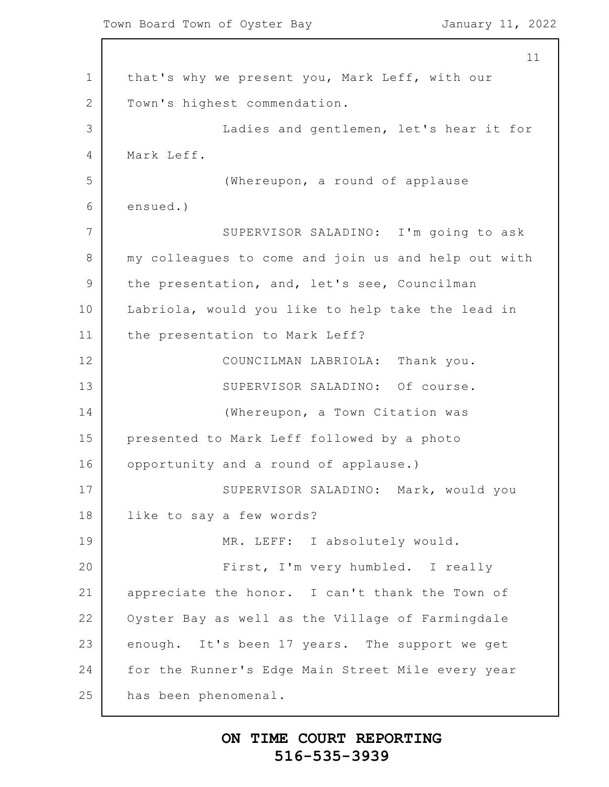1 2 3 4 5 6 7 8 9 10 11 12 13 14 15 16 17 18 19 20 21 22 23 24 25 11 that's why we present you, Mark Leff, with our Town's highest commendation. Ladies and gentlemen, let's hear it for Mark Leff. (Whereupon, a round of applause ensued.) SUPERVISOR SALADINO: I'm going to ask my colleagues to come and join us and help out with the presentation, and, let's see, Councilman Labriola, would you like to help take the lead in the presentation to Mark Leff? COUNCILMAN LABRIOLA: Thank you. SUPERVISOR SALADINO: Of course. (Whereupon, a Town Citation was presented to Mark Leff followed by a photo opportunity and a round of applause.) SUPERVISOR SALADINO: Mark, would you like to say a few words? MR. LEFF: I absolutely would. First, I'm very humbled. I really appreciate the honor. I can't thank the Town of Oyster Bay as well as the Village of Farmingdale enough. It's been 17 years. The support we get for the Runner's Edge Main Street Mile every year has been phenomenal.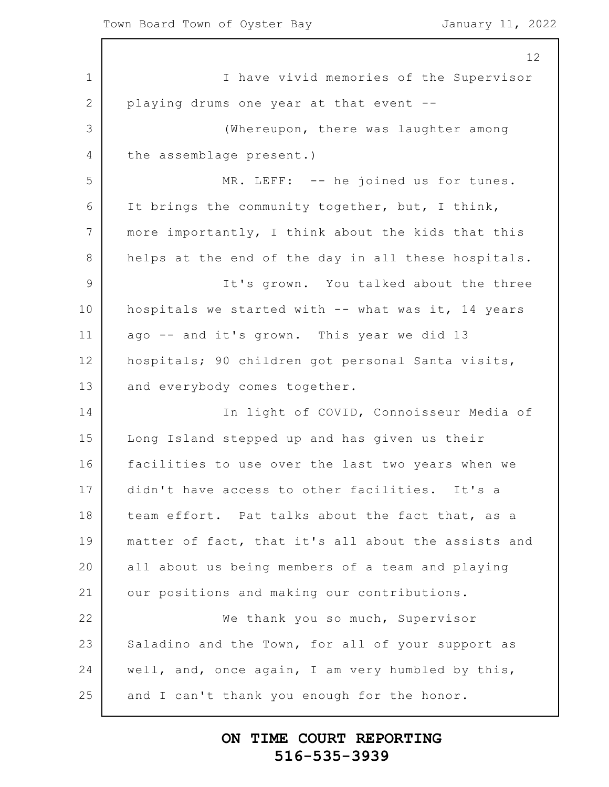1 2 3 4 5 6 7 8 9 10 11 12 13 14 15 16 17 18 19 20 21 22 23 24 25 12 I have vivid memories of the Supervisor playing drums one year at that event -- (Whereupon, there was laughter among the assemblage present.) MR. LEFF: -- he joined us for tunes. It brings the community together, but, I think, more importantly, I think about the kids that this helps at the end of the day in all these hospitals. It's grown. You talked about the three hospitals we started with -- what was it, 14 years ago -- and it's grown. This year we did 13 hospitals; 90 children got personal Santa visits, and everybody comes together. In light of COVID, Connoisseur Media of Long Island stepped up and has given us their facilities to use over the last two years when we didn't have access to other facilities. It's a team effort. Pat talks about the fact that, as a matter of fact, that it's all about the assists and all about us being members of a team and playing our positions and making our contributions. We thank you so much, Supervisor Saladino and the Town, for all of your support as well, and, once again, I am very humbled by this, and I can't thank you enough for the honor.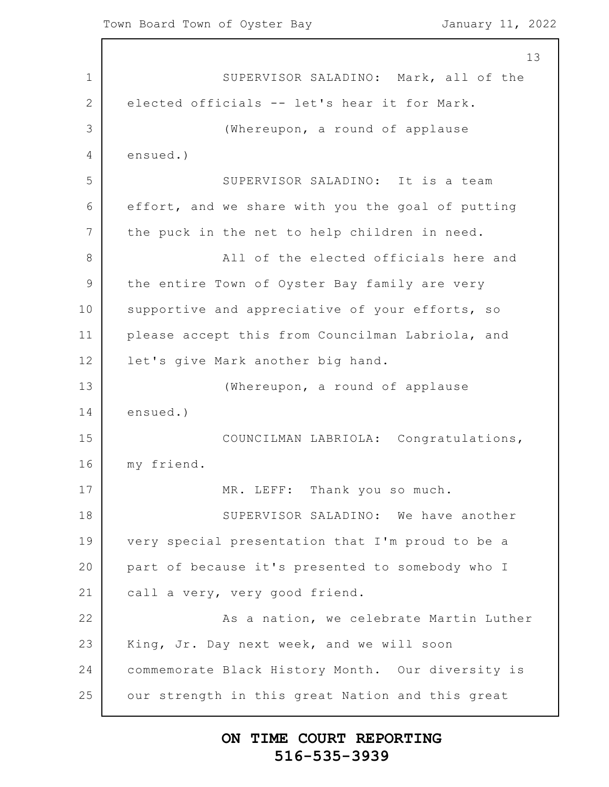1 2 3 4 5 6 7 8 9 10 11 12 13 14 15 16 17 18 19 20 21 22 23 24 25 13 SUPERVISOR SALADINO: Mark, all of the elected officials -- let's hear it for Mark. (Whereupon, a round of applause ensued.) SUPERVISOR SALADINO: It is a team effort, and we share with you the goal of putting the puck in the net to help children in need. All of the elected officials here and the entire Town of Oyster Bay family are very supportive and appreciative of your efforts, so please accept this from Councilman Labriola, and let's give Mark another big hand. (Whereupon, a round of applause ensued.) COUNCILMAN LABRIOLA: Congratulations, my friend. MR. LEFF: Thank you so much. SUPERVISOR SALADINO: We have another very special presentation that I'm proud to be a part of because it's presented to somebody who I call a very, very good friend. As a nation, we celebrate Martin Luther King, Jr. Day next week, and we will soon commemorate Black History Month. Our diversity is our strength in this great Nation and this great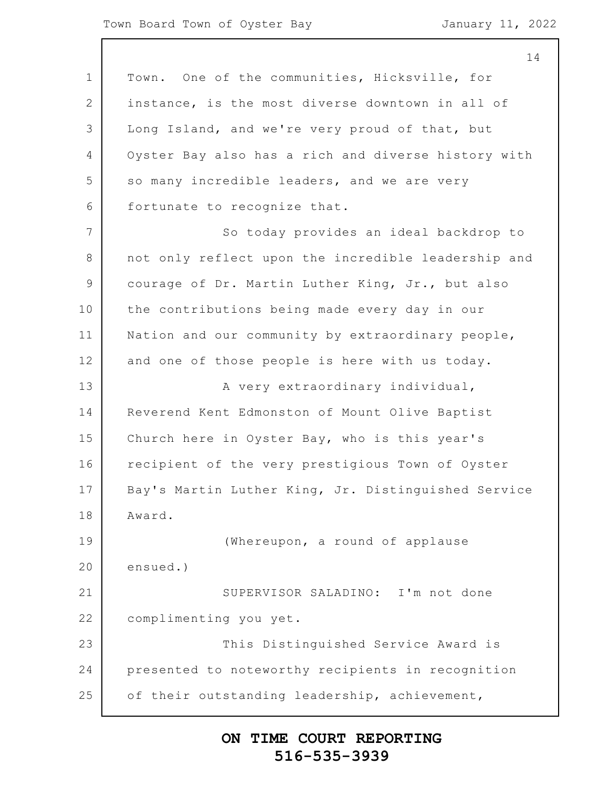1 2 3 4 5 6 7 8 9 10 11 12 13 14 15 16 17 18 19 20 21 22 23 24 25 Town. One of the communities, Hicksville, for instance, is the most diverse downtown in all of Long Island, and we're very proud of that, but Oyster Bay also has a rich and diverse history with so many incredible leaders, and we are very fortunate to recognize that. So today provides an ideal backdrop to not only reflect upon the incredible leadership and courage of Dr. Martin Luther King, Jr., but also the contributions being made every day in our Nation and our community by extraordinary people, and one of those people is here with us today. A very extraordinary individual, Reverend Kent Edmonston of Mount Olive Baptist Church here in Oyster Bay, who is this year's recipient of the very prestigious Town of Oyster Bay's Martin Luther King, Jr. Distinguished Service Award. (Whereupon, a round of applause ensued.) SUPERVISOR SALADINO: I'm not done complimenting you yet. This Distinguished Service Award is presented to noteworthy recipients in recognition of their outstanding leadership, achievement,

#### **ON TIME COURT REPORTING 516-535-3939**

14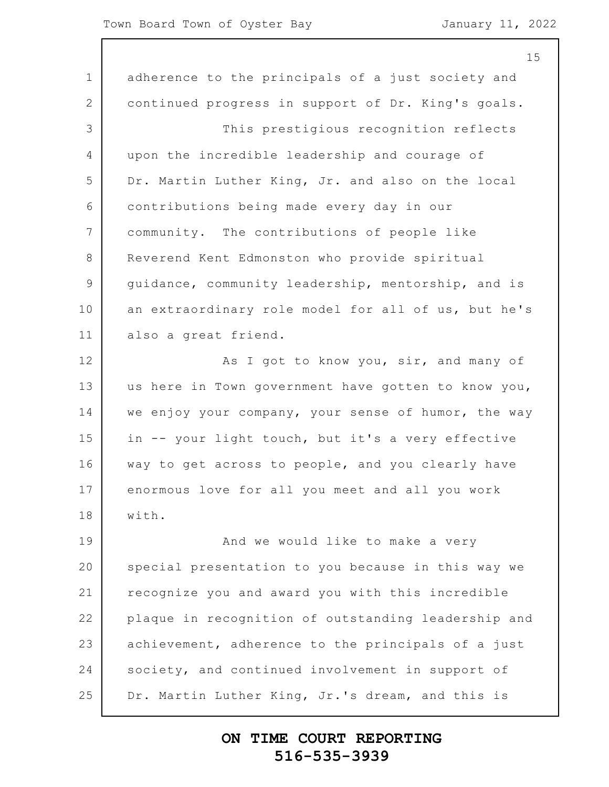1 2 3 4 5 6 7 8 9 10 11 12 13 14 15 16 17 18 19 20 21 22 23 24 25 15 adherence to the principals of a just society and continued progress in support of Dr. King's goals. This prestigious recognition reflects upon the incredible leadership and courage of Dr. Martin Luther King, Jr. and also on the local contributions being made every day in our community. The contributions of people like Reverend Kent Edmonston who provide spiritual guidance, community leadership, mentorship, and is an extraordinary role model for all of us, but he's also a great friend. As I got to know you, sir, and many of us here in Town government have gotten to know you, we enjoy your company, your sense of humor, the way in -- your light touch, but it's a very effective way to get across to people, and you clearly have enormous love for all you meet and all you work with. And we would like to make a very special presentation to you because in this way we recognize you and award you with this incredible plaque in recognition of outstanding leadership and achievement, adherence to the principals of a just society, and continued involvement in support of Dr. Martin Luther King, Jr.'s dream, and this is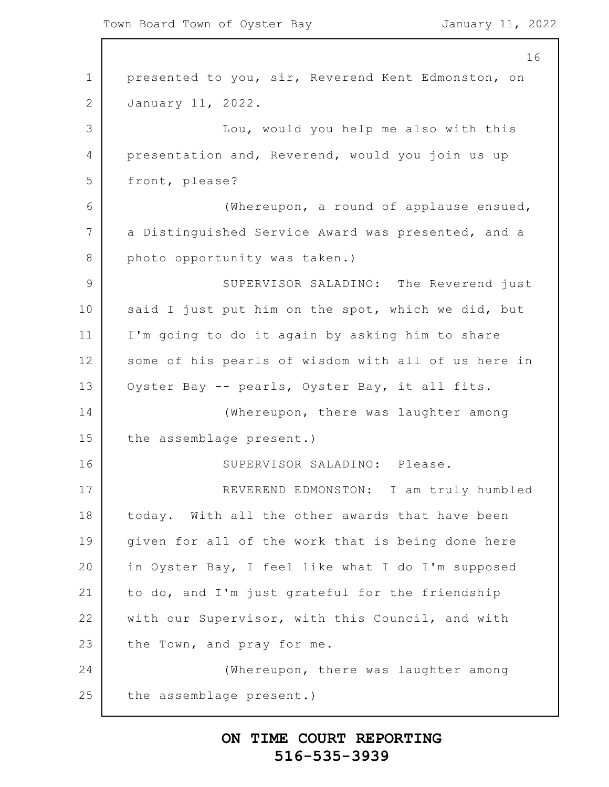1 2 3 4 5 6 7 8 9 10 11 12 13 14 15 16 17 18 19 20 21 22 23 24 25 16 presented to you, sir, Reverend Kent Edmonston, on January 11, 2022. Lou, would you help me also with this presentation and, Reverend, would you join us up front, please? (Whereupon, a round of applause ensued, a Distinguished Service Award was presented, and a photo opportunity was taken.) SUPERVISOR SALADINO: The Reverend just said I just put him on the spot, which we did, but I'm going to do it again by asking him to share some of his pearls of wisdom with all of us here in Oyster Bay -- pearls, Oyster Bay, it all fits. (Whereupon, there was laughter among the assemblage present.) SUPERVISOR SALADINO: Please. REVEREND EDMONSTON: I am truly humbled today. With all the other awards that have been given for all of the work that is being done here in Oyster Bay, I feel like what I do I'm supposed to do, and I'm just grateful for the friendship with our Supervisor, with this Council, and with the Town, and pray for me. (Whereupon, there was laughter among the assemblage present.)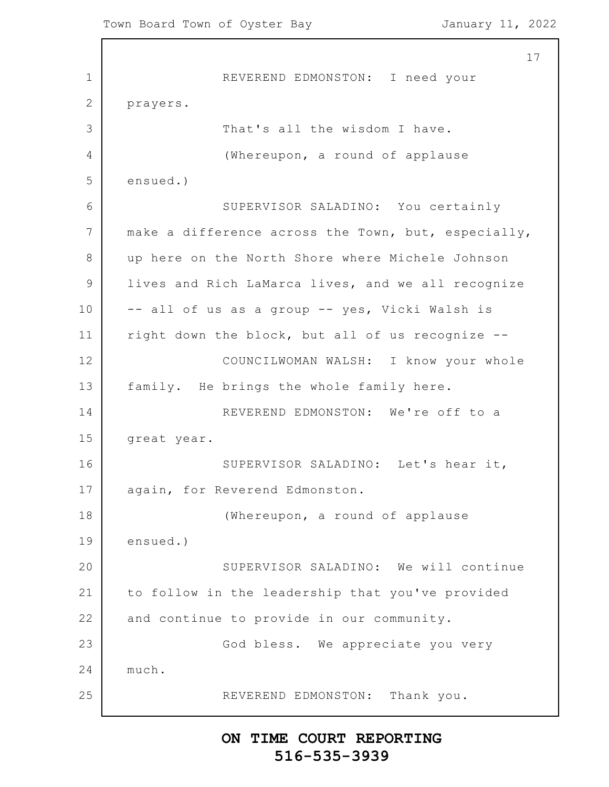1 2 3 4 5 6 7 8 9 10 11 12 13 14 15 16 17 18 19 20 21 22 23 24 25 17 REVEREND EDMONSTON: I need your prayers. That's all the wisdom I have. (Whereupon, a round of applause ensued.) SUPERVISOR SALADINO: You certainly make a difference across the Town, but, especially, up here on the North Shore where Michele Johnson lives and Rich LaMarca lives, and we all recognize -- all of us as a group -- yes, Vicki Walsh is right down the block, but all of us recognize -- COUNCILWOMAN WALSH: I know your whole family. He brings the whole family here. REVEREND EDMONSTON: We're off to a great year. SUPERVISOR SALADINO: Let's hear it, again, for Reverend Edmonston. (Whereupon, a round of applause ensued.) SUPERVISOR SALADINO: We will continue to follow in the leadership that you've provided and continue to provide in our community. God bless. We appreciate you very much. REVEREND EDMONSTON: Thank you.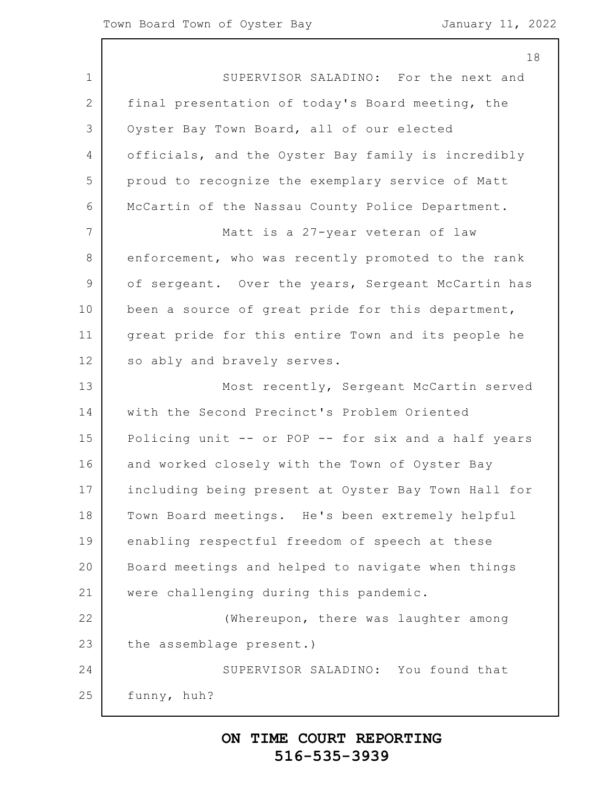| 18                                                  |
|-----------------------------------------------------|
| SUPERVISOR SALADINO: For the next and               |
| final presentation of today's Board meeting, the    |
| Oyster Bay Town Board, all of our elected           |
| officials, and the Oyster Bay family is incredibly  |
| proud to recognize the exemplary service of Matt    |
| McCartin of the Nassau County Police Department.    |
| Matt is a 27-year veteran of law                    |
| enforcement, who was recently promoted to the rank  |
| of sergeant. Over the years, Sergeant McCartin has  |
| been a source of great pride for this department,   |
| great pride for this entire Town and its people he  |
| so ably and bravely serves.                         |
| Most recently, Sergeant McCartin served             |
| with the Second Precinct's Problem Oriented         |
| Policing unit -- or POP -- for six and a half years |
| and worked closely with the Town of Oyster Bay      |
| including being present at Oyster Bay Town Hall for |
| Town Board meetings. He's been extremely helpful    |
| enabling respectful freedom of speech at these      |
| Board meetings and helped to navigate when things   |
| were challenging during this pandemic.              |
| (Whereupon, there was laughter among                |
| the assemblage present.)                            |
| SUPERVISOR SALADINO: You found that                 |
| funny, huh?                                         |
|                                                     |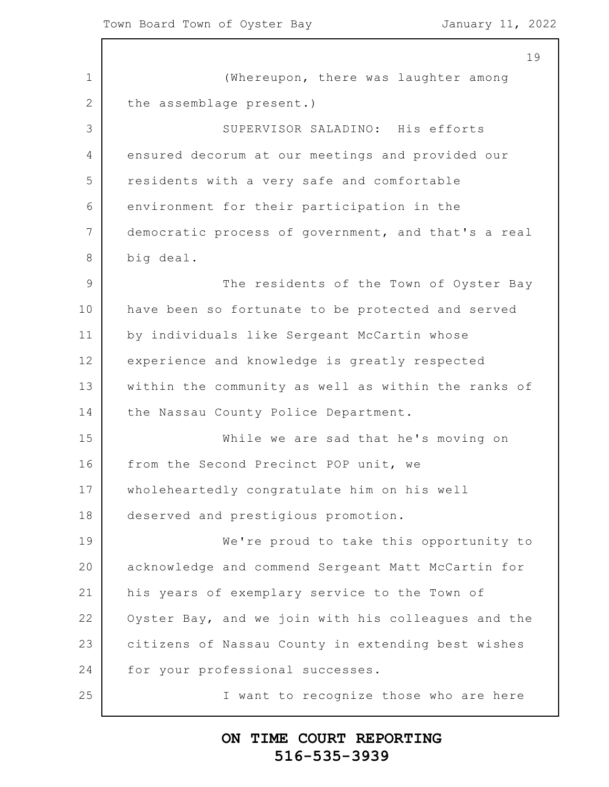|                | 19                                                  |
|----------------|-----------------------------------------------------|
| 1              | (Whereupon, there was laughter among                |
| 2              | the assemblage present.)                            |
| 3              | SUPERVISOR SALADINO: His efforts                    |
| 4              | ensured decorum at our meetings and provided our    |
| 5              | residents with a very safe and comfortable          |
| 6              | environment for their participation in the          |
| 7              | democratic process of government, and that's a real |
| 8              | big deal.                                           |
| $\overline{9}$ | The residents of the Town of Oyster Bay             |
| 10             | have been so fortunate to be protected and served   |
| 11             | by individuals like Sergeant McCartin whose         |
| 12             | experience and knowledge is greatly respected       |
| 13             | within the community as well as within the ranks of |
| 14             | the Nassau County Police Department.                |
| 15             | While we are sad that he's moving on                |
| 16             | from the Second Precinct POP unit, we               |
| 17             | wholeheartedly congratulate him on his well         |
| 18             | deserved and prestigious promotion.                 |
| 19             | We're proud to take this opportunity to             |
| 20             | acknowledge and commend Sergeant Matt McCartin for  |
| 21             | his years of exemplary service to the Town of       |
| 22             | Oyster Bay, and we join with his colleagues and the |
| 23             | citizens of Nassau County in extending best wishes  |
| 24             | for your professional successes.                    |
| 25             | I want to recognize those who are here              |
|                |                                                     |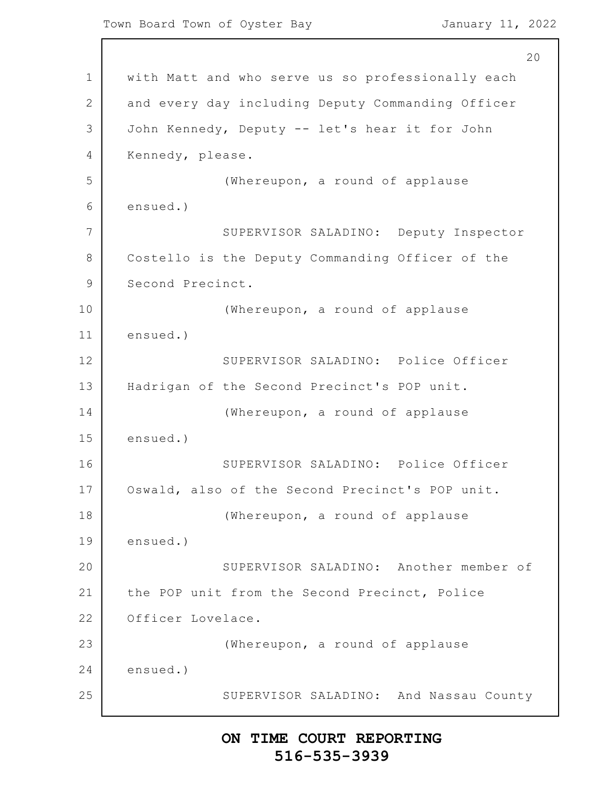```
1
2
3
4
5
6
7
8
9
10
11
12
13
14
15
16
17
18
19
20
21
22
23
24
25
                                                          20with Matt and who serve us so professionally each
      and every day including Deputy Commanding Officer
      John Kennedy, Deputy -- let's hear it for John
      Kennedy, please.
                   (Whereupon, a round of applause
      ensued.)
                  SUPERVISOR SALADINO: Deputy Inspector
      Costello is the Deputy Commanding Officer of the
      Second Precinct.
                   (Whereupon, a round of applause
      ensued.)
                  SUPERVISOR SALADINO: Police Officer
      Hadrigan of the Second Precinct's POP unit.
                   (Whereupon, a round of applause
      ensued.)
                  SUPERVISOR SALADINO: Police Officer
      Oswald, also of the Second Precinct's POP unit.
                   (Whereupon, a round of applause
      ensued.)
                  SUPERVISOR SALADINO: Another member of
      the POP unit from the Second Precinct, Police
      Officer Lovelace.
                   (Whereupon, a round of applause
      ensued.)
                  SUPERVISOR SALADINO: And Nassau County
```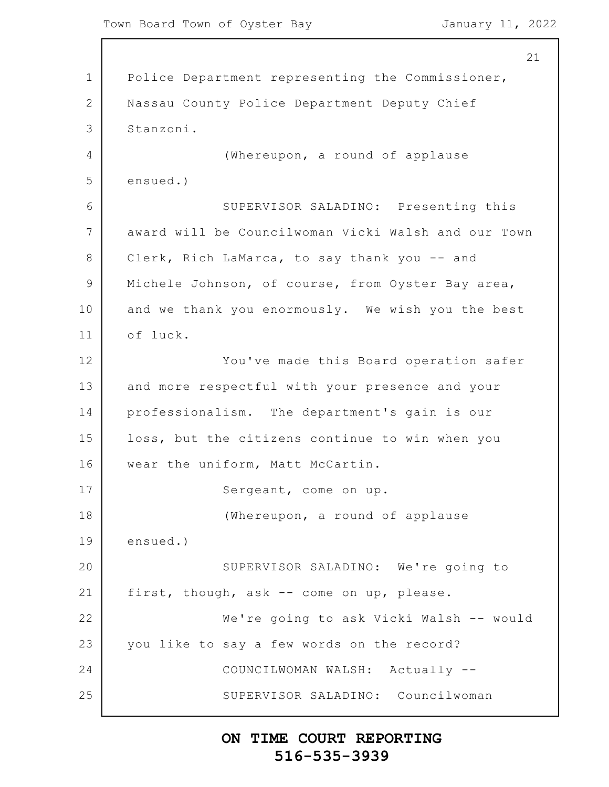1 2 3 4 5 6 7 8 9 10 11 12 13 14 15 16 17 18 19 20 21 22 23 24 25 21 Police Department representing the Commissioner, Nassau County Police Department Deputy Chief Stanzoni. (Whereupon, a round of applause ensued.) SUPERVISOR SALADINO: Presenting this award will be Councilwoman Vicki Walsh and our Town Clerk, Rich LaMarca, to say thank you -- and Michele Johnson, of course, from Oyster Bay area, and we thank you enormously. We wish you the best of luck. You've made this Board operation safer and more respectful with your presence and your professionalism. The department's gain is our loss, but the citizens continue to win when you wear the uniform, Matt McCartin. Sergeant, come on up. (Whereupon, a round of applause ensued.) SUPERVISOR SALADINO: We're going to first, though, ask -- come on up, please. We're going to ask Vicki Walsh -- would you like to say a few words on the record? COUNCILWOMAN WALSH: Actually -- SUPERVISOR SALADINO: Councilwoman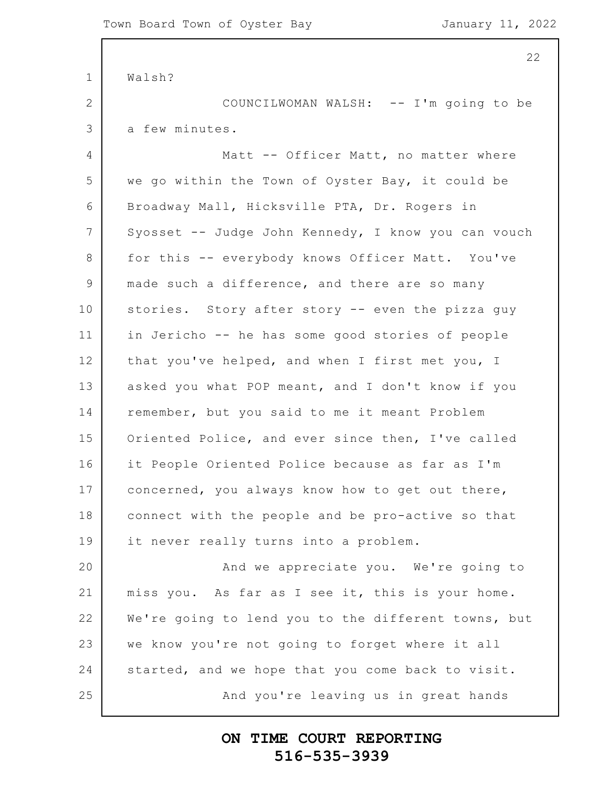1 2 3 4 5 6 7 8 9 10 11 12 13 14 15 16 17 18 19 20 21 22 23 24 25 Walsh? COUNCILWOMAN WALSH: -- I'm going to be a few minutes. Matt -- Officer Matt, no matter where we go within the Town of Oyster Bay, it could be Broadway Mall, Hicksville PTA, Dr. Rogers in Syosset -- Judge John Kennedy, I know you can vouch for this -- everybody knows Officer Matt. You've made such a difference, and there are so many stories. Story after story -- even the pizza guy in Jericho -- he has some good stories of people that you've helped, and when I first met you, I asked you what POP meant, and I don't know if you remember, but you said to me it meant Problem Oriented Police, and ever since then, I've called it People Oriented Police because as far as I'm concerned, you always know how to get out there, connect with the people and be pro-active so that it never really turns into a problem. And we appreciate you. We're going to miss you. As far as I see it, this is your home. We're going to lend you to the different towns, but we know you're not going to forget where it all started, and we hope that you come back to visit. And you're leaving us in great hands

#### **ON TIME COURT REPORTING 516-535-3939**

22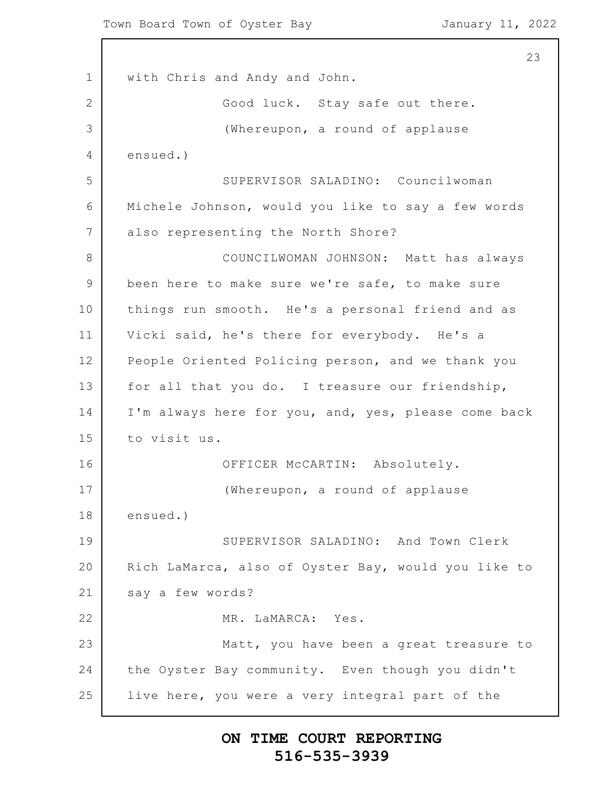1 2 3 4 5 6 7 8 9 10 11 12 13 14 15 16 17 18 19 20 21 22 23 24 25 23 with Chris and Andy and John. Good luck. Stay safe out there. (Whereupon, a round of applause ensued.) SUPERVISOR SALADINO: Councilwoman Michele Johnson, would you like to say a few words also representing the North Shore? COUNCILWOMAN JOHNSON: Matt has always been here to make sure we're safe, to make sure things run smooth. He's a personal friend and as Vicki said, he's there for everybody. He's a People Oriented Policing person, and we thank you for all that you do. I treasure our friendship, I'm always here for you, and, yes, please come back to visit us. OFFICER McCARTIN: Absolutely. (Whereupon, a round of applause ensued.) SUPERVISOR SALADINO: And Town Clerk Rich LaMarca, also of Oyster Bay, would you like to say a few words? MR. LaMARCA: Yes. Matt, you have been a great treasure to the Oyster Bay community. Even though you didn't live here, you were a very integral part of the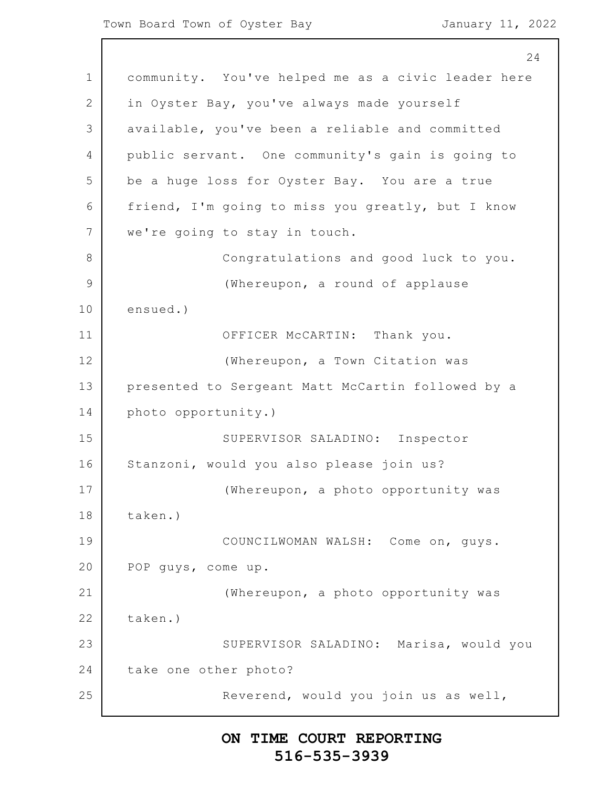24

1 2 3 4 5 6 7 8 9 10 11 12 13 14 15 16 17 18 19 20 21 22 23 24 25 community. You've helped me as a civic leader here in Oyster Bay, you've always made yourself available, you've been a reliable and committed public servant. One community's gain is going to be a huge loss for Oyster Bay. You are a true friend, I'm going to miss you greatly, but I know we're going to stay in touch. Congratulations and good luck to you. (Whereupon, a round of applause ensued.) OFFICER McCARTIN: Thank you. (Whereupon, a Town Citation was presented to Sergeant Matt McCartin followed by a photo opportunity.) SUPERVISOR SALADINO: Inspector Stanzoni, would you also please join us? (Whereupon, a photo opportunity was taken.) COUNCILWOMAN WALSH: Come on, guys. POP guys, come up. (Whereupon, a photo opportunity was taken.) SUPERVISOR SALADINO: Marisa, would you take one other photo? Reverend, would you join us as well,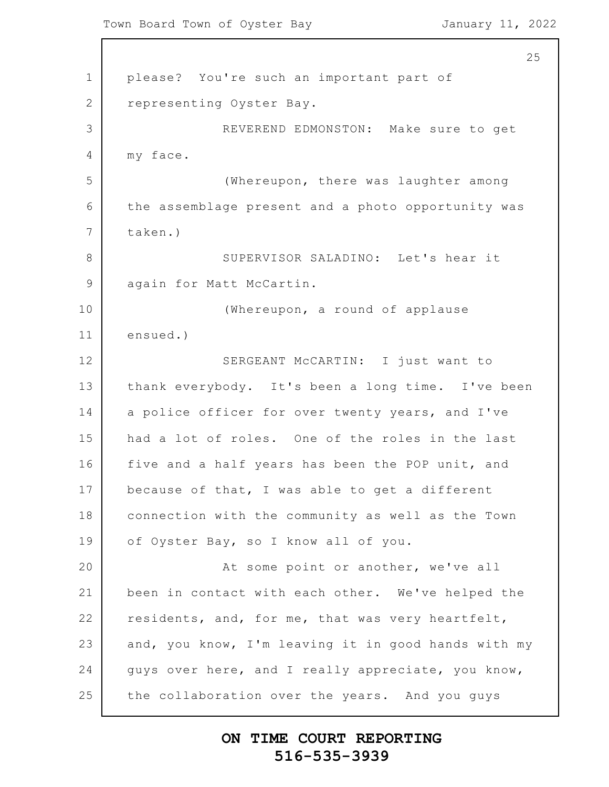Town Board Town of Oyster Bay January 11, 2022

Г

|                 | 25                                                  |
|-----------------|-----------------------------------------------------|
| $\mathbf 1$     | please? You're such an important part of            |
| $\mathbf{2}$    | representing Oyster Bay.                            |
| 3               | REVEREND EDMONSTON: Make sure to get                |
| 4               | my face.                                            |
| 5               | (Whereupon, there was laughter among                |
| 6               | the assemblage present and a photo opportunity was  |
| $7\phantom{.0}$ | taken.)                                             |
| 8               | SUPERVISOR SALADINO: Let's hear it                  |
| $\mathcal{G}$   | again for Matt McCartin.                            |
| 10              | (Whereupon, a round of applause                     |
| 11              | ensued.)                                            |
| 12              | SERGEANT MCCARTIN: I just want to                   |
| 13              | thank everybody. It's been a long time. I've been   |
| 14              | a police officer for over twenty years, and I've    |
| 15              | had a lot of roles. One of the roles in the last    |
| 16              | five and a half years has been the POP unit, and    |
| 17              | because of that, I was able to get a different      |
| 18              | connection with the community as well as the Town   |
| 19              | of Oyster Bay, so I know all of you.                |
| 20              | At some point or another, we've all                 |
| 21              | been in contact with each other. We've helped the   |
| 22              | residents, and, for me, that was very heartfelt,    |
| 23              | and, you know, I'm leaving it in good hands with my |
| 24              | guys over here, and I really appreciate, you know,  |
| 25              | the collaboration over the years. And you guys      |
|                 |                                                     |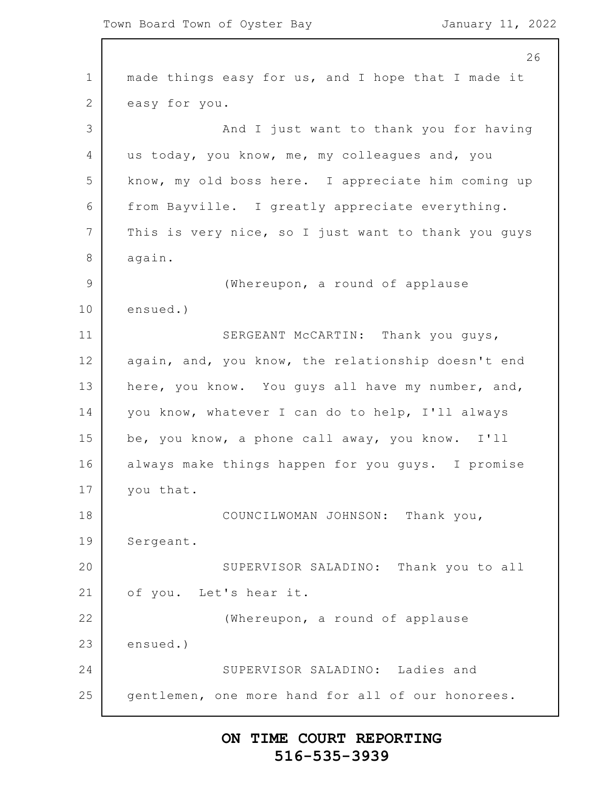1 2 3 4 5 6 7 8 9 10 11 12 13 14 15 16 17 18 19 20 21 22 23 24 25 26 made things easy for us, and I hope that I made it easy for you. And I just want to thank you for having us today, you know, me, my colleagues and, you know, my old boss here. I appreciate him coming up from Bayville. I greatly appreciate everything. This is very nice, so I just want to thank you guys again. (Whereupon, a round of applause ensued.) SERGEANT McCARTIN: Thank you guys, again, and, you know, the relationship doesn't end here, you know. You guys all have my number, and, you know, whatever I can do to help, I'll always be, you know, a phone call away, you know. I'll always make things happen for you guys. I promise you that. COUNCILWOMAN JOHNSON: Thank you, Sergeant. SUPERVISOR SALADINO: Thank you to all of you. Let's hear it. (Whereupon, a round of applause ensued.) SUPERVISOR SALADINO: Ladies and gentlemen, one more hand for all of our honorees.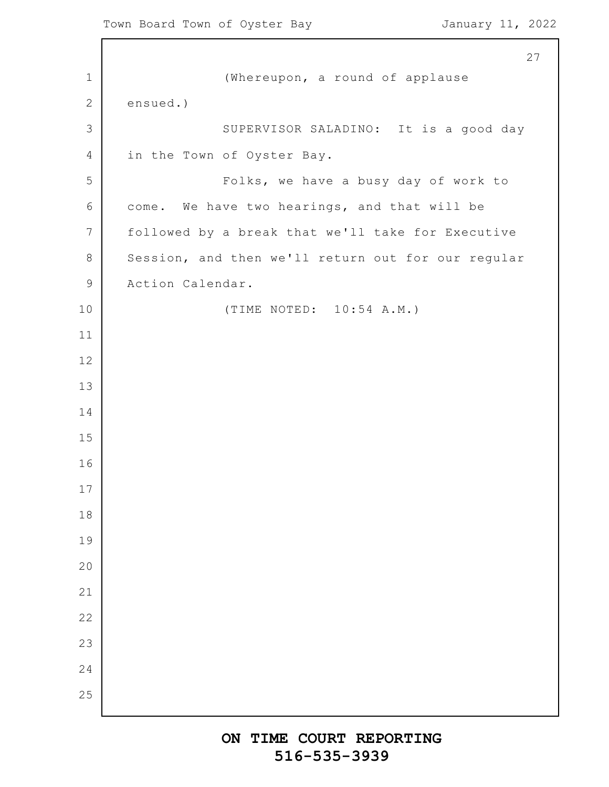(Whereupon, a round of applause ensued.) SUPERVISOR SALADINO: It is a good day in the Town of Oyster Bay. Folks, we have a busy day of work to come. We have two hearings, and that will be followed by a break that we'll take for Executive Session, and then we'll return out for our regular Action Calendar. (TIME NOTED: 10:54 A.M.)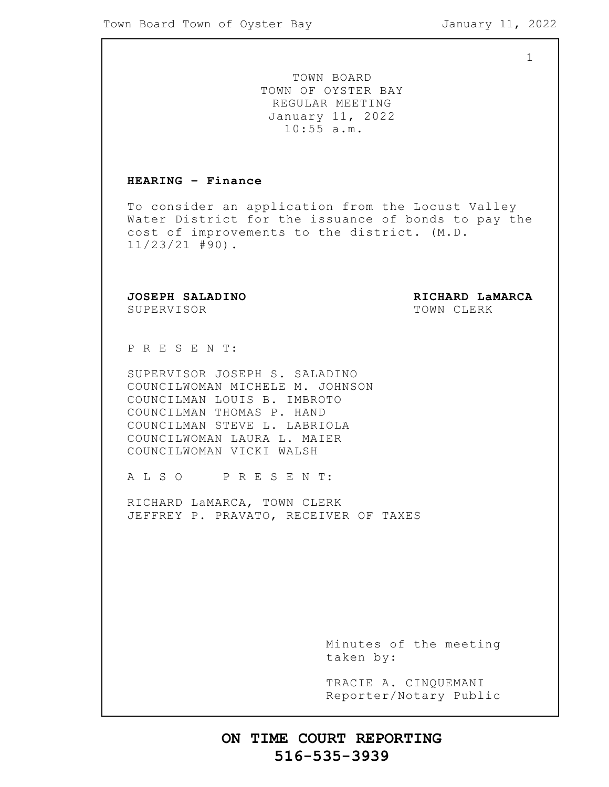1

TOWN BOARD TOWN OF OYSTER BAY REGULAR MEETING January 11, 2022 10:55 a.m.

#### **HEARING – Finance**

To consider an application from the Locust Valley Water District for the issuance of bonds to pay the cost of improvements to the district. (M.D. 11/23/21 #90).

SUPERVISOR TOWN CLERK

**JOSEPH SALADINO RICHARD LaMARCA**

P R E S E N T:

SUPERVISOR JOSEPH S. SALADINO COUNCILWOMAN MICHELE M. JOHNSON COUNCILMAN LOUIS B. IMBROTO COUNCILMAN THOMAS P. HAND COUNCILMAN STEVE L. LABRIOLA COUNCILWOMAN LAURA L. MAIER COUNCILWOMAN VICKI WALSH

A L S O P R E S E N T:

RICHARD LaMARCA, TOWN CLERK JEFFREY P. PRAVATO, RECEIVER OF TAXES

> Minutes of the meeting taken by:

> TRACIE A. CINQUEMANI Reporter/Notary Public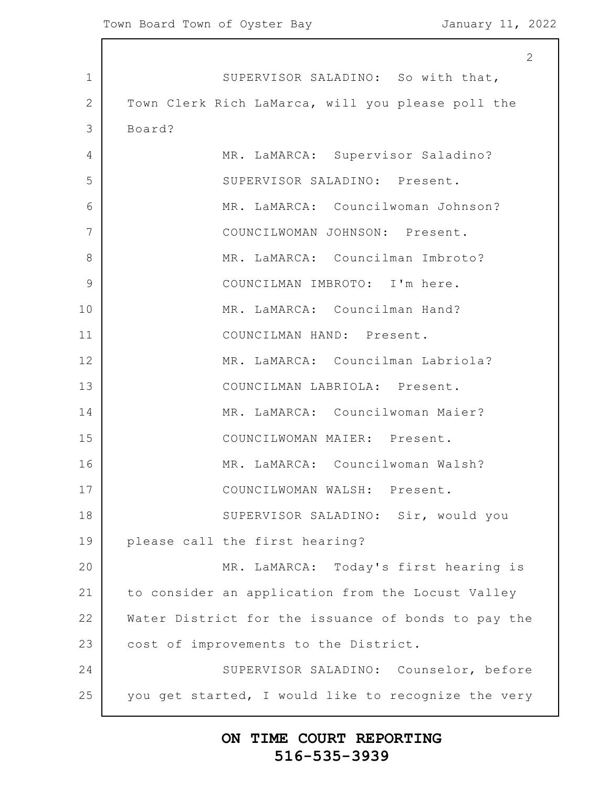1 2 3 4 5 6 7 8 9 10 11 12 13 14 15 16 17 18 19 20 21 22 23 24 25 2 SUPERVISOR SALADINO: So with that, Town Clerk Rich LaMarca, will you please poll the Board? MR. LaMARCA: Supervisor Saladino? SUPERVISOR SALADINO: Present. MR. LaMARCA: Councilwoman Johnson? COUNCILWOMAN JOHNSON: Present. MR. LaMARCA: Councilman Imbroto? COUNCILMAN IMBROTO: I'm here. MR. LaMARCA: Councilman Hand? COUNCILMAN HAND: Present. MR. LaMARCA: Councilman Labriola? COUNCILMAN LABRIOLA: Present. MR. LaMARCA: Councilwoman Maier? COUNCILWOMAN MAIER: Present. MR. LaMARCA: Councilwoman Walsh? COUNCILWOMAN WALSH: Present. SUPERVISOR SALADINO: Sir, would you please call the first hearing? MR. LaMARCA: Today's first hearing is to consider an application from the Locust Valley Water District for the issuance of bonds to pay the cost of improvements to the District. SUPERVISOR SALADINO: Counselor, before you get started, I would like to recognize the very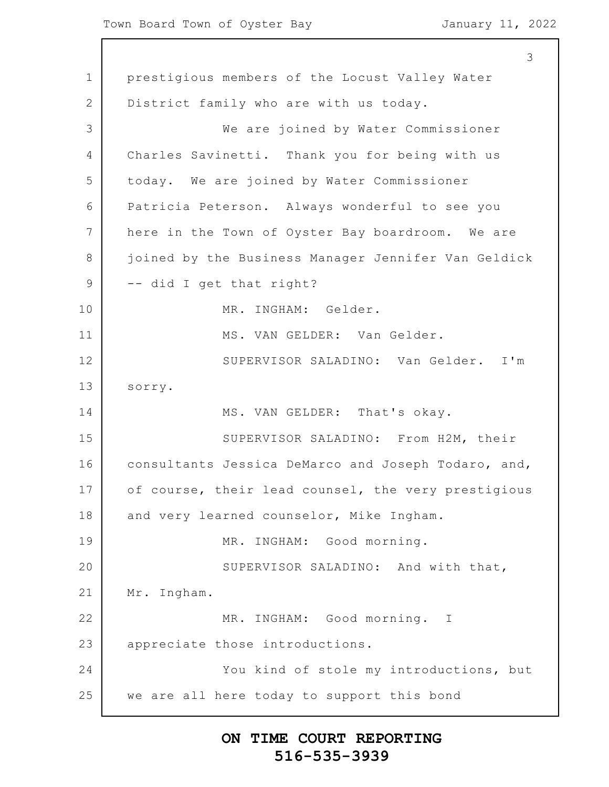1 2 3 4 5 6 7 8 9 10 11 12 13 14 15 16 17 18 19 20 21 22 23 24 25 3 prestigious members of the Locust Valley Water District family who are with us today. We are joined by Water Commissioner Charles Savinetti. Thank you for being with us today. We are joined by Water Commissioner Patricia Peterson. Always wonderful to see you here in the Town of Oyster Bay boardroom. We are joined by the Business Manager Jennifer Van Geldick -- did I get that right? MR. INGHAM: Gelder. MS. VAN GELDER: Van Gelder. SUPERVISOR SALADINO: Van Gelder. I'm sorry. MS. VAN GELDER: That's okay. SUPERVISOR SALADINO: From H2M, their consultants Jessica DeMarco and Joseph Todaro, and, of course, their lead counsel, the very prestigious and very learned counselor, Mike Ingham. MR. INGHAM: Good morning. SUPERVISOR SALADINO: And with that, Mr. Ingham. MR. INGHAM: Good morning. I appreciate those introductions. You kind of stole my introductions, but we are all here today to support this bond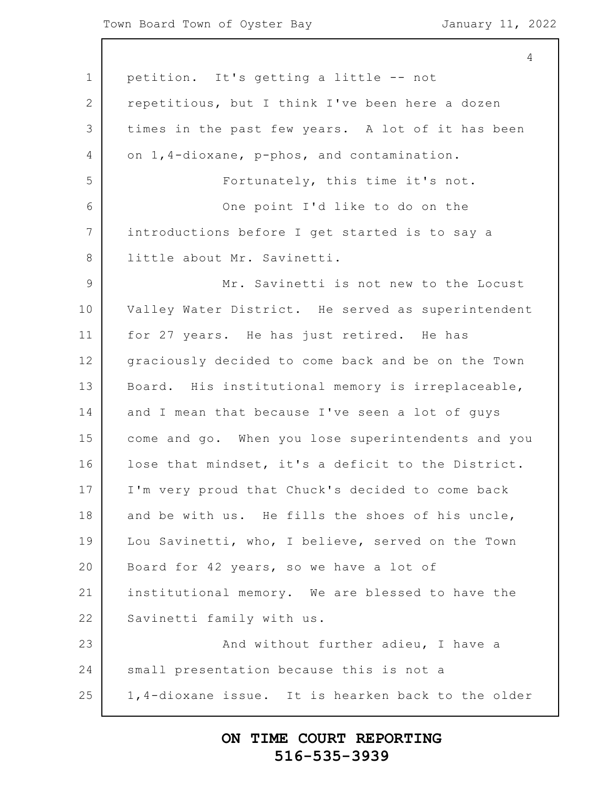1 2 3 4 5 6 7 8 9 10 11 12 13 14 15 16 17 18 19 20 21 22 23 24 25 4 petition. It's getting a little -- not repetitious, but I think I've been here a dozen times in the past few years. A lot of it has been on 1,4-dioxane, p-phos, and contamination. Fortunately, this time it's not. One point I'd like to do on the introductions before I get started is to say a little about Mr. Savinetti. Mr. Savinetti is not new to the Locust Valley Water District. He served as superintendent for 27 years. He has just retired. He has graciously decided to come back and be on the Town Board. His institutional memory is irreplaceable, and I mean that because I've seen a lot of guys come and go. When you lose superintendents and you lose that mindset, it's a deficit to the District. I'm very proud that Chuck's decided to come back and be with us. He fills the shoes of his uncle, Lou Savinetti, who, I believe, served on the Town Board for 42 years, so we have a lot of institutional memory. We are blessed to have the Savinetti family with us. And without further adieu, I have a small presentation because this is not a 1,4-dioxane issue. It is hearken back to the older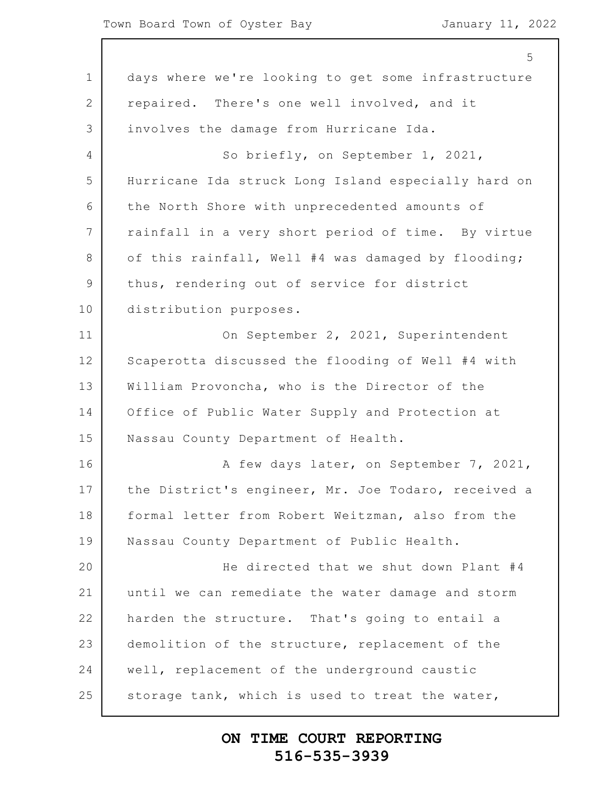|                 | 5                                                   |
|-----------------|-----------------------------------------------------|
| $\mathbf 1$     | days where we're looking to get some infrastructure |
| $\overline{2}$  | repaired. There's one well involved, and it         |
| 3               | involves the damage from Hurricane Ida.             |
| 4               | So briefly, on September 1, 2021,                   |
| 5               | Hurricane Ida struck Long Island especially hard on |
| 6               | the North Shore with unprecedented amounts of       |
| $7\phantom{.0}$ | rainfall in a very short period of time. By virtue  |
| 8               | of this rainfall, Well #4 was damaged by flooding;  |
| $\mathcal{G}$   | thus, rendering out of service for district         |
| 10              | distribution purposes.                              |
| 11              | On September 2, 2021, Superintendent                |
| 12              | Scaperotta discussed the flooding of Well #4 with   |
| 13              | William Provoncha, who is the Director of the       |
| 14              | Office of Public Water Supply and Protection at     |
| 15              | Nassau County Department of Health.                 |
| 16              | A few days later, on September 7, 2021,             |
| 17              | the District's engineer, Mr. Joe Todaro, received a |
| 18              | formal letter from Robert Weitzman, also from the   |
| 19              | Nassau County Department of Public Health.          |
| 20              | He directed that we shut down Plant #4              |
| 21              | until we can remediate the water damage and storm   |
| 22              | harden the structure. That's going to entail a      |
| 23              | demolition of the structure, replacement of the     |
| 24              | well, replacement of the underground caustic        |
| 25              | storage tank, which is used to treat the water,     |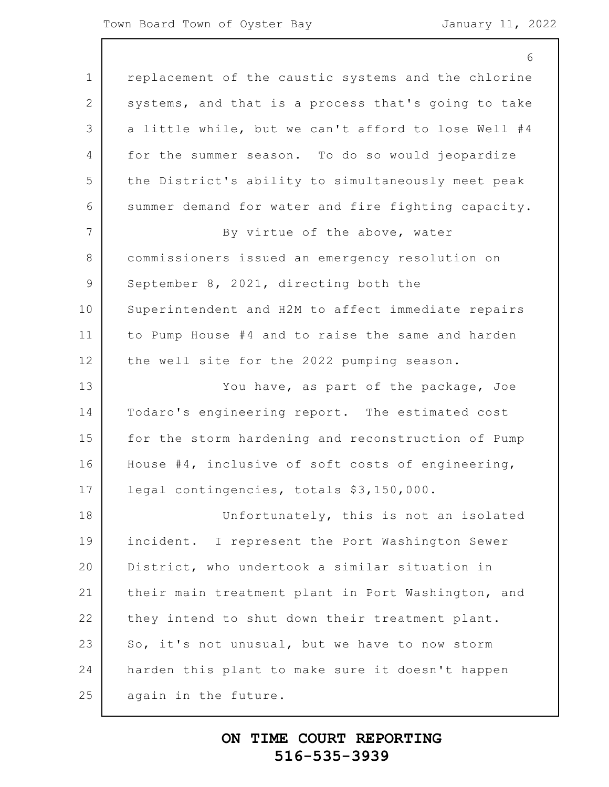#### Town Board Town of Oyster Bay January 11, 2022

| 6                                                   |
|-----------------------------------------------------|
| replacement of the caustic systems and the chlorine |
| systems, and that is a process that's going to take |
| a little while, but we can't afford to lose Well #4 |
| for the summer season. To do so would jeopardize    |
| the District's ability to simultaneously meet peak  |
| summer demand for water and fire fighting capacity. |
| By virtue of the above, water                       |
| commissioners issued an emergency resolution on     |
| September 8, 2021, directing both the               |
| Superintendent and H2M to affect immediate repairs  |
| to Pump House #4 and to raise the same and harden   |
| the well site for the 2022 pumping season.          |
| You have, as part of the package, Joe               |
| Todaro's engineering report. The estimated cost     |
| for the storm hardening and reconstruction of Pump  |
| House #4, inclusive of soft costs of engineering,   |
| legal contingencies, totals \$3,150,000.            |
| Unfortunately, this is not an isolated              |
| incident. I represent the Port Washington Sewer     |
| District, who undertook a similar situation in      |
| their main treatment plant in Port Washington, and  |
| they intend to shut down their treatment plant.     |
| So, it's not unusual, but we have to now storm      |
| harden this plant to make sure it doesn't happen    |
| again in the future.                                |
|                                                     |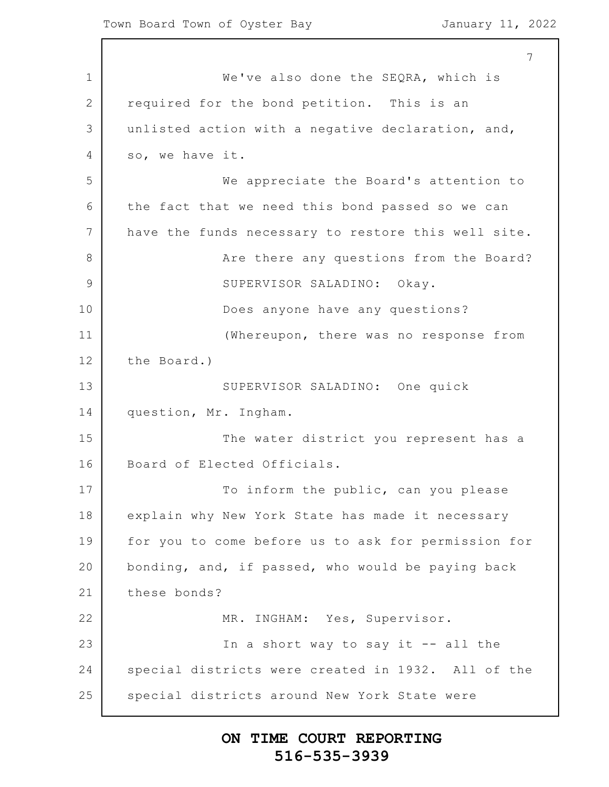1 2 3 4 5 6 7 8 9 10 11 12 13 14 15 16 17 18 19 20 21 22 23 24 25 7 We've also done the SEQRA, which is required for the bond petition. This is an unlisted action with a negative declaration, and, so, we have it. We appreciate the Board's attention to the fact that we need this bond passed so we can have the funds necessary to restore this well site. Are there any questions from the Board? SUPERVISOR SALADINO: Okay. Does anyone have any questions? (Whereupon, there was no response from the Board.) SUPERVISOR SALADINO: One quick question, Mr. Ingham. The water district you represent has a Board of Elected Officials. To inform the public, can you please explain why New York State has made it necessary for you to come before us to ask for permission for bonding, and, if passed, who would be paying back these bonds? MR. INGHAM: Yes, Supervisor. In a short way to say it  $-$ - all the special districts were created in 1932. All of the special districts around New York State were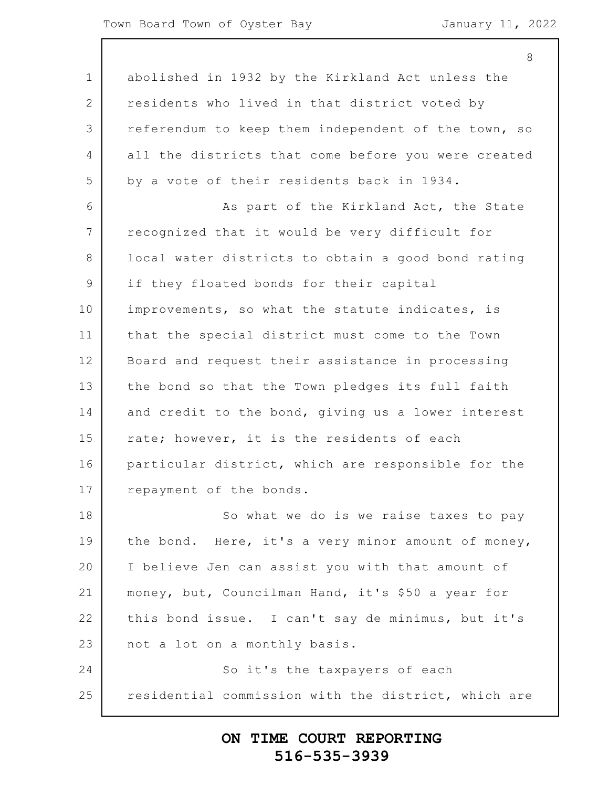8

1 2 3 4 5 6 7 8 9 10 11 12 13 14 15 16 17 18 19 20 21 22 23 24 25 abolished in 1932 by the Kirkland Act unless the residents who lived in that district voted by referendum to keep them independent of the town, so all the districts that come before you were created by a vote of their residents back in 1934. As part of the Kirkland Act, the State recognized that it would be very difficult for local water districts to obtain a good bond rating if they floated bonds for their capital improvements, so what the statute indicates, is that the special district must come to the Town Board and request their assistance in processing the bond so that the Town pledges its full faith and credit to the bond, giving us a lower interest rate; however, it is the residents of each particular district, which are responsible for the repayment of the bonds. So what we do is we raise taxes to pay the bond. Here, it's a very minor amount of money, I believe Jen can assist you with that amount of money, but, Councilman Hand, it's \$50 a year for this bond issue. I can't say de minimus, but it's not a lot on a monthly basis. So it's the taxpayers of each residential commission with the district, which are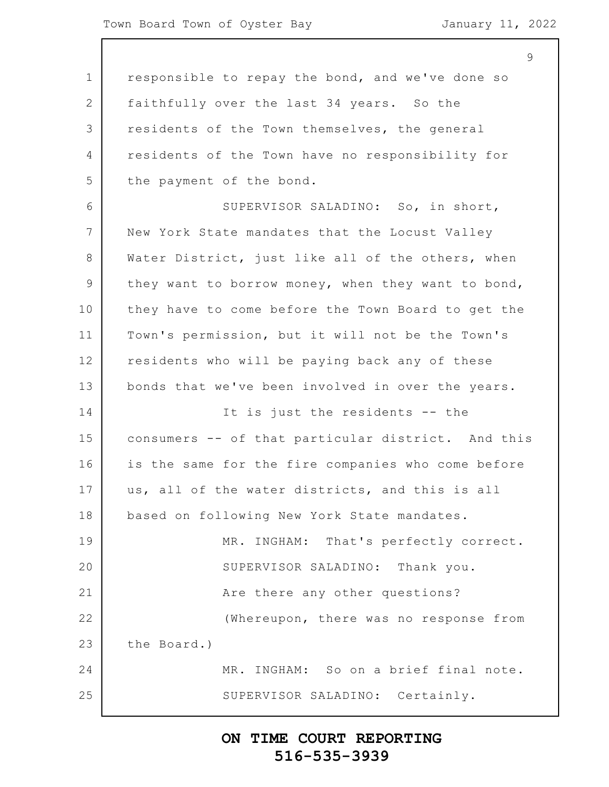1 2 3 4 5 6 7 8 9 10 11 12 13 14 15 16 17 18 19 20 21 22 23 24 25  $\mathsf{Q}$ responsible to repay the bond, and we've done so faithfully over the last 34 years. So the residents of the Town themselves, the general residents of the Town have no responsibility for the payment of the bond. SUPERVISOR SALADINO: So, in short, New York State mandates that the Locust Valley Water District, just like all of the others, when they want to borrow money, when they want to bond, they have to come before the Town Board to get the Town's permission, but it will not be the Town's residents who will be paying back any of these bonds that we've been involved in over the years. It is just the residents -- the consumers -- of that particular district. And this is the same for the fire companies who come before us, all of the water districts, and this is all based on following New York State mandates. MR. INGHAM: That's perfectly correct. SUPERVISOR SALADINO: Thank you. Are there any other questions? (Whereupon, there was no response from the Board.) MR. INGHAM: So on a brief final note. SUPERVISOR SALADINO: Certainly.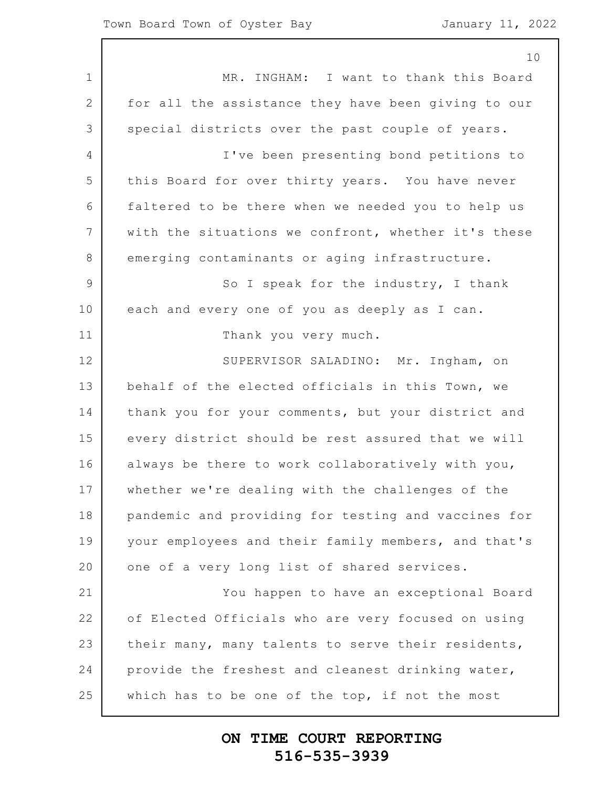|                 | 10                                                  |
|-----------------|-----------------------------------------------------|
| $\mathbf 1$     | MR. INGHAM: I want to thank this Board              |
| 2               | for all the assistance they have been giving to our |
| 3               | special districts over the past couple of years.    |
| $\overline{4}$  | I've been presenting bond petitions to              |
| 5               | this Board for over thirty years. You have never    |
| 6               | faltered to be there when we needed you to help us  |
| $7\phantom{.0}$ | with the situations we confront, whether it's these |
| 8               | emerging contaminants or aging infrastructure.      |
| $\overline{9}$  | So I speak for the industry, I thank                |
| 10              | each and every one of you as deeply as I can.       |
| 11              | Thank you very much.                                |
| 12              | SUPERVISOR SALADINO: Mr. Ingham, on                 |
| 13              | behalf of the elected officials in this Town, we    |
| 14              | thank you for your comments, but your district and  |
| 15              | every district should be rest assured that we will  |
| 16              | always be there to work collaboratively with you,   |
| 17              | whether we're dealing with the challenges of the    |
| 18              | pandemic and providing for testing and vaccines for |
| 19              | your employees and their family members, and that's |
| 20              | one of a very long list of shared services.         |
| 21              | You happen to have an exceptional Board             |
| 22              | of Elected Officials who are very focused on using  |
| 23              | their many, many talents to serve their residents,  |
| 24              | provide the freshest and cleanest drinking water,   |
| 25              | which has to be one of the top, if not the most     |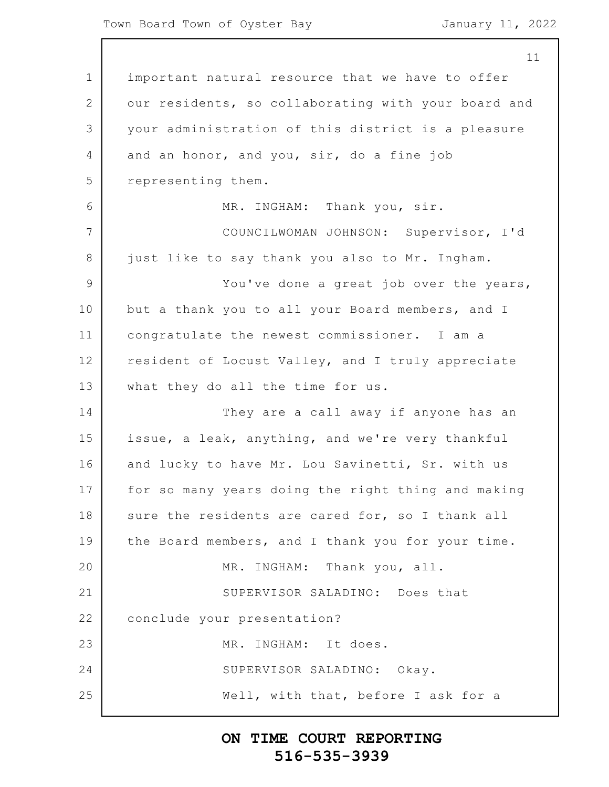1 2 3 4 5 6 7 8 9 10 11 12 13 14 15 16 17 18 19 20 21 22 23 24 25 11 important natural resource that we have to offer our residents, so collaborating with your board and your administration of this district is a pleasure and an honor, and you, sir, do a fine job representing them. MR. INGHAM: Thank you, sir. COUNCILWOMAN JOHNSON: Supervisor, I'd just like to say thank you also to Mr. Ingham. You've done a great job over the years, but a thank you to all your Board members, and I congratulate the newest commissioner. I am a resident of Locust Valley, and I truly appreciate what they do all the time for us. They are a call away if anyone has an issue, a leak, anything, and we're very thankful and lucky to have Mr. Lou Savinetti, Sr. with us for so many years doing the right thing and making sure the residents are cared for, so I thank all the Board members, and I thank you for your time. MR. INGHAM: Thank you, all. SUPERVISOR SALADINO: Does that conclude your presentation? MR. INGHAM: It does. SUPERVISOR SALADINO: Okay. Well, with that, before I ask for a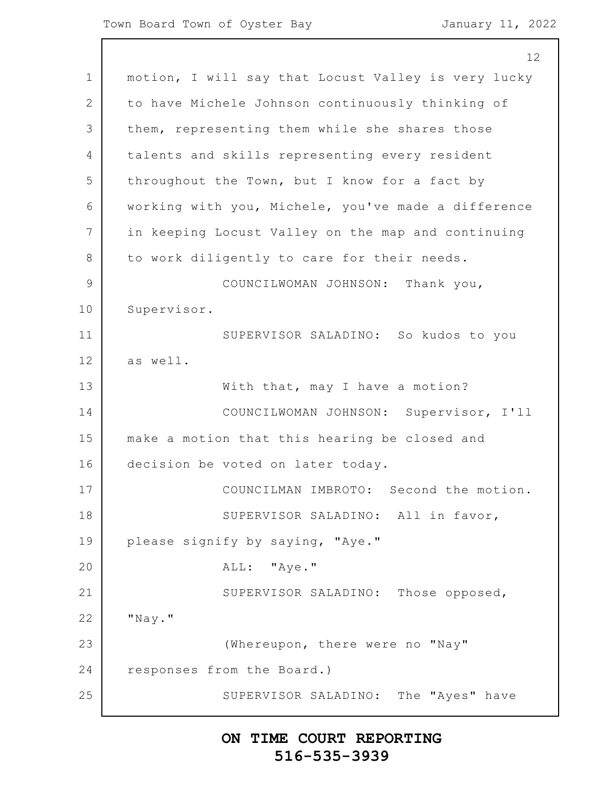1 2 3 4 5 6 7 8 9 10 11 12 13 14 15 16 17 18 19 20 21 22 23 24 25 12 motion, I will say that Locust Valley is very lucky to have Michele Johnson continuously thinking of them, representing them while she shares those talents and skills representing every resident throughout the Town, but I know for a fact by working with you, Michele, you've made a difference in keeping Locust Valley on the map and continuing to work diligently to care for their needs. COUNCILWOMAN JOHNSON: Thank you, Supervisor. SUPERVISOR SALADINO: So kudos to you as well. With that, may I have a motion? COUNCILWOMAN JOHNSON: Supervisor, I'll make a motion that this hearing be closed and decision be voted on later today. COUNCILMAN IMBROTO: Second the motion. SUPERVISOR SALADINO: All in favor, please signify by saying, "Aye." ALL: "Aye." SUPERVISOR SALADINO: Those opposed, "Nay." (Whereupon, there were no "Nay" responses from the Board.) SUPERVISOR SALADINO: The "Ayes" have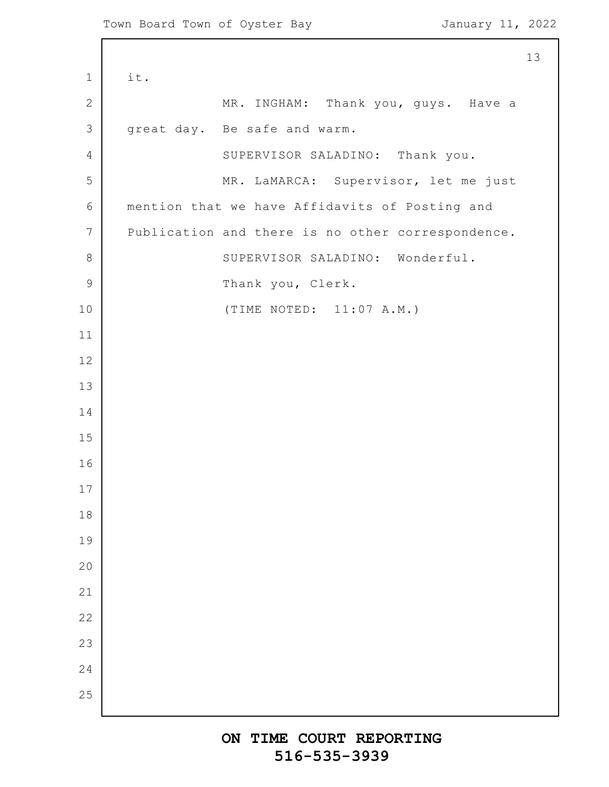Г

|                 | 13                                                |
|-----------------|---------------------------------------------------|
| $\mathbf 1$     | it.                                               |
| $\mathbf{2}$    | MR. INGHAM: Thank you, guys. Have a               |
| $\mathcal{S}$   | great day. Be safe and warm.                      |
| $\overline{4}$  | SUPERVISOR SALADINO: Thank you.                   |
| 5               | MR. LaMARCA: Supervisor, let me just              |
| $\epsilon$      | mention that we have Affidavits of Posting and    |
| $7\phantom{.0}$ | Publication and there is no other correspondence. |
| $\,8\,$         | SUPERVISOR SALADINO: Wonderful.                   |
| $\overline{9}$  | Thank you, Clerk.                                 |
| 10              | (TIME NOTED: 11:07 A.M.)                          |
| 11              |                                                   |
| 12              |                                                   |
| 13              |                                                   |
| 14              |                                                   |
| 15              |                                                   |
| 16              |                                                   |
| 17              |                                                   |
| 18              |                                                   |
| 19              |                                                   |
| 20              |                                                   |
| 21              |                                                   |
| 22              |                                                   |
| 23              |                                                   |
| 24              |                                                   |
| 25              |                                                   |
|                 |                                                   |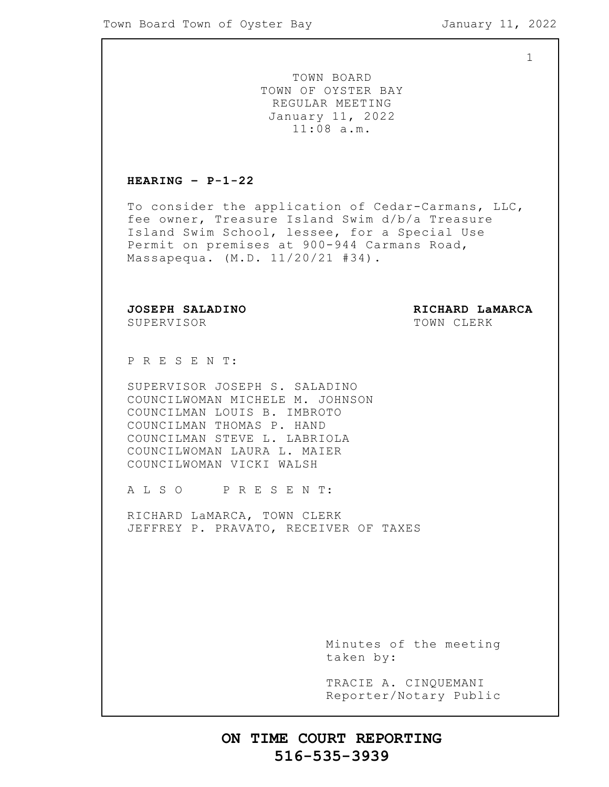1

TOWN BOARD TOWN OF OYSTER BAY REGULAR MEETING January 11, 2022 11:08 a.m.

#### **HEARING – P-1-22**

To consider the application of Cedar-Carmans, LLC, fee owner, Treasure Island Swim d/b/a Treasure Island Swim School, lessee, for a Special Use Permit on premises at 900-944 Carmans Road, Massapequa. (M.D. 11/20/21 #34).

SUPERVISOR TOWN CLERK

**JOSEPH SALADINO RICHARD LaMARCA**

P R E S E N T:

SUPERVISOR JOSEPH S. SALADINO COUNCILWOMAN MICHELE M. JOHNSON COUNCILMAN LOUIS B. IMBROTO COUNCILMAN THOMAS P. HAND COUNCILMAN STEVE L. LABRIOLA COUNCILWOMAN LAURA L. MAIER COUNCILWOMAN VICKI WALSH

A L S O P R E S E N T:

RICHARD LaMARCA, TOWN CLERK JEFFREY P. PRAVATO, RECEIVER OF TAXES

> Minutes of the meeting taken by:

> TRACIE A. CINQUEMANI Reporter/Notary Public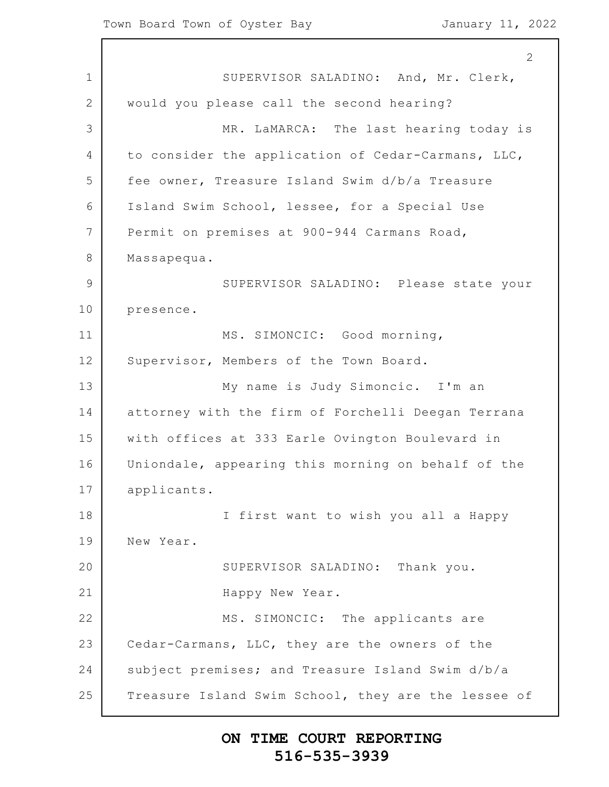1 2 3 4 5 6 7 8 9 10 11 12 13 14 15 16 17 18 19 20 21 22 23 24 25 2 SUPERVISOR SALADINO: And, Mr. Clerk, would you please call the second hearing? MR. LaMARCA: The last hearing today is to consider the application of Cedar-Carmans, LLC, fee owner, Treasure Island Swim d/b/a Treasure Island Swim School, lessee, for a Special Use Permit on premises at 900-944 Carmans Road, Massapequa. SUPERVISOR SALADINO: Please state your presence. MS. SIMONCIC: Good morning, Supervisor, Members of the Town Board. My name is Judy Simoncic. I'm an attorney with the firm of Forchelli Deegan Terrana with offices at 333 Earle Ovington Boulevard in Uniondale, appearing this morning on behalf of the applicants. I first want to wish you all a Happy New Year. SUPERVISOR SALADINO: Thank you. Happy New Year. MS. SIMONCIC: The applicants are Cedar-Carmans, LLC, they are the owners of the subject premises; and Treasure Island Swim d/b/a Treasure Island Swim School, they are the lessee of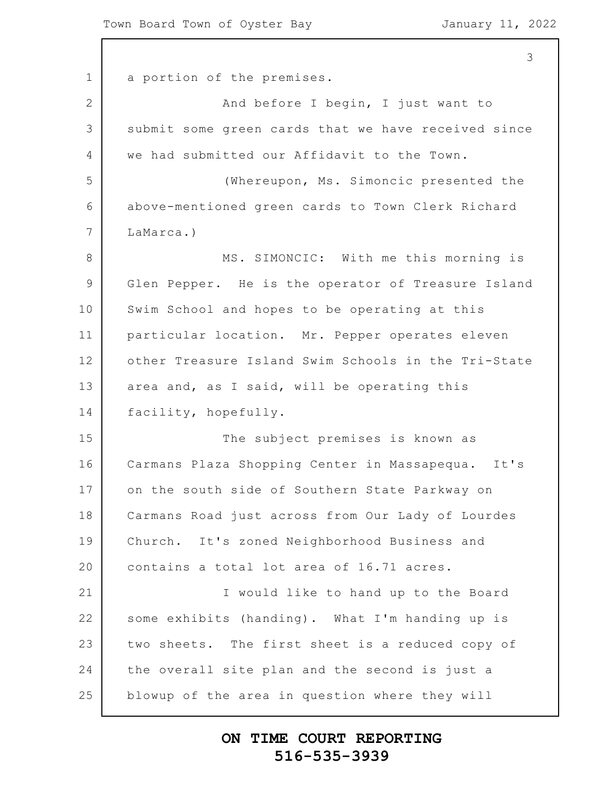1 2 3 4 5 6 7 8 9 10 11 12 13 14 15 16 17 18 19 20 21 22 23 24 25 3 a portion of the premises. And before I begin, I just want to submit some green cards that we have received since we had submitted our Affidavit to the Town. (Whereupon, Ms. Simoncic presented the above-mentioned green cards to Town Clerk Richard LaMarca.) MS. SIMONCIC: With me this morning is Glen Pepper. He is the operator of Treasure Island Swim School and hopes to be operating at this particular location. Mr. Pepper operates eleven other Treasure Island Swim Schools in the Tri-State area and, as I said, will be operating this facility, hopefully. The subject premises is known as Carmans Plaza Shopping Center in Massapequa. It's on the south side of Southern State Parkway on Carmans Road just across from Our Lady of Lourdes Church. It's zoned Neighborhood Business and contains a total lot area of 16.71 acres. I would like to hand up to the Board some exhibits (handing). What I'm handing up is two sheets. The first sheet is a reduced copy of the overall site plan and the second is just a blowup of the area in question where they will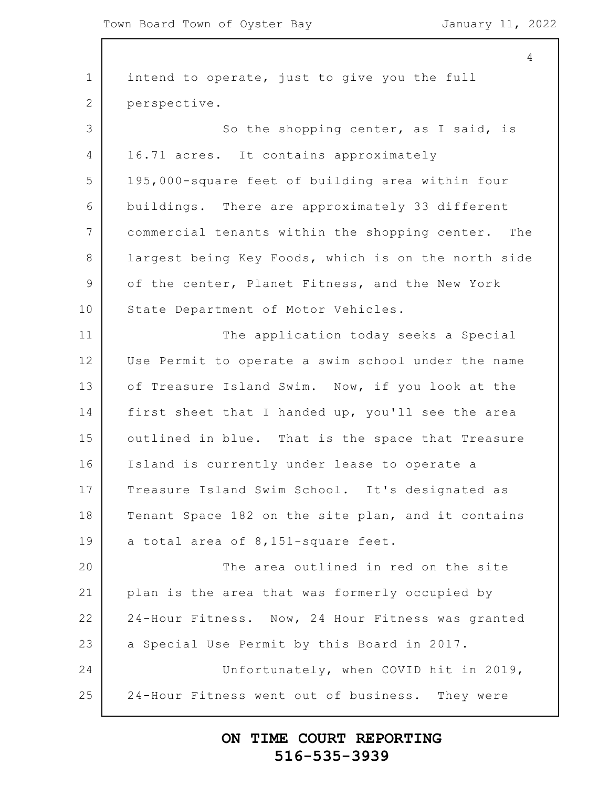1 2 3 4 5 6 7 8 9 10 11 12 13 14 15 16 17 18 19 20 21 22 23 24 25 4 intend to operate, just to give you the full perspective. So the shopping center, as I said, is 16.71 acres. It contains approximately 195,000-square feet of building area within four buildings. There are approximately 33 different commercial tenants within the shopping center. The largest being Key Foods, which is on the north side of the center, Planet Fitness, and the New York State Department of Motor Vehicles. The application today seeks a Special Use Permit to operate a swim school under the name of Treasure Island Swim. Now, if you look at the first sheet that I handed up, you'll see the area outlined in blue. That is the space that Treasure Island is currently under lease to operate a Treasure Island Swim School. It's designated as Tenant Space 182 on the site plan, and it contains a total area of 8,151-square feet. The area outlined in red on the site plan is the area that was formerly occupied by 24-Hour Fitness. Now, 24 Hour Fitness was granted a Special Use Permit by this Board in 2017. Unfortunately, when COVID hit in 2019, 24-Hour Fitness went out of business. They were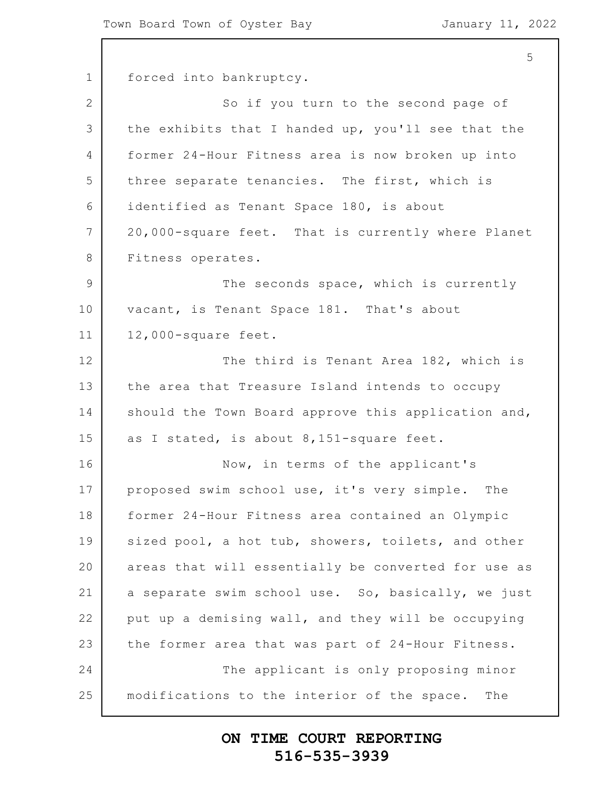1 2 3 4 5 6 7 8 9 10 11 12 13 14 15 16 17 18 19 20 21 22 23 24 25 5 forced into bankruptcy. So if you turn to the second page of the exhibits that I handed up, you'll see that the former 24-Hour Fitness area is now broken up into three separate tenancies. The first, which is identified as Tenant Space 180, is about 20,000-square feet. That is currently where Planet Fitness operates. The seconds space, which is currently vacant, is Tenant Space 181. That's about 12,000-square feet. The third is Tenant Area 182, which is the area that Treasure Island intends to occupy should the Town Board approve this application and, as I stated, is about 8,151-square feet. Now, in terms of the applicant's proposed swim school use, it's very simple. The former 24-Hour Fitness area contained an Olympic sized pool, a hot tub, showers, toilets, and other areas that will essentially be converted for use as a separate swim school use. So, basically, we just put up a demising wall, and they will be occupying the former area that was part of 24-Hour Fitness. The applicant is only proposing minor modifications to the interior of the space. The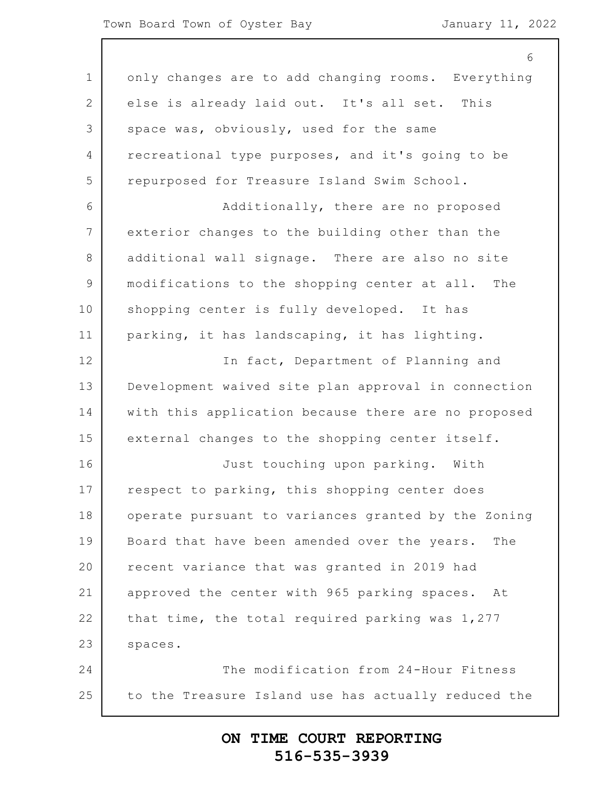1 2 3 4 5 6 7 8 9 10 11 12 13 14 15 16 17 18 19 20 21 22 23 24 25 6 only changes are to add changing rooms. Everything else is already laid out. It's all set. This space was, obviously, used for the same recreational type purposes, and it's going to be repurposed for Treasure Island Swim School. Additionally, there are no proposed exterior changes to the building other than the additional wall signage. There are also no site modifications to the shopping center at all. The shopping center is fully developed. It has parking, it has landscaping, it has lighting. In fact, Department of Planning and Development waived site plan approval in connection with this application because there are no proposed external changes to the shopping center itself. Just touching upon parking. With respect to parking, this shopping center does operate pursuant to variances granted by the Zoning Board that have been amended over the years. The recent variance that was granted in 2019 had approved the center with 965 parking spaces. At that time, the total required parking was 1,277 spaces. The modification from 24-Hour Fitness to the Treasure Island use has actually reduced the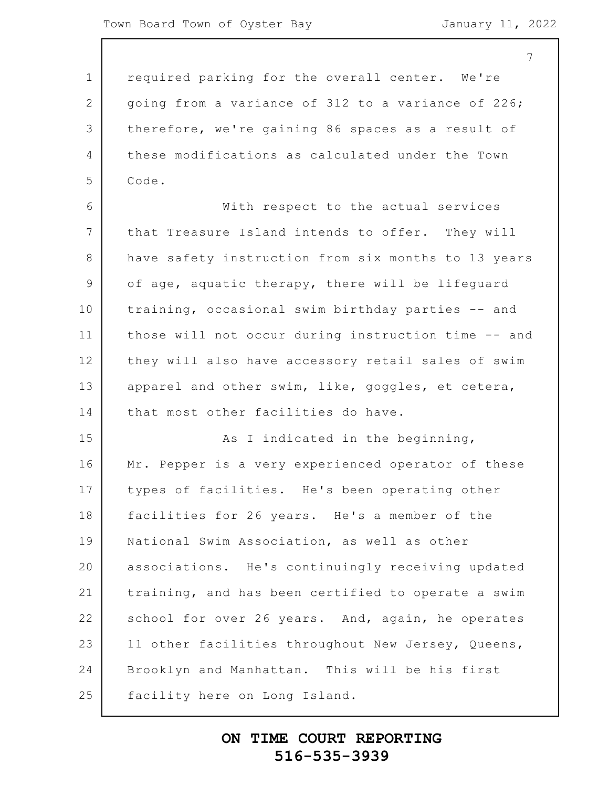7

1 2 3 4 5 6 7 8 9 10 11 12 13 14 15 16 17 18 19 20 21 22 23 24 25 required parking for the overall center. We're going from a variance of 312 to a variance of 226; therefore, we're gaining 86 spaces as a result of these modifications as calculated under the Town Code. With respect to the actual services that Treasure Island intends to offer. They will have safety instruction from six months to 13 years of age, aquatic therapy, there will be lifeguard training, occasional swim birthday parties -- and those will not occur during instruction time -- and they will also have accessory retail sales of swim apparel and other swim, like, goggles, et cetera, that most other facilities do have. As I indicated in the beginning, Mr. Pepper is a very experienced operator of these types of facilities. He's been operating other facilities for 26 years. He's a member of the National Swim Association, as well as other associations. He's continuingly receiving updated training, and has been certified to operate a swim school for over 26 years. And, again, he operates 11 other facilities throughout New Jersey, Queens, Brooklyn and Manhattan. This will be his first facility here on Long Island.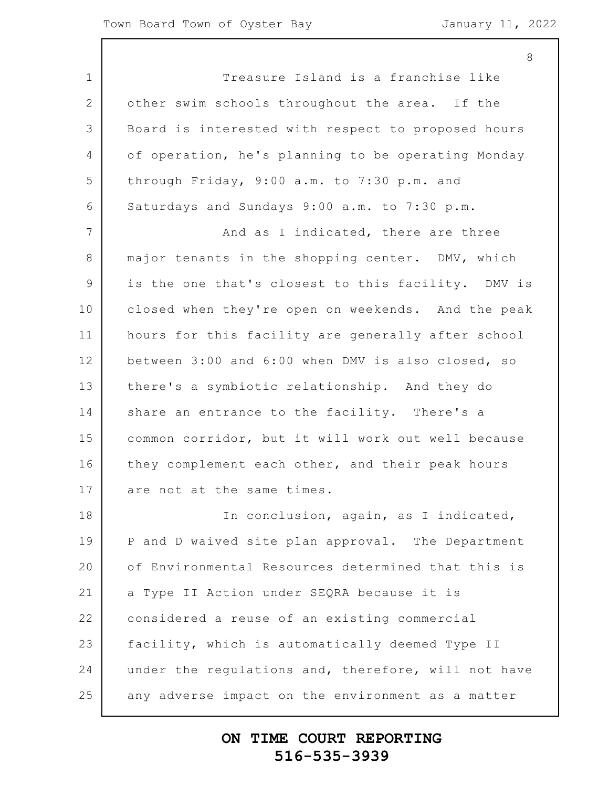1 2 3 4 5 6 7 8 9 10 11 12 13 14 15 16 17 18 19 20 21 22 23 24 25 Treasure Island is a franchise like other swim schools throughout the area. If the Board is interested with respect to proposed hours of operation, he's planning to be operating Monday through Friday, 9:00 a.m. to 7:30 p.m. and Saturdays and Sundays 9:00 a.m. to 7:30 p.m. And as I indicated, there are three major tenants in the shopping center. DMV, which is the one that's closest to this facility. DMV is closed when they're open on weekends. And the peak hours for this facility are generally after school between 3:00 and 6:00 when DMV is also closed, so there's a symbiotic relationship. And they do share an entrance to the facility. There's a common corridor, but it will work out well because they complement each other, and their peak hours are not at the same times. In conclusion, again, as I indicated, P and D waived site plan approval. The Department of Environmental Resources determined that this is a Type II Action under SEQRA because it is considered a reuse of an existing commercial facility, which is automatically deemed Type II under the regulations and, therefore, will not have any adverse impact on the environment as a matter

#### **ON TIME COURT REPORTING 516-535-3939**

8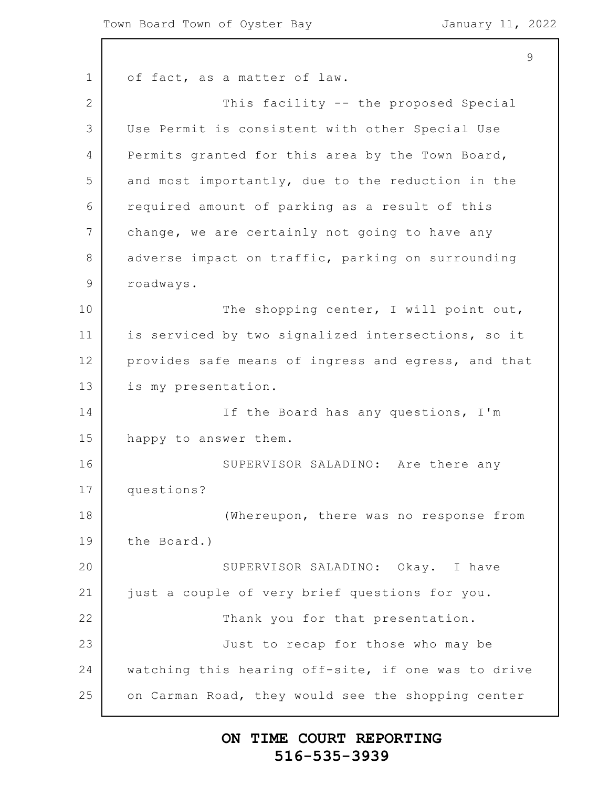1 2 3 4 5 6 7 8 9 10 11 12 13 14 15 16 17 18 19 20 21 22 23 24 25 9 of fact, as a matter of law. This facility -- the proposed Special Use Permit is consistent with other Special Use Permits granted for this area by the Town Board, and most importantly, due to the reduction in the required amount of parking as a result of this change, we are certainly not going to have any adverse impact on traffic, parking on surrounding roadways. The shopping center, I will point out, is serviced by two signalized intersections, so it provides safe means of ingress and egress, and that is my presentation. If the Board has any questions, I'm happy to answer them. SUPERVISOR SALADINO: Are there any questions? (Whereupon, there was no response from the Board.) SUPERVISOR SALADINO: Okay. I have just a couple of very brief questions for you. Thank you for that presentation. Just to recap for those who may be watching this hearing off-site, if one was to drive on Carman Road, they would see the shopping center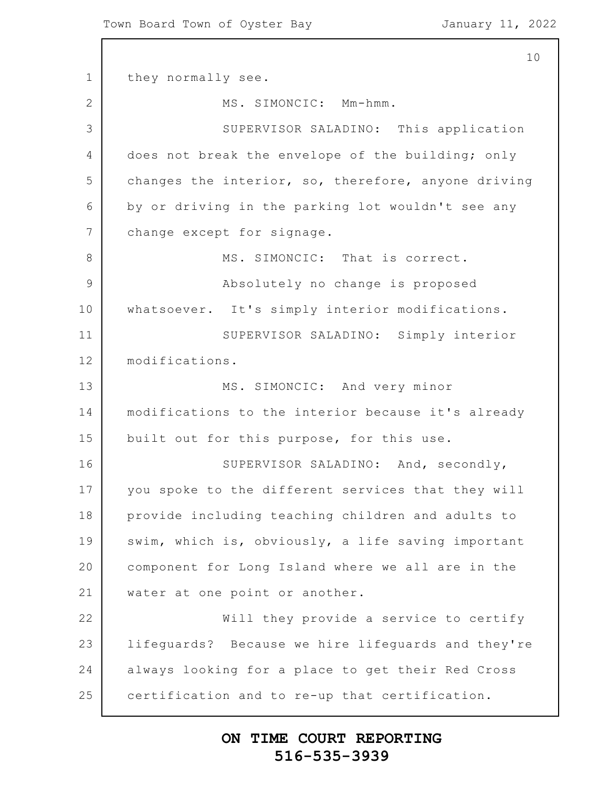1 2 3 4 5 6 7 8 9 10 11 12 13 14 15 16 17 18 19 20 21 22 23 24 25 10 they normally see. MS. SIMONCIC: Mm-hmm. SUPERVISOR SALADINO: This application does not break the envelope of the building; only changes the interior, so, therefore, anyone driving by or driving in the parking lot wouldn't see any change except for signage. MS. SIMONCIC: That is correct. Absolutely no change is proposed whatsoever. It's simply interior modifications. SUPERVISOR SALADINO: Simply interior modifications. MS. SIMONCIC: And very minor modifications to the interior because it's already built out for this purpose, for this use. SUPERVISOR SALADINO: And, secondly, you spoke to the different services that they will provide including teaching children and adults to swim, which is, obviously, a life saving important component for Long Island where we all are in the water at one point or another. Will they provide a service to certify lifeguards? Because we hire lifeguards and they're always looking for a place to get their Red Cross certification and to re-up that certification.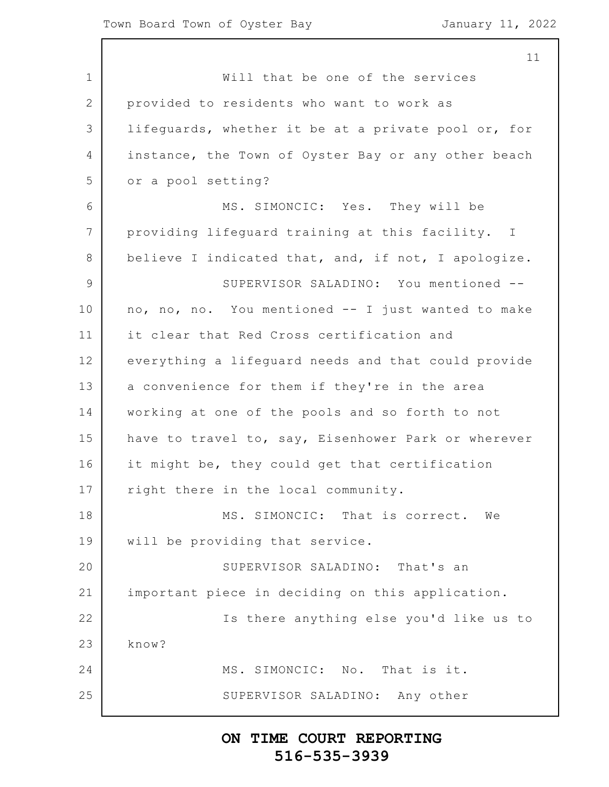1 2 3 4 5 6 7 8 9 10 11 12 13 14 15 16 17 18 19 20 21 22 23 24 25 11 Will that be one of the services provided to residents who want to work as lifeguards, whether it be at a private pool or, for instance, the Town of Oyster Bay or any other beach or a pool setting? MS. SIMONCIC: Yes. They will be providing lifeguard training at this facility. I believe I indicated that, and, if not, I apologize. SUPERVISOR SALADINO: You mentioned - no, no, no. You mentioned -- I just wanted to make it clear that Red Cross certification and everything a lifeguard needs and that could provide a convenience for them if they're in the area working at one of the pools and so forth to not have to travel to, say, Eisenhower Park or wherever it might be, they could get that certification right there in the local community. MS. SIMONCIC: That is correct. We will be providing that service. SUPERVISOR SALADINO: That's an important piece in deciding on this application. Is there anything else you'd like us to know? MS. SIMONCIC: No. That is it. SUPERVISOR SALADINO: Any other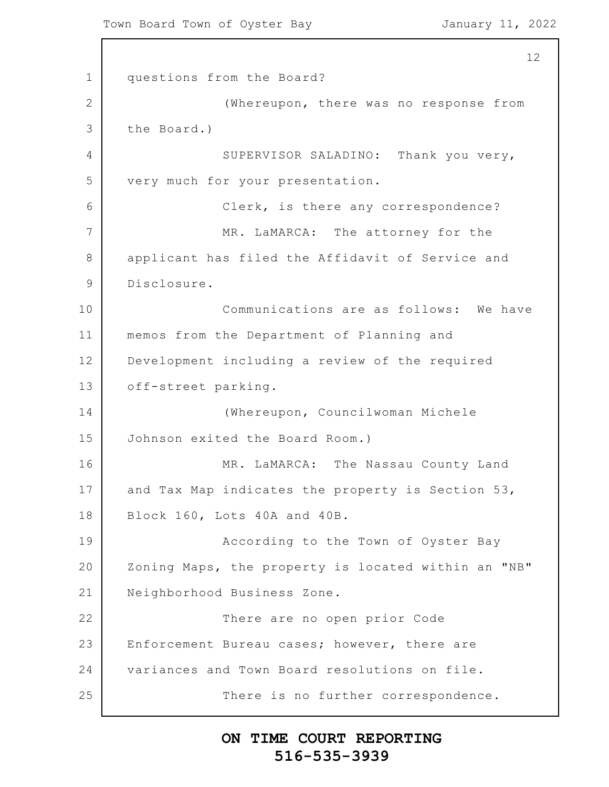1 2 3 4 5 6 7 8 9 10 11 12 13 14 15 16 17 18 19 20 21 22 23 24 25 12 questions from the Board? (Whereupon, there was no response from the Board.) SUPERVISOR SALADINO: Thank you very, very much for your presentation. Clerk, is there any correspondence? MR. LaMARCA: The attorney for the applicant has filed the Affidavit of Service and Disclosure. Communications are as follows: We have memos from the Department of Planning and Development including a review of the required off-street parking. (Whereupon, Councilwoman Michele Johnson exited the Board Room.) MR. LaMARCA: The Nassau County Land and Tax Map indicates the property is Section 53, Block 160, Lots 40A and 40B. According to the Town of Oyster Bay Zoning Maps, the property is located within an "NB" Neighborhood Business Zone. There are no open prior Code Enforcement Bureau cases; however, there are variances and Town Board resolutions on file. There is no further correspondence.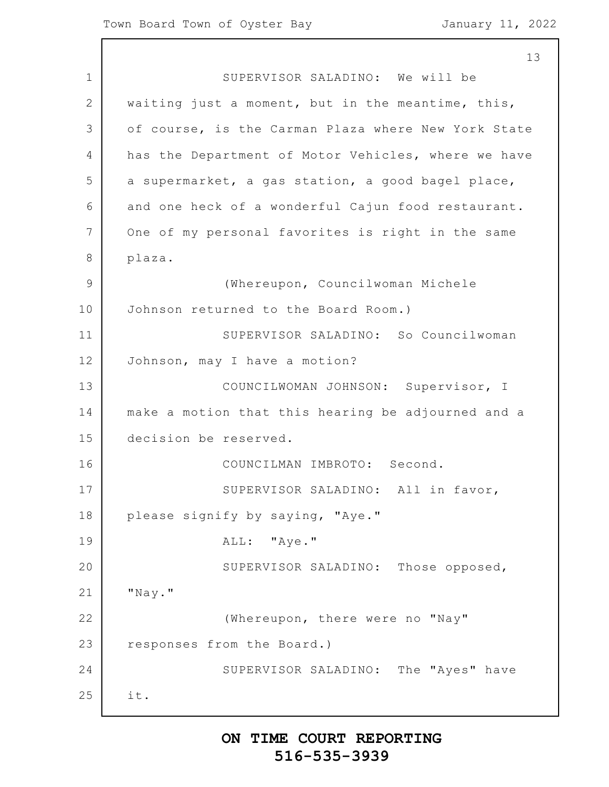1 2 3 4 5 6 7 8 9 10 11 12 13 14 15 16 17 18 19 20 21 22 23 24 25 13 SUPERVISOR SALADINO: We will be waiting just a moment, but in the meantime, this, of course, is the Carman Plaza where New York State has the Department of Motor Vehicles, where we have a supermarket, a gas station, a good bagel place, and one heck of a wonderful Cajun food restaurant. One of my personal favorites is right in the same plaza. (Whereupon, Councilwoman Michele Johnson returned to the Board Room.) SUPERVISOR SALADINO: So Councilwoman Johnson, may I have a motion? COUNCILWOMAN JOHNSON: Supervisor, I make a motion that this hearing be adjourned and a decision be reserved. COUNCILMAN IMBROTO: Second. SUPERVISOR SALADINO: All in favor, please signify by saying, "Aye." ALL: "Aye." SUPERVISOR SALADINO: Those opposed, "Nay." (Whereupon, there were no "Nay" responses from the Board.) SUPERVISOR SALADINO: The "Ayes" have it.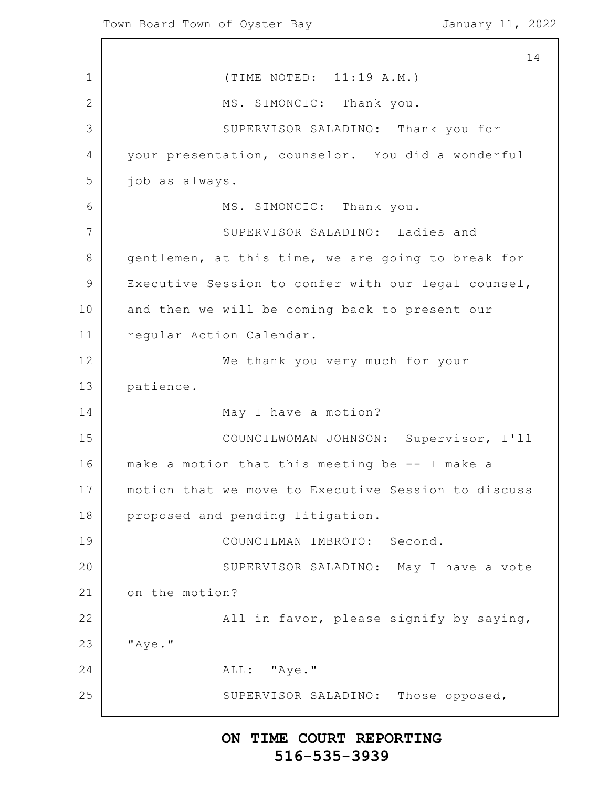1 2 3 4 5 6 7 8 9 10 11 12 13 14 15 16 17 18 19 20 21 22 23 24 25 14 (TIME NOTED: 11:19 A.M.) MS. SIMONCIC: Thank you. SUPERVISOR SALADINO: Thank you for your presentation, counselor. You did a wonderful job as always. MS. SIMONCIC: Thank you. SUPERVISOR SALADINO: Ladies and gentlemen, at this time, we are going to break for Executive Session to confer with our legal counsel, and then we will be coming back to present our regular Action Calendar. We thank you very much for your patience. May I have a motion? COUNCILWOMAN JOHNSON: Supervisor, I'll make a motion that this meeting be -- I make a motion that we move to Executive Session to discuss proposed and pending litigation. COUNCILMAN IMBROTO: Second. SUPERVISOR SALADINO: May I have a vote on the motion? All in favor, please signify by saying, "Aye." ALL: "Aye." SUPERVISOR SALADINO: Those opposed,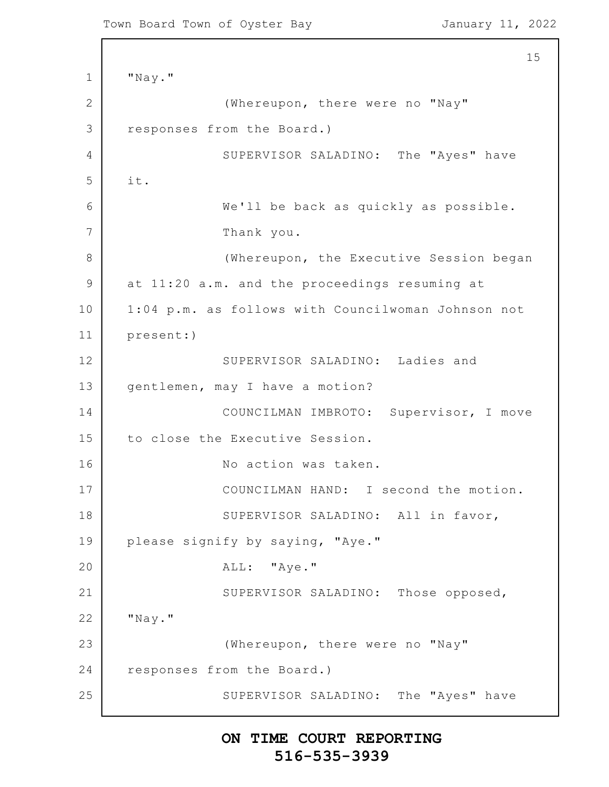Town Board Town of Oyster Bay Town January 11, 2022

```
1
2
3
4
5
6
7
8
9
10
11
12
13
14
15
16
17
18
19
20
21
22
23
24
25
                                                           15
      "Nay."
                   (Whereupon, there were no "Nay"
      responses from the Board.)
                  SUPERVISOR SALADINO: The "Ayes" have
      it.
                  We'll be back as quickly as possible.
                  Thank you.
                   (Whereupon, the Executive Session began
      at 11:20 a.m. and the proceedings resuming at
      1:04 p.m. as follows with Councilwoman Johnson not
      present:)
                  SUPERVISOR SALADINO: Ladies and
      gentlemen, may I have a motion?
                  COUNCILMAN IMBROTO: Supervisor, I move
      to close the Executive Session.
                  No action was taken.
                  COUNCILMAN HAND: I second the motion.
                  SUPERVISOR SALADINO: All in favor,
      please signify by saying, "Aye."
                  ALL: "Aye."
                  SUPERVISOR SALADINO: Those opposed,
      "Nay."
                   (Whereupon, there were no "Nay"
      responses from the Board.)
                  SUPERVISOR SALADINO: The "Ayes" have
```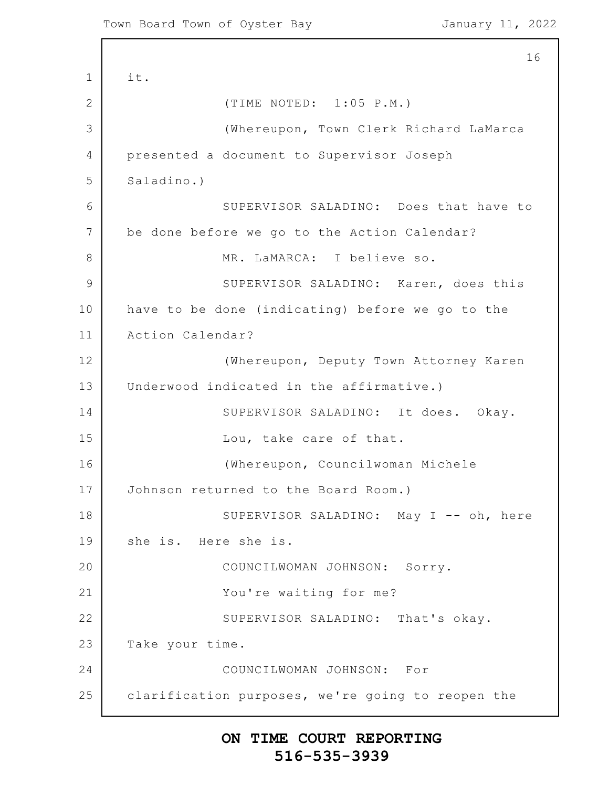1 2 3 4 5 6 7 8 9 10 11 12 13 14 15 16 17 18 19 20 21 22 23 24 25 16 it. (TIME NOTED: 1:05 P.M.) (Whereupon, Town Clerk Richard LaMarca presented a document to Supervisor Joseph Saladino.) SUPERVISOR SALADINO: Does that have to be done before we go to the Action Calendar? MR. LaMARCA: I believe so. SUPERVISOR SALADINO: Karen, does this have to be done (indicating) before we go to the Action Calendar? (Whereupon, Deputy Town Attorney Karen Underwood indicated in the affirmative.) SUPERVISOR SALADINO: It does. Okay. Lou, take care of that. (Whereupon, Councilwoman Michele Johnson returned to the Board Room.) SUPERVISOR SALADINO: May I -- oh, here she is. Here she is. COUNCILWOMAN JOHNSON: Sorry. You're waiting for me? SUPERVISOR SALADINO: That's okay. Take your time. COUNCILWOMAN JOHNSON: For clarification purposes, we're going to reopen the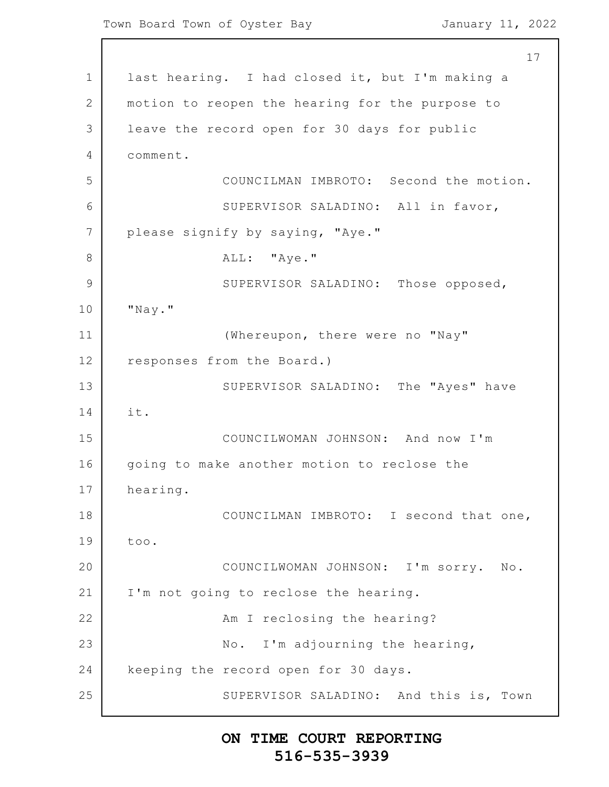1 2 3 4 5 6 7 8 9 10 11 12 13 14 15 16 17 18 19 20 21 22 23 24 25 17 last hearing. I had closed it, but I'm making a motion to reopen the hearing for the purpose to leave the record open for 30 days for public comment. COUNCILMAN IMBROTO: Second the motion. SUPERVISOR SALADINO: All in favor, please signify by saying, "Aye." ALL: "Aye." SUPERVISOR SALADINO: Those opposed, "Nay." (Whereupon, there were no "Nay" responses from the Board.) SUPERVISOR SALADINO: The "Ayes" have it. COUNCILWOMAN JOHNSON: And now I'm going to make another motion to reclose the hearing. COUNCILMAN IMBROTO: I second that one, too. COUNCILWOMAN JOHNSON: I'm sorry. No. I'm not going to reclose the hearing. Am I reclosing the hearing? No. I'm adjourning the hearing, keeping the record open for 30 days. SUPERVISOR SALADINO: And this is, Town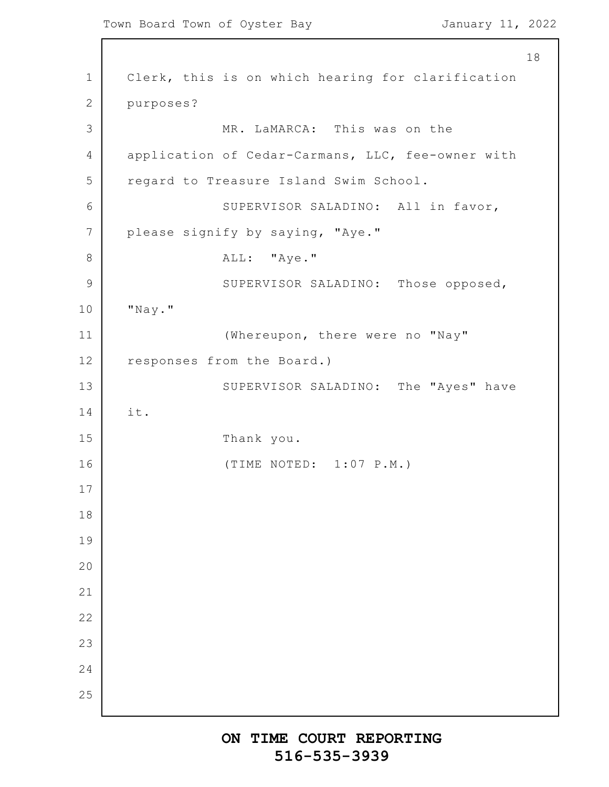1 2 3 4 5 6 7 8 9 10 11 12 13 14 15 16 17 18 19 20 21 22 23 24 25 18 Clerk, this is on which hearing for clarification purposes? MR. LaMARCA: This was on the application of Cedar-Carmans, LLC, fee-owner with regard to Treasure Island Swim School. SUPERVISOR SALADINO: All in favor, please signify by saying, "Aye." ALL: "Aye." SUPERVISOR SALADINO: Those opposed, "Nay." (Whereupon, there were no "Nay" responses from the Board.) SUPERVISOR SALADINO: The "Ayes" have it. Thank you. (TIME NOTED: 1:07 P.M.)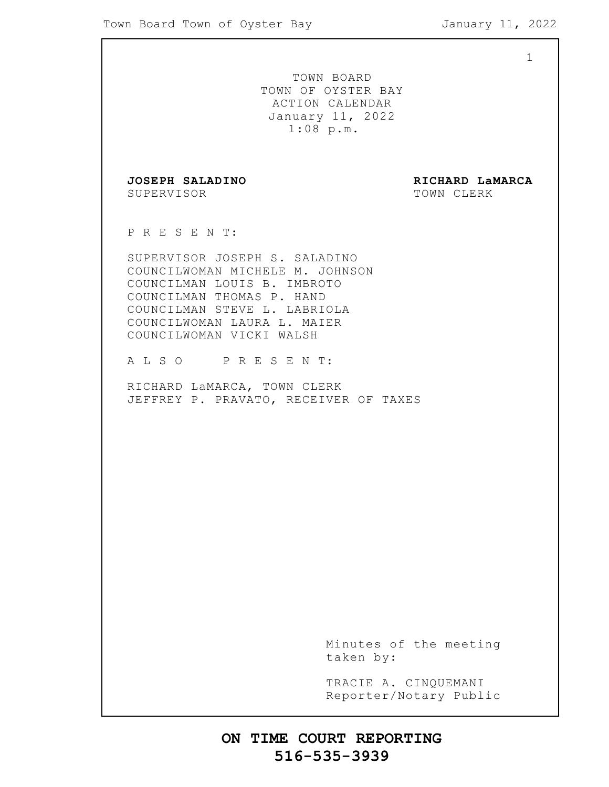1 TOWN BOARD TOWN OF OYSTER BAY ACTION CALENDAR January 11, 2022 1:08 p.m. **JOSEPH SALADINO RICHARD LaMARCA** SUPERVISOR TOWN CLERK P R E S E N T: SUPERVISOR JOSEPH S. SALADINO COUNCILWOMAN MICHELE M. JOHNSON COUNCILMAN LOUIS B. IMBROTO COUNCILMAN THOMAS P. HAND COUNCILMAN STEVE L. LABRIOLA COUNCILWOMAN LAURA L. MAIER COUNCILWOMAN VICKI WALSH A L S O P R E S E N T: RICHARD LaMARCA, TOWN CLERK JEFFREY P. PRAVATO, RECEIVER OF TAXES Minutes of the meeting taken by: TRACIE A. CINQUEMANI Reporter/Notary Public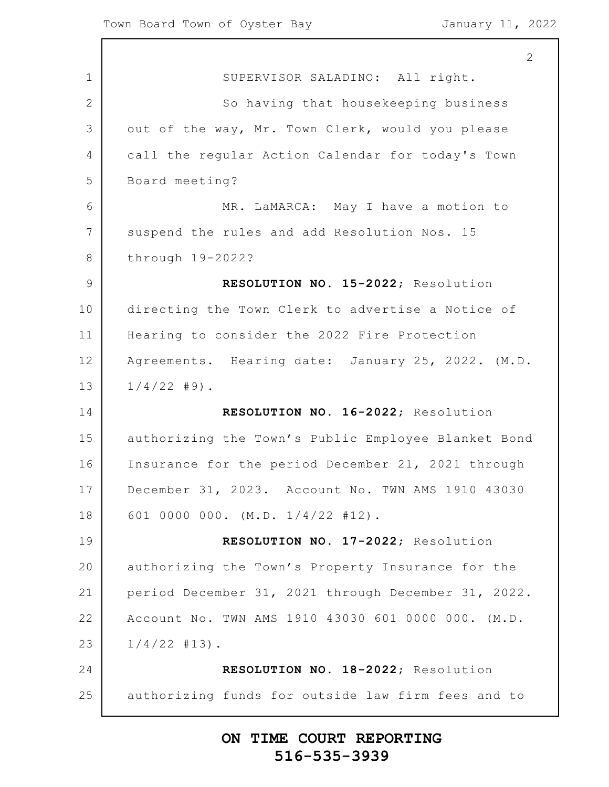$\Gamma$ 

|                | 2                                                   |
|----------------|-----------------------------------------------------|
| $\mathbf 1$    | SUPERVISOR SALADINO: All right.                     |
| $\overline{2}$ | So having that housekeeping business                |
| 3              | out of the way, Mr. Town Clerk, would you please    |
| $\overline{4}$ | call the regular Action Calendar for today's Town   |
| 5              | Board meeting?                                      |
| 6              | MR. LaMARCA: May I have a motion to                 |
| 7              | suspend the rules and add Resolution Nos. 15        |
| 8              | through 19-2022?                                    |
| $\mathsf 9$    | RESOLUTION NO. 15-2022; Resolution                  |
| 10             | directing the Town Clerk to advertise a Notice of   |
| 11             | Hearing to consider the 2022 Fire Protection        |
| 12             | Agreements. Hearing date: January 25, 2022. (M.D.   |
| 13             | $1/4/22$ #9).                                       |
| 14             | RESOLUTION NO. 16-2022; Resolution                  |
| 15             | authorizing the Town's Public Employee Blanket Bond |
| 16             | Insurance for the period December 21, 2021 through  |
| 17             | December 31, 2023. Account No. TWN AMS 1910 43030   |
| 18             | 601 0000 000. (M.D. 1/4/22 #12).                    |
| 19             | RESOLUTION NO. 17-2022; Resolution                  |
| 20             | authorizing the Town's Property Insurance for the   |
| 21             | period December 31, 2021 through December 31, 2022. |
| 22             | Account No. TWN AMS 1910 43030 601 0000 000. (M.D.  |
| 23             | $1/4/22$ #13).                                      |
| 24             | RESOLUTION NO. 18-2022; Resolution                  |
| 25             | authorizing funds for outside law firm fees and to  |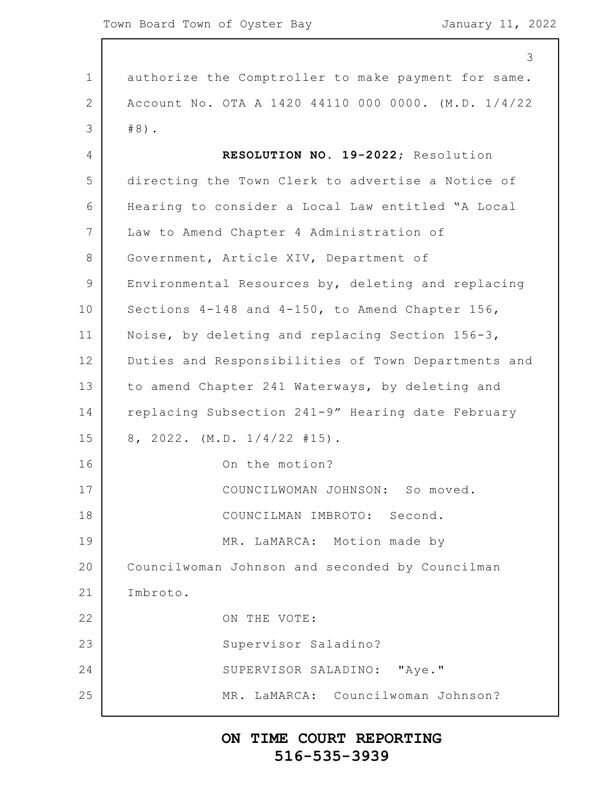1 2 3 4 5 6 7 8 9 10 11 12 13 14 15 16 17 18 19 20 21 22 23 24 25 3 authorize the Comptroller to make payment for same. Account No. OTA A 1420 44110 000 0000. (M.D. 1/4/22 #8). **RESOLUTION NO. 19-2022**; Resolution directing the Town Clerk to advertise a Notice of Hearing to consider a Local Law entitled "A Local Law to Amend Chapter 4 Administration of Government, Article XIV, Department of Environmental Resources by, deleting and replacing Sections 4-148 and 4-150, to Amend Chapter 156, Noise, by deleting and replacing Section 156-3, Duties and Responsibilities of Town Departments and to amend Chapter 241 Waterways, by deleting and replacing Subsection 241-9" Hearing date February 8, 2022. (M.D. 1/4/22 #15). On the motion? COUNCILWOMAN JOHNSON: So moved. COUNCILMAN IMBROTO: Second. MR. LaMARCA: Motion made by Councilwoman Johnson and seconded by Councilman Imbroto. ON THE VOTE: Supervisor Saladino? SUPERVISOR SALADINO: "Aye." MR. LaMARCA: Councilwoman Johnson?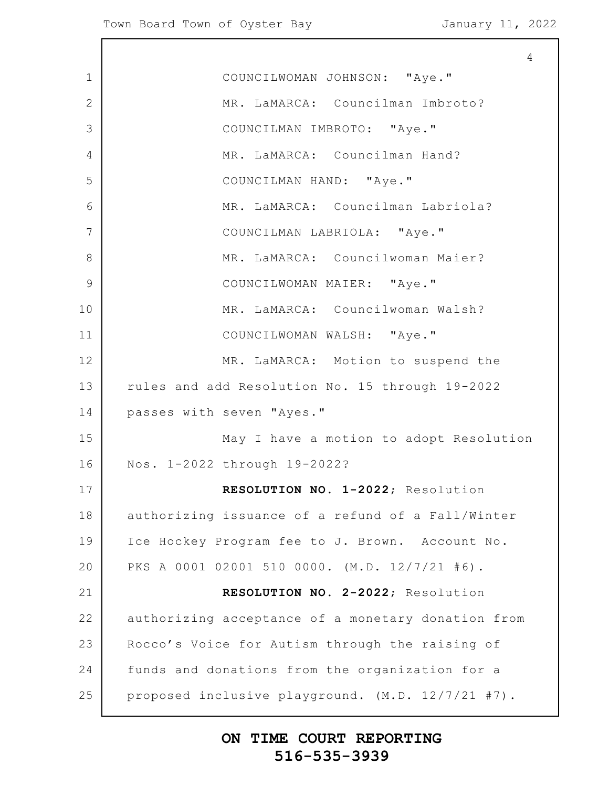$\overline{\phantom{a}}$ 

|              | $\overline{4}$                                     |
|--------------|----------------------------------------------------|
| $\mathbf 1$  | COUNCILWOMAN JOHNSON: "Aye."                       |
| $\mathbf{2}$ | MR. LaMARCA: Councilman Imbroto?                   |
| 3            | COUNCILMAN IMBROTO: "Aye."                         |
| 4            | MR. LaMARCA: Councilman Hand?                      |
| 5            | COUNCILMAN HAND: "Aye."                            |
| 6            | MR. LaMARCA: Councilman Labriola?                  |
| 7            | COUNCILMAN LABRIOLA: "Aye."                        |
| 8            | MR. LaMARCA: Councilwoman Maier?                   |
| 9            | COUNCILWOMAN MAIER: "Aye."                         |
| 10           | MR. LaMARCA: Councilwoman Walsh?                   |
| 11           | COUNCILWOMAN WALSH: "Aye."                         |
| 12           | MR. LaMARCA: Motion to suspend the                 |
| 13           | rules and add Resolution No. 15 through 19-2022    |
| 14           | passes with seven "Ayes."                          |
| 15           | May I have a motion to adopt Resolution            |
| 16           | Nos. 1-2022 through 19-2022?                       |
| 17           | RESOLUTION NO. 1-2022; Resolution                  |
| 18           | authorizing issuance of a refund of a Fall/Winter  |
| 19           | Ice Hockey Program fee to J. Brown. Account No.    |
| 20           | PKS A 0001 02001 510 0000. (M.D. 12/7/21 #6).      |
| 21           | RESOLUTION NO. 2-2022; Resolution                  |
| 22           | authorizing acceptance of a monetary donation from |
| 23           | Rocco's Voice for Autism through the raising of    |
| 24           | funds and donations from the organization for a    |
| 25           | proposed inclusive playground. (M.D. 12/7/21 #7).  |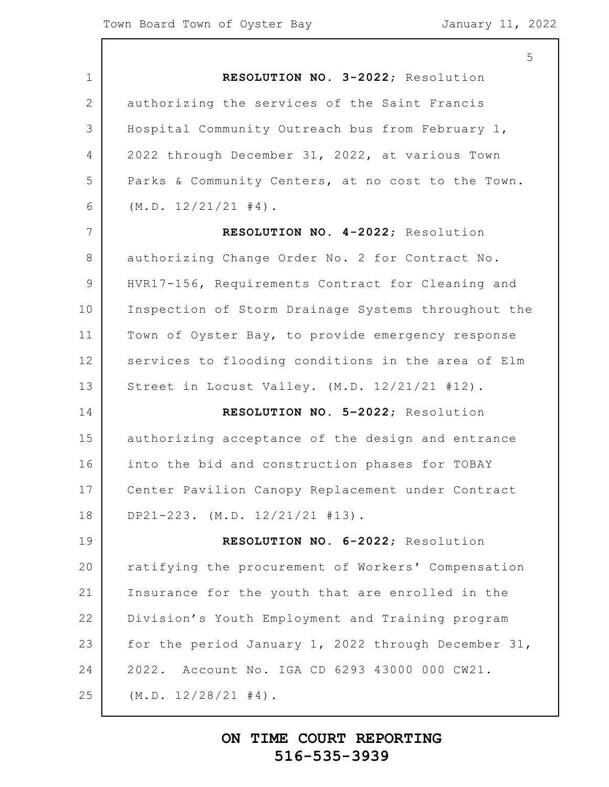|                | 5                                                   |
|----------------|-----------------------------------------------------|
| $\mathbf 1$    | RESOLUTION NO. 3-2022; Resolution                   |
| 2              | authorizing the services of the Saint Francis       |
| 3              | Hospital Community Outreach bus from February 1,    |
| 4              | 2022 through December 31, 2022, at various Town     |
| 5              | Parks & Community Centers, at no cost to the Town.  |
| 6              | (M.D. 12/21/21 #4).                                 |
| $7\phantom{.}$ | RESOLUTION NO. 4-2022; Resolution                   |
| 8              | authorizing Change Order No. 2 for Contract No.     |
| 9              | HVR17-156, Requirements Contract for Cleaning and   |
| 10             | Inspection of Storm Drainage Systems throughout the |
| 11             | Town of Oyster Bay, to provide emergency response   |
| 12             | services to flooding conditions in the area of Elm  |
| 13             | Street in Locust Valley. (M.D. 12/21/21 #12).       |
| 14             | RESOLUTION NO. 5-2022; Resolution                   |
| 15             | authorizing acceptance of the design and entrance   |
| 16             | into the bid and construction phases for TOBAY      |
| 17             | Center Pavilion Canopy Replacement under Contract   |
| 18             | DP21-223. $(M.D. 12/21/21 #13)$ .                   |
| 19             | RESOLUTION NO. 6-2022; Resolution                   |
| 20             | ratifying the procurement of Workers' Compensation  |
| 21             | Insurance for the youth that are enrolled in the    |
| 22             | Division's Youth Employment and Training program    |
| 23             | for the period January 1, 2022 through December 31, |
| 24             | 2022. Account No. IGA CD 6293 43000 000 CW21.       |
| 25             | (M.D. 12/28/21 #4).                                 |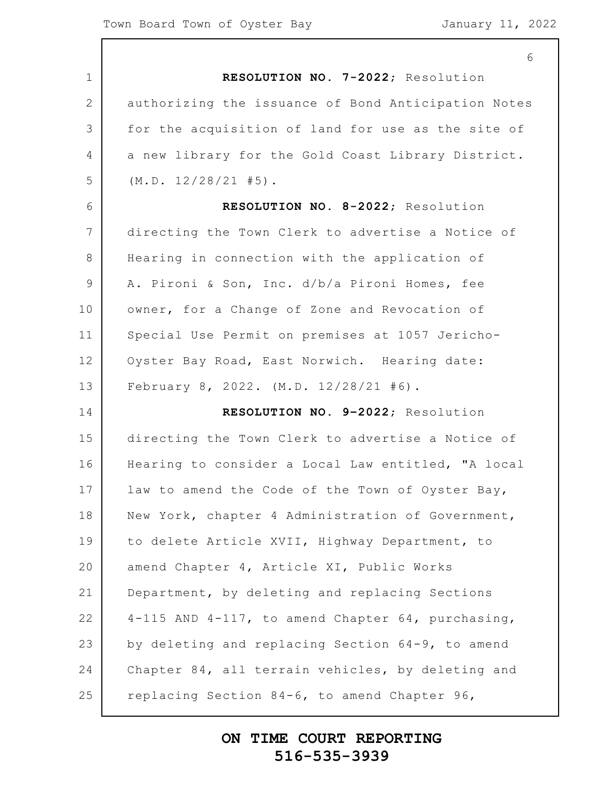|                 | 6                                                      |
|-----------------|--------------------------------------------------------|
| 1               | RESOLUTION NO. 7-2022; Resolution                      |
| $\overline{2}$  | authorizing the issuance of Bond Anticipation Notes    |
| 3               | for the acquisition of land for use as the site of     |
| 4               | a new library for the Gold Coast Library District.     |
| 5               | (M.D. 12/28/21 #5).                                    |
| 6               | RESOLUTION NO. 8-2022; Resolution                      |
| $7\phantom{.0}$ | directing the Town Clerk to advertise a Notice of      |
| 8               | Hearing in connection with the application of          |
| $\mathcal{G}$   | A. Pironi & Son, Inc. d/b/a Pironi Homes, fee          |
| 10              | owner, for a Change of Zone and Revocation of          |
| 11              | Special Use Permit on premises at 1057 Jericho-        |
| 12              | Oyster Bay Road, East Norwich. Hearing date:           |
| 13              | February 8, 2022. (M.D. 12/28/21 #6).                  |
| 14              | RESOLUTION NO. 9-2022; Resolution                      |
| 15              | directing the Town Clerk to advertise a Notice of      |
| 16              | Hearing to consider a Local Law entitled, "A local     |
| 17              | law to amend the Code of the Town of Oyster Bay,       |
| 18              | New York, chapter 4 Administration of Government,      |
| 19              | to delete Article XVII, Highway Department, to         |
| 20              | amend Chapter 4, Article XI, Public Works              |
| 21              | Department, by deleting and replacing Sections         |
| 22              | $4-115$ AND $4-117$ , to amend Chapter 64, purchasing, |
| 23              | by deleting and replacing Section 64-9, to amend       |
| 24              | Chapter 84, all terrain vehicles, by deleting and      |
| 25              | replacing Section 84-6, to amend Chapter 96,           |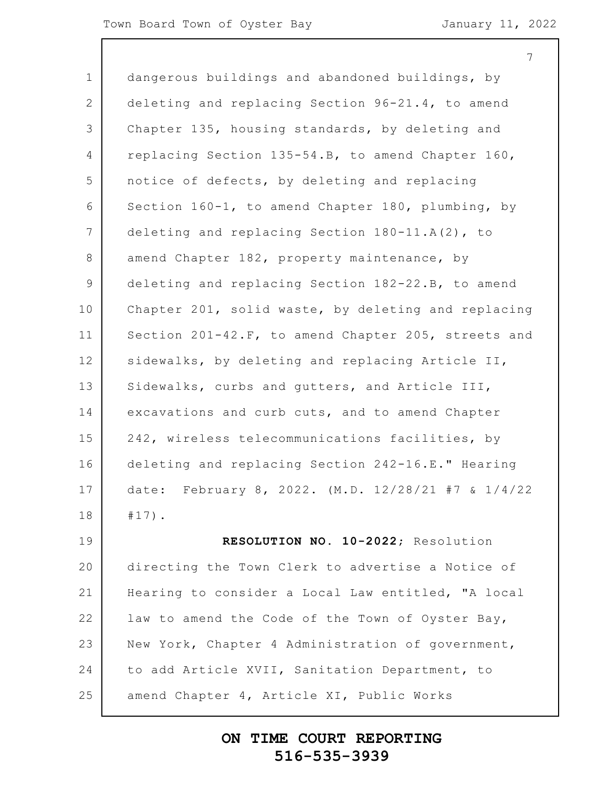7

1 2 3 4 5 6 7 8 9 10 11 12 13 14 15 16 17 18 19 20 21 22 23 24 25 dangerous buildings and abandoned buildings, by deleting and replacing Section 96-21.4, to amend Chapter 135, housing standards, by deleting and replacing Section 135-54.B, to amend Chapter 160, notice of defects, by deleting and replacing Section 160-1, to amend Chapter 180, plumbing, by deleting and replacing Section 180-11.A(2), to amend Chapter 182, property maintenance, by deleting and replacing Section 182-22.B, to amend Chapter 201, solid waste, by deleting and replacing Section 201-42.F, to amend Chapter 205, streets and sidewalks, by deleting and replacing Article II, Sidewalks, curbs and gutters, and Article III, excavations and curb cuts, and to amend Chapter 242, wireless telecommunications facilities, by deleting and replacing Section 242-16.E." Hearing date: February 8, 2022. (M.D. 12/28/21 #7 & 1/4/22 #17). **RESOLUTION NO. 10-2022**; Resolution directing the Town Clerk to advertise a Notice of Hearing to consider a Local Law entitled, "A local law to amend the Code of the Town of Oyster Bay, New York, Chapter 4 Administration of government, to add Article XVII, Sanitation Department, to amend Chapter 4, Article XI, Public Works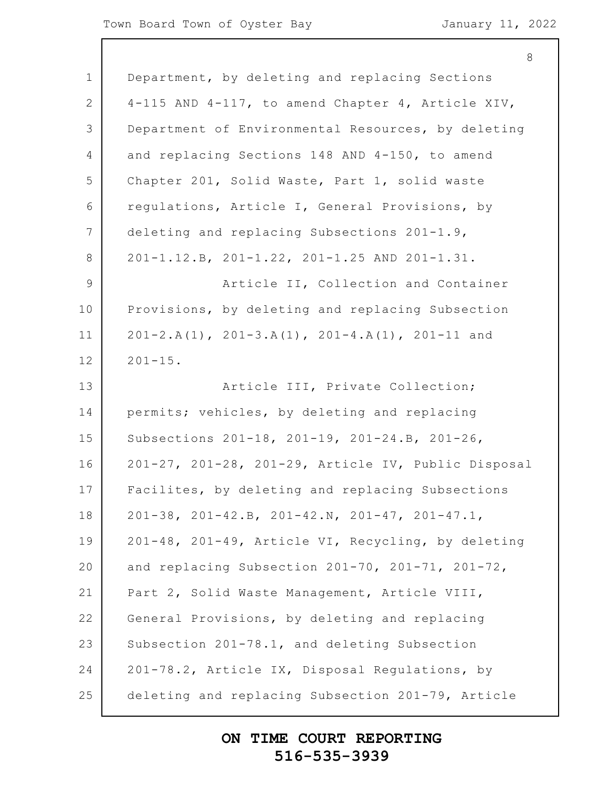|                 | 8                                                            |
|-----------------|--------------------------------------------------------------|
| $\mathbf 1$     | Department, by deleting and replacing Sections               |
| 2               | 4-115 AND 4-117, to amend Chapter 4, Article XIV,            |
| 3               | Department of Environmental Resources, by deleting           |
| $\overline{4}$  | and replacing Sections 148 AND 4-150, to amend               |
| 5               | Chapter 201, Solid Waste, Part 1, solid waste                |
| 6               | regulations, Article I, General Provisions, by               |
| $7\phantom{.0}$ | deleting and replacing Subsections 201-1.9,                  |
| 8               | 201-1.12.B, 201-1.22, 201-1.25 AND 201-1.31.                 |
| $\mathcal{G}$   | Article II, Collection and Container                         |
| 10              | Provisions, by deleting and replacing Subsection             |
| 11              | $201-2.A(1)$ , $201-3.A(1)$ , $201-4.A(1)$ , $201-11$ and    |
| 12              | $201 - 15$ .                                                 |
| 13              | Article III, Private Collection;                             |
| 14              | permits; vehicles, by deleting and replacing                 |
| 15              | Subsections 201-18, 201-19, 201-24.B, 201-26,                |
| 16              | 201-27, 201-28, 201-29, Article IV, Public Disposal          |
| 17              | Facilites, by deleting and replacing Subsections             |
| 18              | $201-38$ , $201-42.B$ , $201-42.N$ , $201-47$ , $201-47.I$ , |
| 19              | 201-48, 201-49, Article VI, Recycling, by deleting           |
| 20              | and replacing Subsection 201-70, 201-71, 201-72,             |
| 21              | Part 2, Solid Waste Management, Article VIII,                |
| 22              | General Provisions, by deleting and replacing                |
| 23              | Subsection 201-78.1, and deleting Subsection                 |
| 24              | 201-78.2, Article IX, Disposal Regulations, by               |
| 25              | deleting and replacing Subsection 201-79, Article            |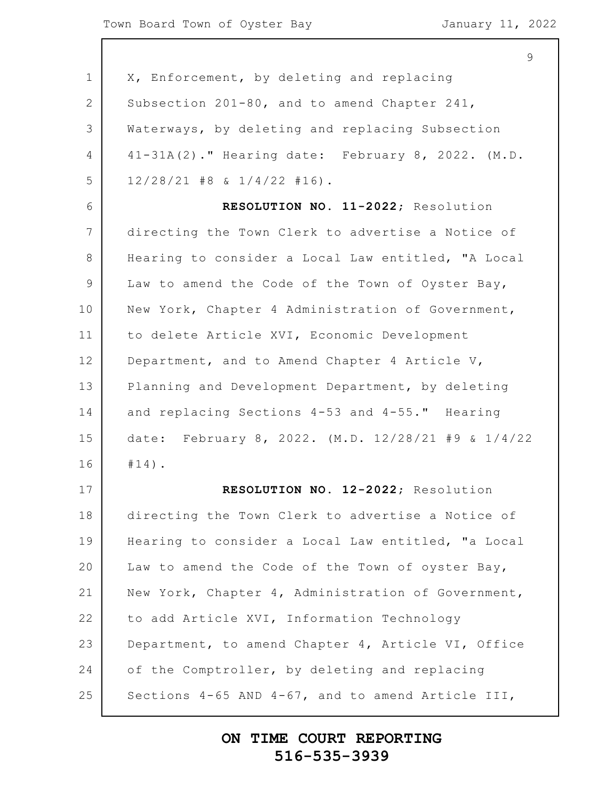1 2 3 4 5 6 7 8 9 10 11 12 13 14 15 16 17 18 19 20 21 22 23 24 25 X, Enforcement, by deleting and replacing Subsection 201-80, and to amend Chapter 241, Waterways, by deleting and replacing Subsection 41-31A(2)." Hearing date: February 8, 2022. (M.D. 12/28/21 #8 & 1/4/22 #16). **RESOLUTION NO. 11-2022**; Resolution directing the Town Clerk to advertise a Notice of Hearing to consider a Local Law entitled, "A Local Law to amend the Code of the Town of Oyster Bay, New York, Chapter 4 Administration of Government, to delete Article XVI, Economic Development Department, and to Amend Chapter 4 Article V, Planning and Development Department, by deleting and replacing Sections 4-53 and 4-55." Hearing date: February 8, 2022. (M.D. 12/28/21 #9 & 1/4/22 #14). **RESOLUTION NO. 12-2022**; Resolution directing the Town Clerk to advertise a Notice of Hearing to consider a Local Law entitled, "a Local Law to amend the Code of the Town of oyster Bay, New York, Chapter 4, Administration of Government, to add Article XVI, Information Technology Department, to amend Chapter 4, Article VI, Office of the Comptroller, by deleting and replacing Sections 4-65 AND 4-67, and to amend Article III,

#### **ON TIME COURT REPORTING 516-535-3939**

9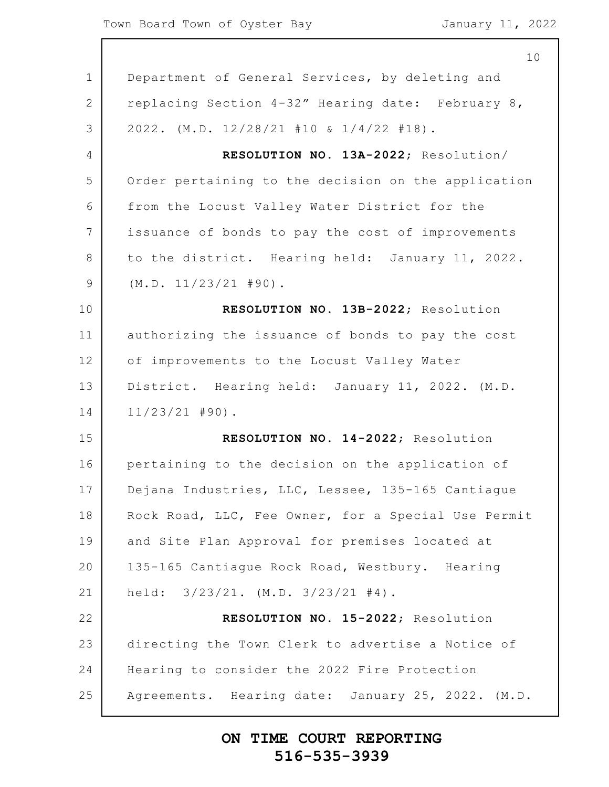$\overline{\phantom{a}}$ 

|                 | 10                                                  |
|-----------------|-----------------------------------------------------|
| $\mathbf 1$     | Department of General Services, by deleting and     |
| 2               | replacing Section 4-32" Hearing date: February 8,   |
| 3               | $2022.$ (M.D. $12/28/21$ #10 & $1/4/22$ #18).       |
| 4               | RESOLUTION NO. 13A-2022; Resolution/                |
| 5               | Order pertaining to the decision on the application |
| 6               | from the Locust Valley Water District for the       |
| $7\phantom{.0}$ | issuance of bonds to pay the cost of improvements   |
| 8               | to the district. Hearing held: January 11, 2022.    |
| 9               | $(M.D. 11/23/21 #90)$ .                             |
| 10              | RESOLUTION NO. 13B-2022; Resolution                 |
| 11              | authorizing the issuance of bonds to pay the cost   |
| 12              | of improvements to the Locust Valley Water          |
| 13              | District. Hearing held: January 11, 2022. (M.D.     |
| 14              | $11/23/21$ #90).                                    |
| 15              | RESOLUTION NO. 14-2022; Resolution                  |
| 16              | pertaining to the decision on the application of    |
| 17              | Dejana Industries, LLC, Lessee, 135-165 Cantiague   |
| 18              | Rock Road, LLC, Fee Owner, for a Special Use Permit |
| 19              | and Site Plan Approval for premises located at      |
| 20              | 135-165 Cantiague Rock Road, Westbury. Hearing      |
| 21              | held: $3/23/21.$ (M.D. $3/23/21$ #4).               |
| 22              | RESOLUTION NO. 15-2022; Resolution                  |
| 23              | directing the Town Clerk to advertise a Notice of   |
| 24              | Hearing to consider the 2022 Fire Protection        |
| 25              | Agreements. Hearing date: January 25, 2022. (M.D.   |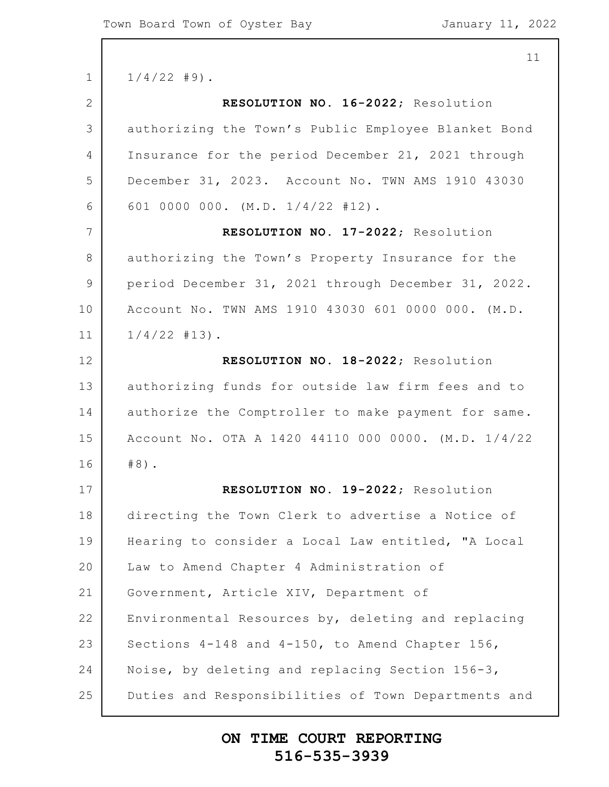1 2 3 4 5 6 7 8 9 10 11 12 13 14 15 16 17 18 19 20 21 22 23 24 25  $1/4/22$  #9). **RESOLUTION NO. 16-2022**; Resolution authorizing the Town's Public Employee Blanket Bond Insurance for the period December 21, 2021 through December 31, 2023. Account No. TWN AMS 1910 43030 601 0000 000. (M.D. 1/4/22 #12). **RESOLUTION NO. 17-2022**; Resolution authorizing the Town's Property Insurance for the period December 31, 2021 through December 31, 2022. Account No. TWN AMS 1910 43030 601 0000 000. (M.D.  $1/4/22$  #13). **RESOLUTION NO. 18-2022**; Resolution authorizing funds for outside law firm fees and to authorize the Comptroller to make payment for same. Account No. OTA A 1420 44110 000 0000. (M.D. 1/4/22 #8). **RESOLUTION NO. 19-2022**; Resolution directing the Town Clerk to advertise a Notice of Hearing to consider a Local Law entitled, "A Local Law to Amend Chapter 4 Administration of Government, Article XIV, Department of Environmental Resources by, deleting and replacing Sections 4-148 and 4-150, to Amend Chapter 156, Noise, by deleting and replacing Section 156-3, Duties and Responsibilities of Town Departments and

#### **ON TIME COURT REPORTING 516-535-3939**

11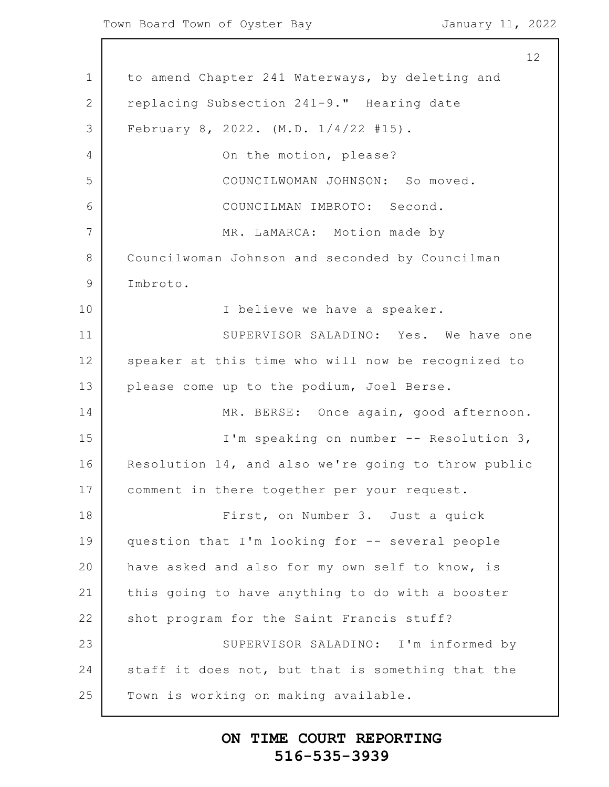1 2 3 4 5 6 7 8 9 10 11 12 13 14 15 16 17 18 19 20 21 22 23 24 25 to amend Chapter 241 Waterways, by deleting and replacing Subsection 241-9." Hearing date February 8, 2022. (M.D. 1/4/22 #15). On the motion, please? COUNCILWOMAN JOHNSON: So moved. COUNCILMAN IMBROTO: Second. MR. LaMARCA: Motion made by Councilwoman Johnson and seconded by Councilman Imbroto. I believe we have a speaker. SUPERVISOR SALADINO: Yes. We have one speaker at this time who will now be recognized to please come up to the podium, Joel Berse. MR. BERSE: Once again, good afternoon. I'm speaking on number -- Resolution 3, Resolution 14, and also we're going to throw public comment in there together per your request. First, on Number 3. Just a quick question that I'm looking for -- several people have asked and also for my own self to know, is this going to have anything to do with a booster shot program for the Saint Francis stuff? SUPERVISOR SALADINO: I'm informed by staff it does not, but that is something that the Town is working on making available.

# **ON TIME COURT REPORTING 516-535-3939**

12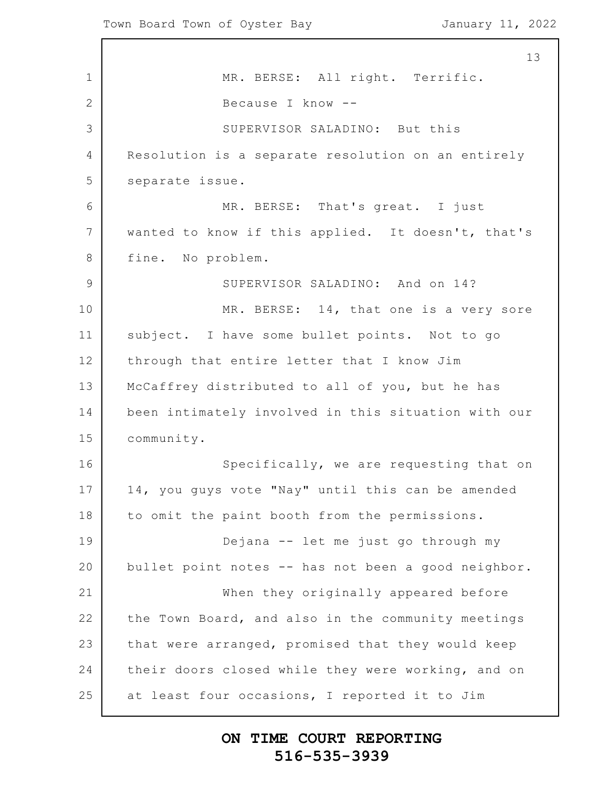1 2 3 4 5 6 7 8 9 10 11 12 13 14 15 16 17 18 19 20 21 22 23 24 25 13 MR. BERSE: All right. Terrific. Because I know -- SUPERVISOR SALADINO: But this Resolution is a separate resolution on an entirely separate issue. MR. BERSE: That's great. I just wanted to know if this applied. It doesn't, that's fine. No problem. SUPERVISOR SALADINO: And on 14? MR. BERSE: 14, that one is a very sore subject. I have some bullet points. Not to go through that entire letter that I know Jim McCaffrey distributed to all of you, but he has been intimately involved in this situation with our community. Specifically, we are requesting that on 14, you guys vote "Nay" until this can be amended to omit the paint booth from the permissions. Dejana -- let me just go through my bullet point notes -- has not been a good neighbor. When they originally appeared before the Town Board, and also in the community meetings that were arranged, promised that they would keep their doors closed while they were working, and on at least four occasions, I reported it to Jim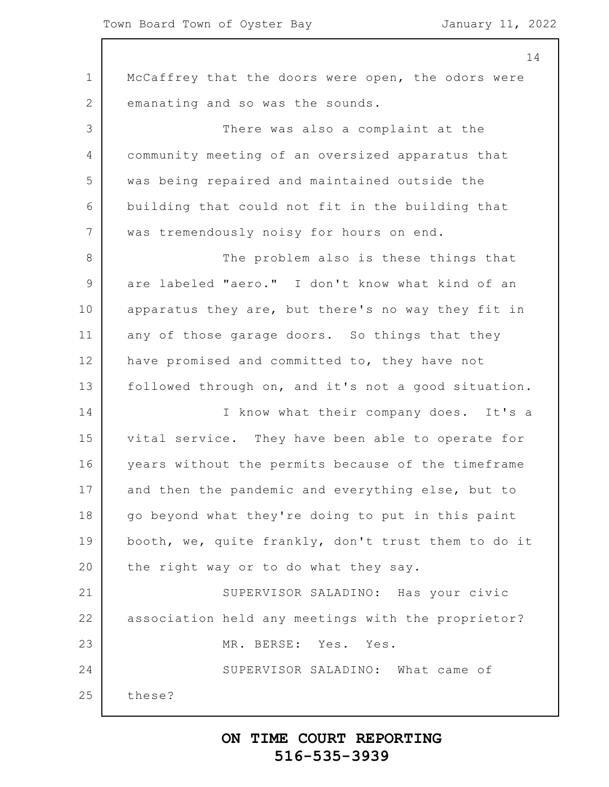|             | 14                                                  |
|-------------|-----------------------------------------------------|
| $\mathbf 1$ | McCaffrey that the doors were open, the odors were  |
| 2           | emanating and so was the sounds.                    |
| 3           | There was also a complaint at the                   |
| 4           | community meeting of an oversized apparatus that    |
| 5           | was being repaired and maintained outside the       |
| 6           | building that could not fit in the building that    |
| 7           | was tremendously noisy for hours on end.            |
| 8           | The problem also is these things that               |
| 9           | are labeled "aero." I don't know what kind of an    |
| 10          | apparatus they are, but there's no way they fit in  |
| 11          | any of those garage doors. So things that they      |
| 12          | have promised and committed to, they have not       |
| 13          | followed through on, and it's not a good situation. |
| 14          | I know what their company does. It's a              |
| 15          | vital service. They have been able to operate for   |
| 16          | years without the permits because of the timeframe  |
| 17          | and then the pandemic and everything else, but to   |
| 18          | go beyond what they're doing to put in this paint   |
| 19          | booth, we, quite frankly, don't trust them to do it |
| 20          | the right way or to do what they say.               |
| 21          | SUPERVISOR SALADINO: Has your civic                 |
| 22          | association held any meetings with the proprietor?  |
| 23          | MR. BERSE: Yes. Yes.                                |
| 24          | SUPERVISOR SALADINO: What came of                   |
| 25          | these?                                              |
|             |                                                     |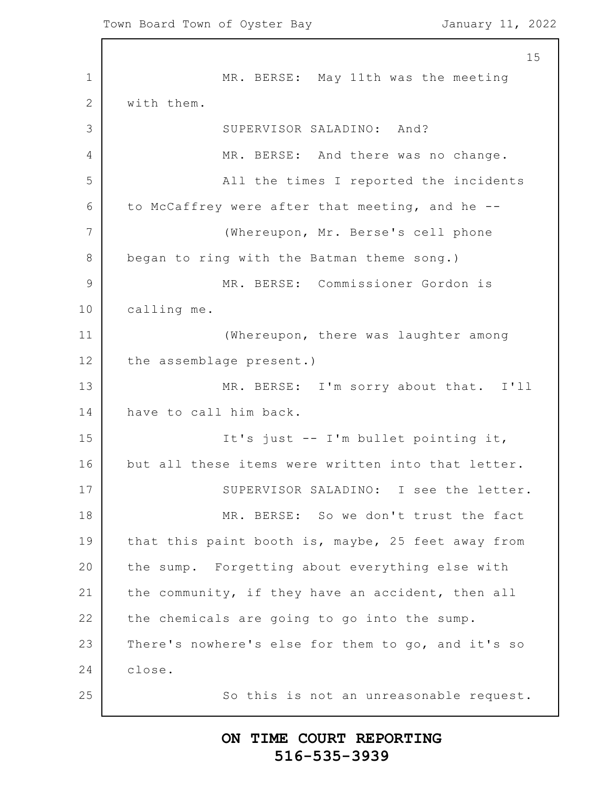1 2 3 4 5 6 7 8 9 10 11 12 13 14 15 16 17 18 19 20 21 22 23 24 25 15 MR. BERSE: May 11th was the meeting with them. SUPERVISOR SALADINO: And? MR. BERSE: And there was no change. All the times I reported the incidents to McCaffrey were after that meeting, and he -- (Whereupon, Mr. Berse's cell phone began to ring with the Batman theme song.) MR. BERSE: Commissioner Gordon is calling me. (Whereupon, there was laughter among the assemblage present.) MR. BERSE: I'm sorry about that. I'll have to call him back. It's just -- I'm bullet pointing it, but all these items were written into that letter. SUPERVISOR SALADINO: I see the letter. MR. BERSE: So we don't trust the fact that this paint booth is, maybe, 25 feet away from the sump. Forgetting about everything else with the community, if they have an accident, then all the chemicals are going to go into the sump. There's nowhere's else for them to go, and it's so close. So this is not an unreasonable request.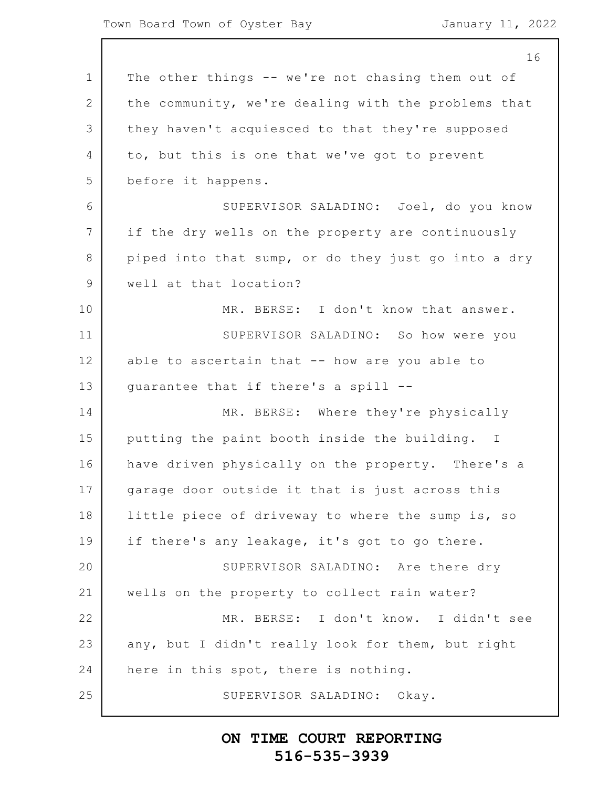1 2 3 4 5 6 7 8 9 10 11 12 13 14 15 16 17 18 19 20 21 22 23 24 25 16 The other things -- we're not chasing them out of the community, we're dealing with the problems that they haven't acquiesced to that they're supposed to, but this is one that we've got to prevent before it happens. SUPERVISOR SALADINO: Joel, do you know if the dry wells on the property are continuously piped into that sump, or do they just go into a dry well at that location? MR. BERSE: I don't know that answer. SUPERVISOR SALADINO: So how were you able to ascertain that -- how are you able to guarantee that if there's a spill -- MR. BERSE: Where they're physically putting the paint booth inside the building. I have driven physically on the property. There's a garage door outside it that is just across this little piece of driveway to where the sump is, so if there's any leakage, it's got to go there. SUPERVISOR SALADINO: Are there dry wells on the property to collect rain water? MR. BERSE: I don't know. I didn't see any, but I didn't really look for them, but right here in this spot, there is nothing. SUPERVISOR SALADINO: Okay.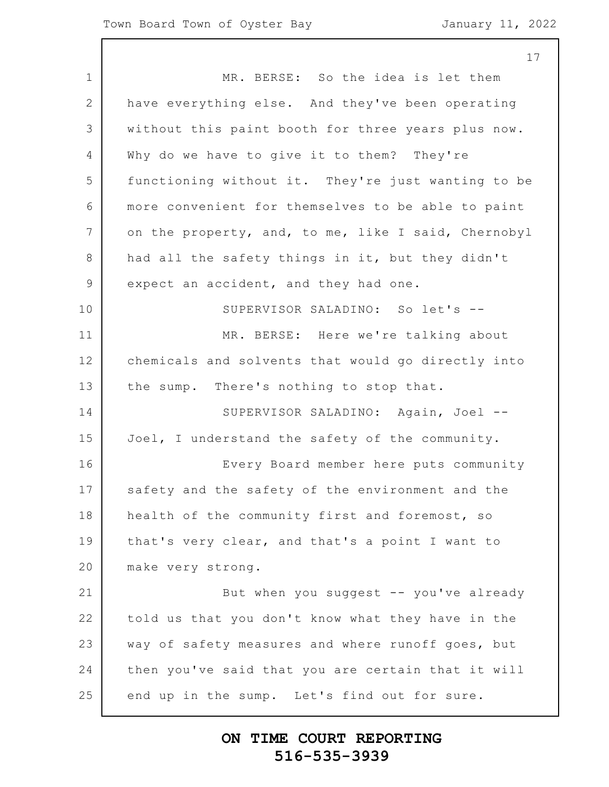1 2 3 4 5 6 7 8 9 10 11 12 13 14 15 16 17 18 19 20 21 22 23 24 25 17 MR. BERSE: So the idea is let them have everything else. And they've been operating without this paint booth for three years plus now. Why do we have to give it to them? They're functioning without it. They're just wanting to be more convenient for themselves to be able to paint on the property, and, to me, like I said, Chernobyl had all the safety things in it, but they didn't expect an accident, and they had one. SUPERVISOR SALADINO: So let's -- MR. BERSE: Here we're talking about chemicals and solvents that would go directly into the sump. There's nothing to stop that. SUPERVISOR SALADINO: Again, Joel -- Joel, I understand the safety of the community. Every Board member here puts community safety and the safety of the environment and the health of the community first and foremost, so that's very clear, and that's a point I want to make very strong. But when you suggest  $-$ - you've already told us that you don't know what they have in the way of safety measures and where runoff goes, but then you've said that you are certain that it will end up in the sump. Let's find out for sure.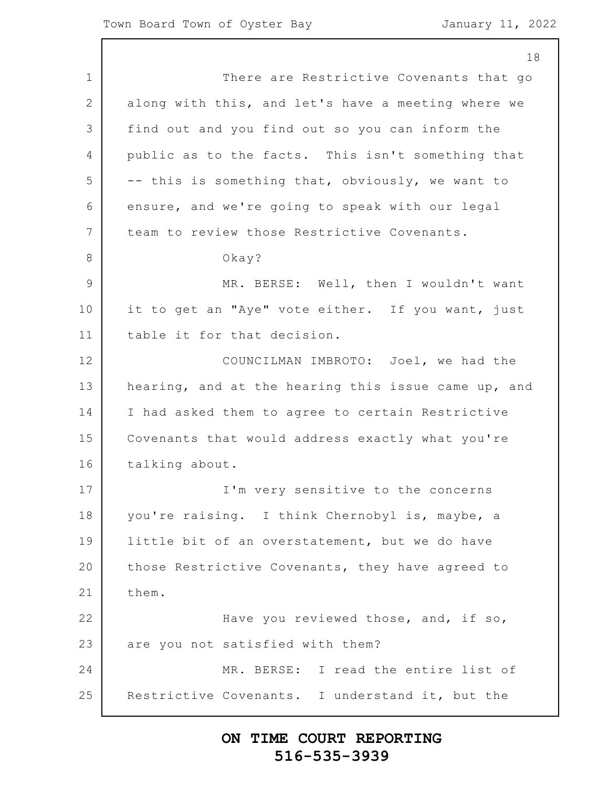1 2 3 4 5 6 7 8 9 10 11 12 13 14 15 16 17 18 19 20 21 22 23 24 25 18 There are Restrictive Covenants that go along with this, and let's have a meeting where we find out and you find out so you can inform the public as to the facts. This isn't something that -- this is something that, obviously, we want to ensure, and we're going to speak with our legal team to review those Restrictive Covenants. Okay? MR. BERSE: Well, then I wouldn't want it to get an "Aye" vote either. If you want, just table it for that decision. COUNCILMAN IMBROTO: Joel, we had the hearing, and at the hearing this issue came up, and I had asked them to agree to certain Restrictive Covenants that would address exactly what you're talking about. I'm very sensitive to the concerns you're raising. I think Chernobyl is, maybe, a little bit of an overstatement, but we do have those Restrictive Covenants, they have agreed to them. Have you reviewed those, and, if so, are you not satisfied with them? MR. BERSE: I read the entire list of Restrictive Covenants. I understand it, but the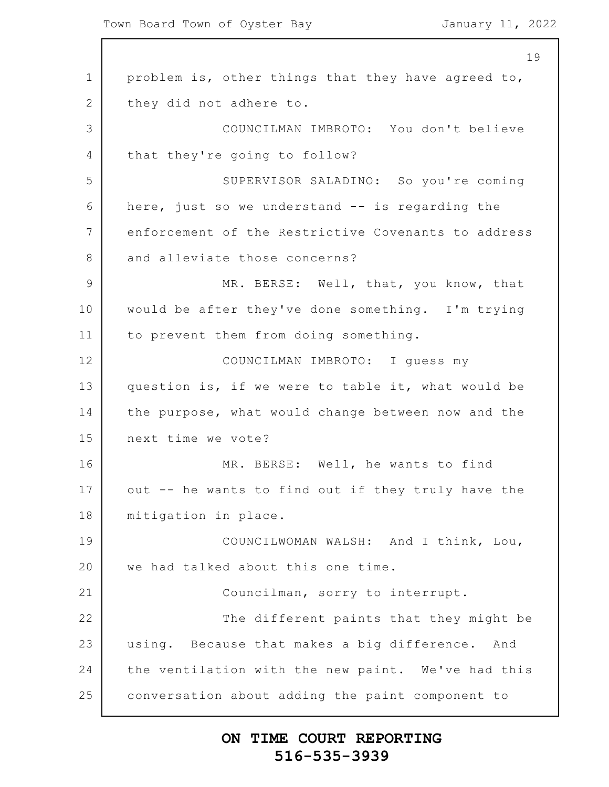1 2 3 4 5 6 7 8 9 10 11 12 13 14 15 16 17 18 19 20 21 22 23 24 25 19 problem is, other things that they have agreed to, they did not adhere to. COUNCILMAN IMBROTO: You don't believe that they're going to follow? SUPERVISOR SALADINO: So you're coming here, just so we understand -- is regarding the enforcement of the Restrictive Covenants to address and alleviate those concerns? MR. BERSE: Well, that, you know, that would be after they've done something. I'm trying to prevent them from doing something. COUNCILMAN IMBROTO: I guess my question is, if we were to table it, what would be the purpose, what would change between now and the next time we vote? MR. BERSE: Well, he wants to find out -- he wants to find out if they truly have the mitigation in place. COUNCILWOMAN WALSH: And I think, Lou, we had talked about this one time. Councilman, sorry to interrupt. The different paints that they might be using. Because that makes a big difference. And the ventilation with the new paint. We've had this conversation about adding the paint component to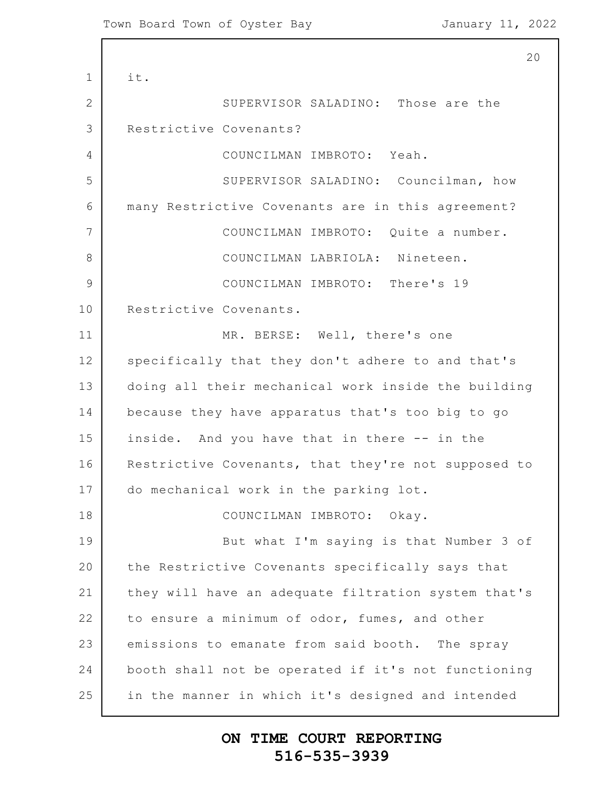1 2 3 4 5 6 7 8 9 10 11 12 13 14 15 16 17 18 19 20 21 22 23 24 25 20 it. SUPERVISOR SALADINO: Those are the Restrictive Covenants? COUNCILMAN IMBROTO: Yeah. SUPERVISOR SALADINO: Councilman, how many Restrictive Covenants are in this agreement? COUNCILMAN IMBROTO: Quite a number. COUNCILMAN LABRIOLA: Nineteen. COUNCILMAN IMBROTO: There's 19 Restrictive Covenants. MR. BERSE: Well, there's one specifically that they don't adhere to and that's doing all their mechanical work inside the building because they have apparatus that's too big to go inside. And you have that in there -- in the Restrictive Covenants, that they're not supposed to do mechanical work in the parking lot. COUNCILMAN IMBROTO: Okay. But what I'm saying is that Number 3 of the Restrictive Covenants specifically says that they will have an adequate filtration system that's to ensure a minimum of odor, fumes, and other emissions to emanate from said booth. The spray booth shall not be operated if it's not functioning in the manner in which it's designed and intended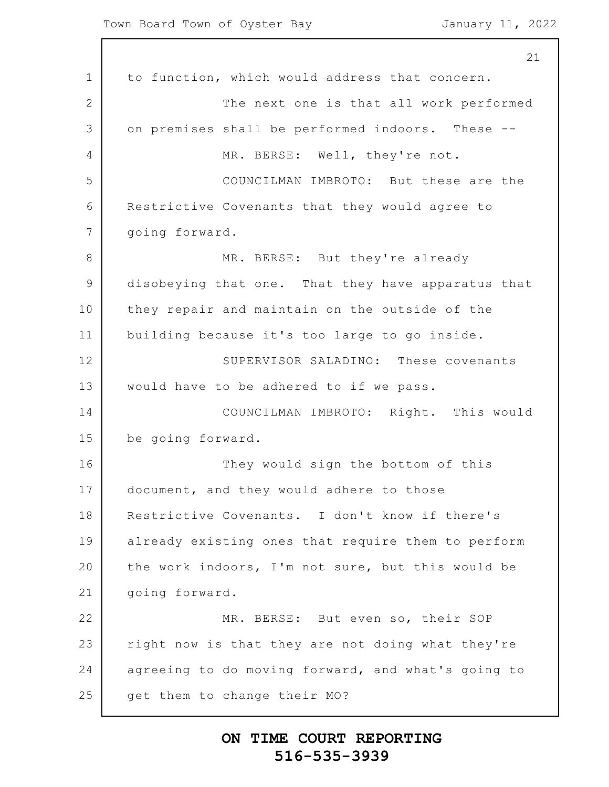1 2 3 4 5 6 7 8 9 10 11 12 13 14 15 16 17 18 19 20 21 22 23 24 25 21 to function, which would address that concern. The next one is that all work performed on premises shall be performed indoors. These -- MR. BERSE: Well, they're not. COUNCILMAN IMBROTO: But these are the Restrictive Covenants that they would agree to going forward. MR. BERSE: But they're already disobeying that one. That they have apparatus that they repair and maintain on the outside of the building because it's too large to go inside. SUPERVISOR SALADINO: These covenants would have to be adhered to if we pass. COUNCILMAN IMBROTO: Right. This would be going forward. They would sign the bottom of this document, and they would adhere to those Restrictive Covenants. I don't know if there's already existing ones that require them to perform the work indoors, I'm not sure, but this would be going forward. MR. BERSE: But even so, their SOP right now is that they are not doing what they're agreeing to do moving forward, and what's going to get them to change their MO?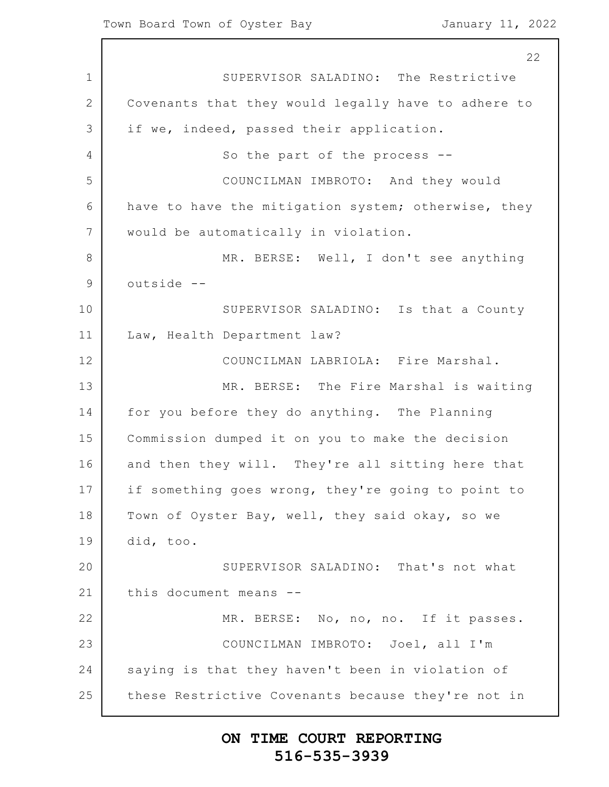1 2 3 4 5 6 7 8 9 10 11 12 13 14 15 16 17 18 19 20 21 22 23 24 25 22 SUPERVISOR SALADINO: The Restrictive Covenants that they would legally have to adhere to if we, indeed, passed their application. So the part of the process -- COUNCILMAN IMBROTO: And they would have to have the mitigation system; otherwise, they would be automatically in violation. MR. BERSE: Well, I don't see anything outside -- SUPERVISOR SALADINO: Is that a County Law, Health Department law? COUNCILMAN LABRIOLA: Fire Marshal. MR. BERSE: The Fire Marshal is waiting for you before they do anything. The Planning Commission dumped it on you to make the decision and then they will. They're all sitting here that if something goes wrong, they're going to point to Town of Oyster Bay, well, they said okay, so we did, too. SUPERVISOR SALADINO: That's not what this document means -- MR. BERSE: No, no, no. If it passes. COUNCILMAN IMBROTO: Joel, all I'm saying is that they haven't been in violation of these Restrictive Covenants because they're not in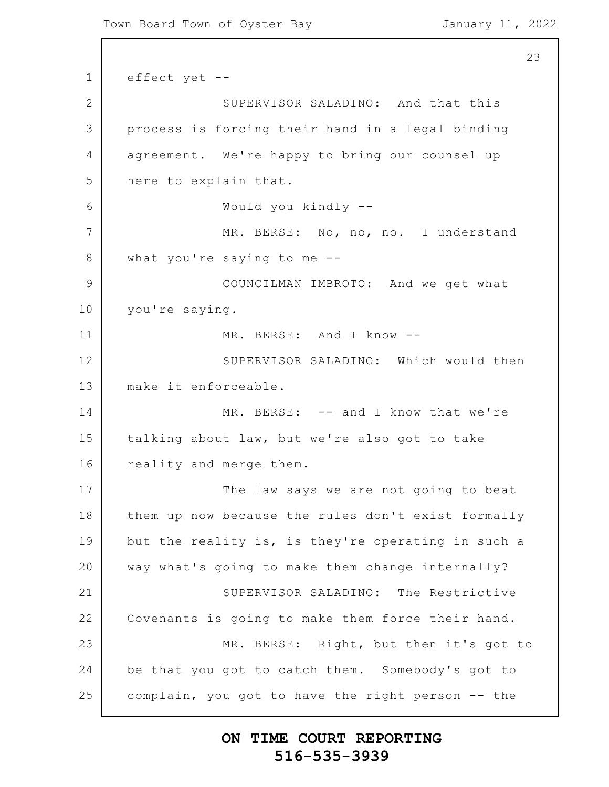```
1
2
3
4
5
6
7
8
9
10
11
12
13
14
15
16
17
18
19
20
21
22
23
24
25
                                                          23
      effect yet --
                  SUPERVISOR SALADINO: And that this
      process is forcing their hand in a legal binding
      agreement. We're happy to bring our counsel up
      here to explain that.
                  Would you kindly --
                  MR. BERSE: No, no, no. I understand
      what you're saying to me --
                  COUNCILMAN IMBROTO: And we get what
      you're saying.
                  MR. BERSE: And I know --
                  SUPERVISOR SALADINO: Which would then
      make it enforceable.
                  MR. BERSE: -- and I know that we're
      talking about law, but we're also got to take
      reality and merge them.
                  The law says we are not going to beat
      them up now because the rules don't exist formally
      but the reality is, is they're operating in such a
      way what's going to make them change internally?
                  SUPERVISOR SALADINO: The Restrictive
      Covenants is going to make them force their hand.
                  MR. BERSE: Right, but then it's got to
      be that you got to catch them. Somebody's got to
      complain, you got to have the right person -- the
```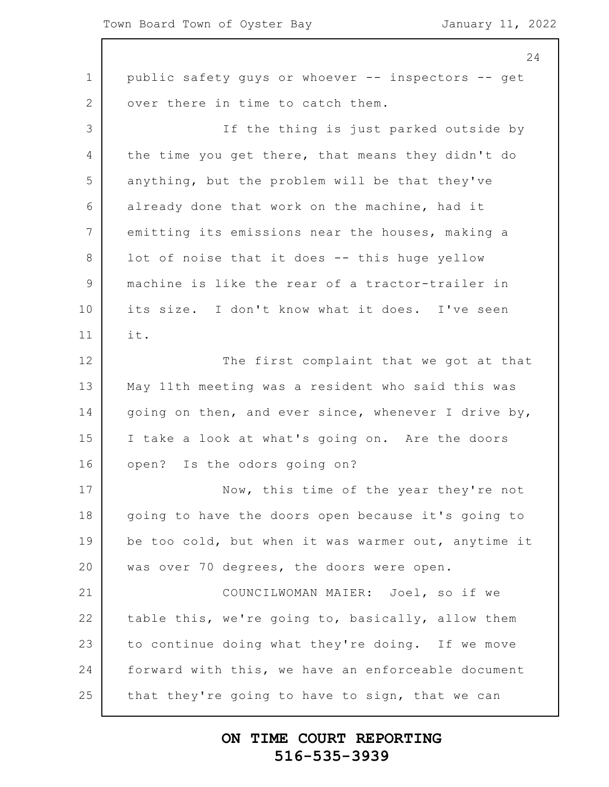1 2 3 4 5 6 7 8 9 10 11 12 13 14 15 16 17 18 19 20 21 22 23 24 25 24 public safety guys or whoever -- inspectors -- get over there in time to catch them. If the thing is just parked outside by the time you get there, that means they didn't do anything, but the problem will be that they've already done that work on the machine, had it emitting its emissions near the houses, making a lot of noise that it does -- this huge yellow machine is like the rear of a tractor-trailer in its size. I don't know what it does. I've seen it. The first complaint that we got at that May 11th meeting was a resident who said this was going on then, and ever since, whenever I drive by, I take a look at what's going on. Are the doors open? Is the odors going on? Now, this time of the year they're not going to have the doors open because it's going to be too cold, but when it was warmer out, anytime it was over 70 degrees, the doors were open. COUNCILWOMAN MAIER: Joel, so if we table this, we're going to, basically, allow them to continue doing what they're doing. If we move forward with this, we have an enforceable document that they're going to have to sign, that we can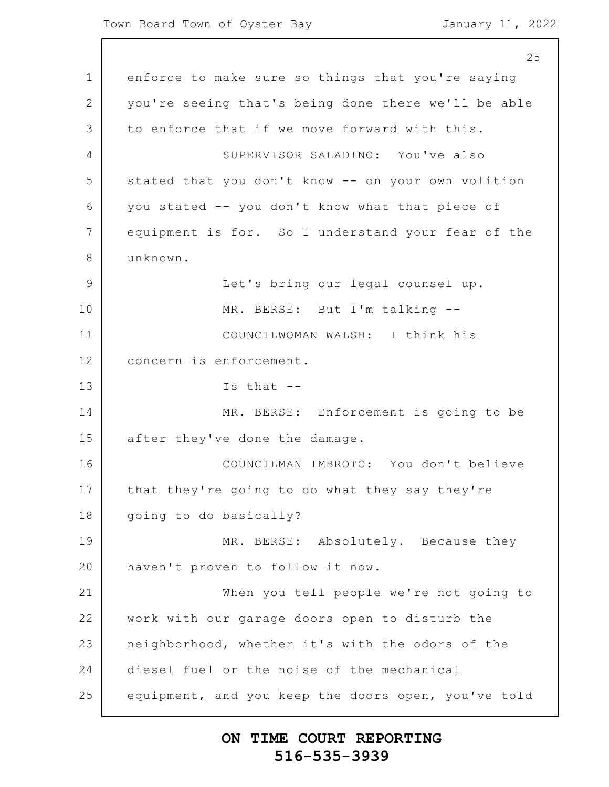1 2 3 4 5 6 7 8 9 10 11 12 13 14 15 16 17 18 19 20 21 22 23 24 25 25 enforce to make sure so things that you're saying you're seeing that's being done there we'll be able to enforce that if we move forward with this. SUPERVISOR SALADINO: You've also stated that you don't know -- on your own volition you stated -- you don't know what that piece of equipment is for. So I understand your fear of the unknown. Let's bring our legal counsel up. MR. BERSE: But I'm talking -- COUNCILWOMAN WALSH: I think his concern is enforcement. Is that -- MR. BERSE: Enforcement is going to be after they've done the damage. COUNCILMAN IMBROTO: You don't believe that they're going to do what they say they're going to do basically? MR. BERSE: Absolutely. Because they haven't proven to follow it now. When you tell people we're not going to work with our garage doors open to disturb the neighborhood, whether it's with the odors of the diesel fuel or the noise of the mechanical equipment, and you keep the doors open, you've told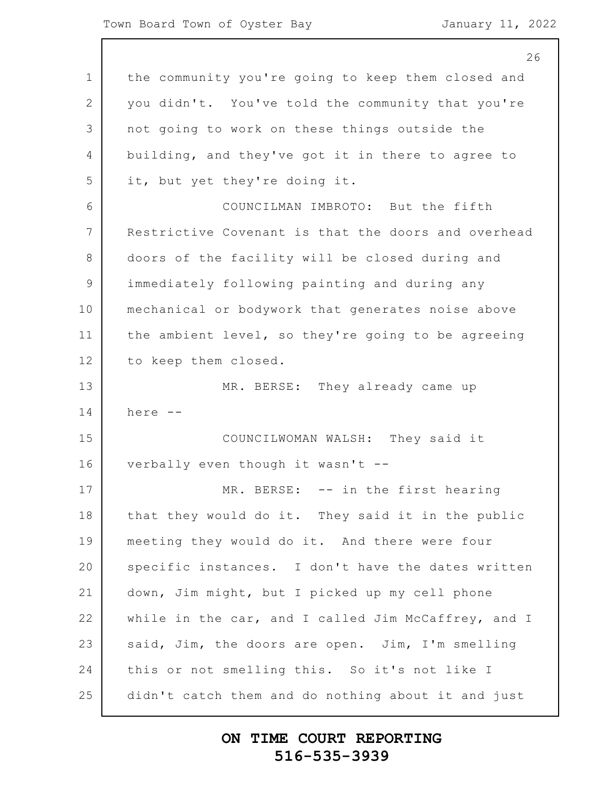|             | 26                                                  |
|-------------|-----------------------------------------------------|
| $\mathbf 1$ | the community you're going to keep them closed and  |
| 2           | you didn't. You've told the community that you're   |
| 3           | not going to work on these things outside the       |
| 4           | building, and they've got it in there to agree to   |
| 5           | it, but yet they're doing it.                       |
| 6           | COUNCILMAN IMBROTO: But the fifth                   |
| 7           | Restrictive Covenant is that the doors and overhead |
| 8           | doors of the facility will be closed during and     |
| $\mathsf 9$ | immediately following painting and during any       |
| 10          | mechanical or bodywork that generates noise above   |
| 11          | the ambient level, so they're going to be agreeing  |
| 12          | to keep them closed.                                |
| 13          | MR. BERSE: They already came up                     |
| 14          | here --                                             |
| 15          | COUNCILWOMAN WALSH: They said it                    |
| 16          | verbally even though it wasn't --                   |
| 17          | -- in the first hearing<br>MR. BERSE:               |
| 18          | that they would do it. They said it in the public   |
| 19          | meeting they would do it. And there were four       |
| 20          | specific instances. I don't have the dates written  |
| 21          | down, Jim might, but I picked up my cell phone      |
| 22          | while in the car, and I called Jim McCaffrey, and I |
| 23          | said, Jim, the doors are open. Jim, I'm smelling    |
| 24          | this or not smelling this. So it's not like I       |
| 25          | didn't catch them and do nothing about it and just  |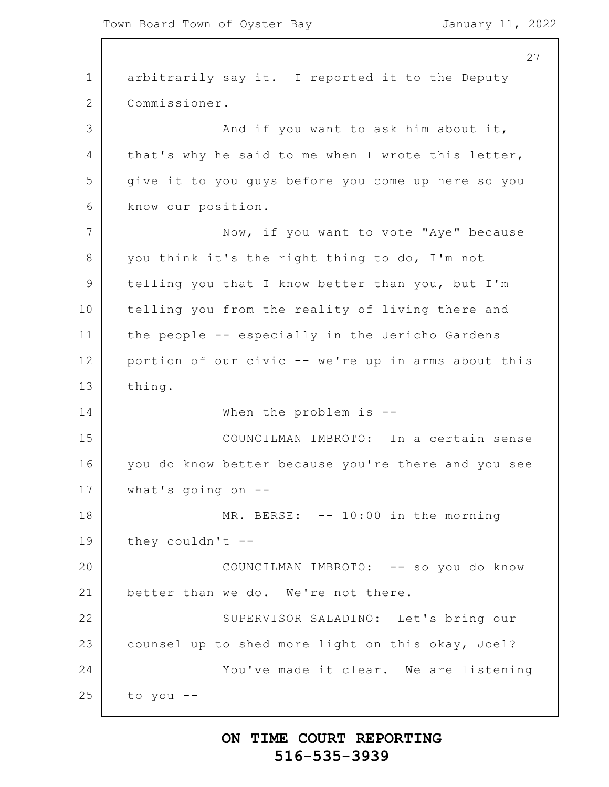1 2 3 4 5 6 7 8 9 10 11 12 13 14 15 16 17 18 19 20 21 22 23 24 25 27 arbitrarily say it. I reported it to the Deputy Commissioner. And if you want to ask him about it, that's why he said to me when I wrote this letter, give it to you guys before you come up here so you know our position. Now, if you want to vote "Aye" because you think it's the right thing to do, I'm not telling you that I know better than you, but I'm telling you from the reality of living there and the people -- especially in the Jericho Gardens portion of our civic -- we're up in arms about this thing. When the problem is --COUNCILMAN IMBROTO: In a certain sense you do know better because you're there and you see what's going on  $-$ -MR. BERSE: -- 10:00 in the morning they couldn't  $-$ -COUNCILMAN IMBROTO: -- so you do know better than we do. We're not there. SUPERVISOR SALADINO: Let's bring our counsel up to shed more light on this okay, Joel? You've made it clear. We are listening to you --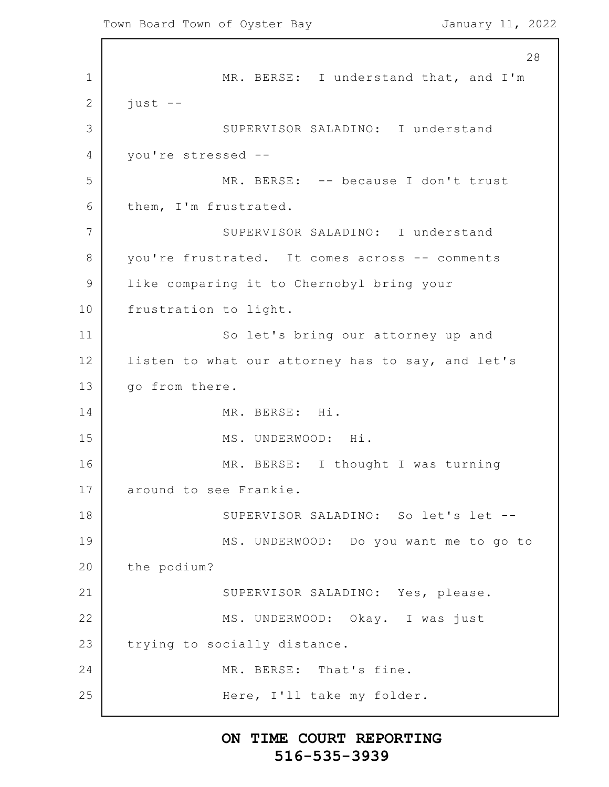1 2 3 4 5 6 7 8 9 10 11 12 13 14 15 16 17 18 19 20 21 22 23 24 25 28 MR. BERSE: I understand that, and I'm just -- SUPERVISOR SALADINO: I understand you're stressed -- MR. BERSE: -- because I don't trust them, I'm frustrated. SUPERVISOR SALADINO: I understand you're frustrated. It comes across -- comments like comparing it to Chernobyl bring your frustration to light. So let's bring our attorney up and listen to what our attorney has to say, and let's go from there. MR. BERSE: Hi. MS. UNDERWOOD: Hi. MR. BERSE: I thought I was turning around to see Frankie. SUPERVISOR SALADINO: So let's let -- MS. UNDERWOOD: Do you want me to go to the podium? SUPERVISOR SALADINO: Yes, please. MS. UNDERWOOD: Okay. I was just trying to socially distance. MR. BERSE: That's fine. Here, I'll take my folder.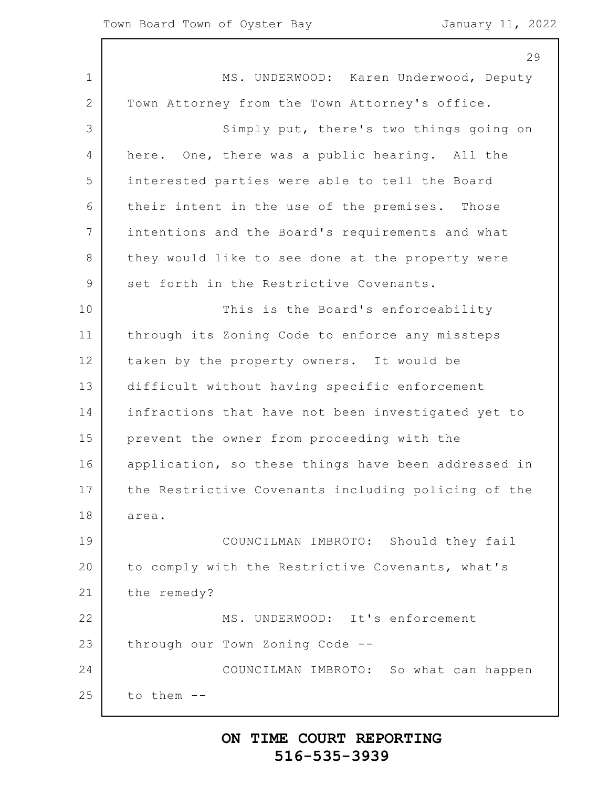|                | 29                                                  |
|----------------|-----------------------------------------------------|
| $\mathbf 1$    | MS. UNDERWOOD: Karen Underwood, Deputy              |
| 2              | Town Attorney from the Town Attorney's office.      |
| 3              | Simply put, there's two things going on             |
| $\overline{4}$ | here. One, there was a public hearing. All the      |
| 5              | interested parties were able to tell the Board      |
| 6              | their intent in the use of the premises. Those      |
| 7              | intentions and the Board's requirements and what    |
| 8              | they would like to see done at the property were    |
| $\overline{9}$ | set forth in the Restrictive Covenants.             |
| 10             | This is the Board's enforceability                  |
| 11             | through its Zoning Code to enforce any missteps     |
| 12             | taken by the property owners. It would be           |
| 13             | difficult without having specific enforcement       |
| 14             | infractions that have not been investigated yet to  |
| 15             | prevent the owner from proceeding with the          |
| 16             | application, so these things have been addressed in |
| 17             | the Restrictive Covenants including policing of the |
| 18             | area.                                               |
| 19             | COUNCILMAN IMBROTO: Should they fail                |
| 20             | to comply with the Restrictive Covenants, what's    |
| 21             | the remedy?                                         |
| 22             | MS. UNDERWOOD: It's enforcement                     |
| 23             | through our Town Zoning Code --                     |
| 24             | COUNCILMAN IMBROTO: So what can happen              |
| 25             | to them --                                          |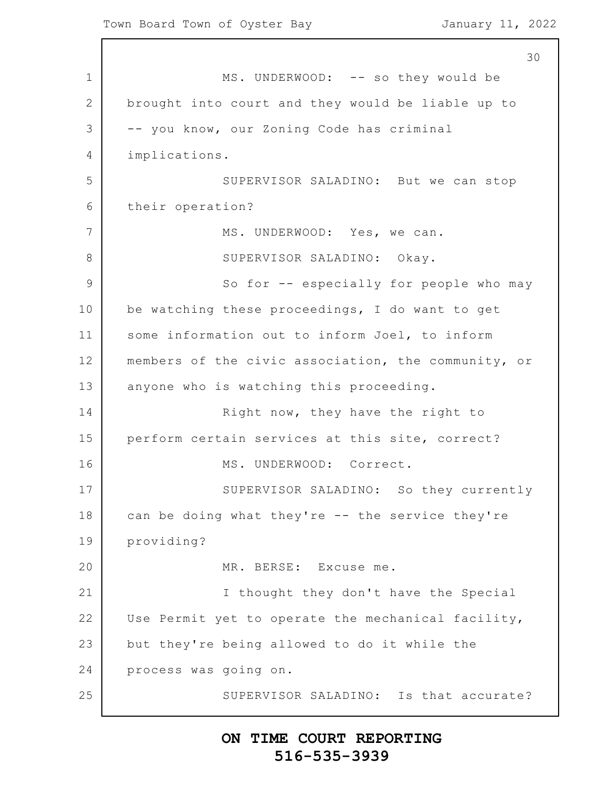1 2 3 4 5 6 7 8 9 10 11 12 13 14 15 16 17 18 19 20 21 22 23 24 25 30 MS. UNDERWOOD: -- so they would be brought into court and they would be liable up to -- you know, our Zoning Code has criminal implications. SUPERVISOR SALADINO: But we can stop their operation? MS. UNDERWOOD: Yes, we can. SUPERVISOR SALADINO: Okay. So for -- especially for people who may be watching these proceedings, I do want to get some information out to inform Joel, to inform members of the civic association, the community, or anyone who is watching this proceeding. Right now, they have the right to perform certain services at this site, correct? MS. UNDERWOOD: Correct. SUPERVISOR SALADINO: So they currently can be doing what they're -- the service they're providing? MR. BERSE: Excuse me. I thought they don't have the Special Use Permit yet to operate the mechanical facility, but they're being allowed to do it while the process was going on. SUPERVISOR SALADINO: Is that accurate?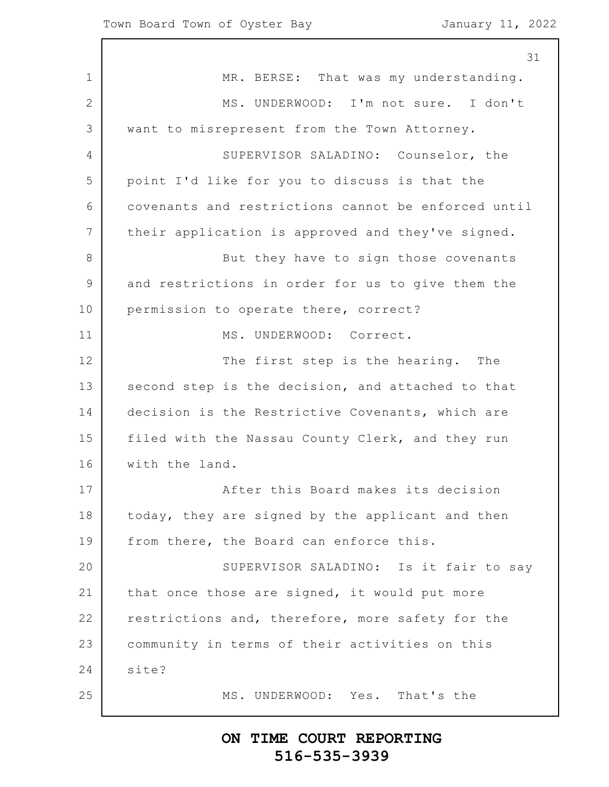1 2 3 4 5 6 7 8 9 10 11 12 13 14 15 16 17 18 19 20 21 22 23 24 25 MR. BERSE: That was my understanding. MS. UNDERWOOD: I'm not sure. I don't want to misrepresent from the Town Attorney. SUPERVISOR SALADINO: Counselor, the point I'd like for you to discuss is that the covenants and restrictions cannot be enforced until their application is approved and they've signed. But they have to sign those covenants and restrictions in order for us to give them the permission to operate there, correct? MS. UNDERWOOD: Correct. The first step is the hearing. The second step is the decision, and attached to that decision is the Restrictive Covenants, which are filed with the Nassau County Clerk, and they run with the land. After this Board makes its decision today, they are signed by the applicant and then from there, the Board can enforce this. SUPERVISOR SALADINO: Is it fair to say that once those are signed, it would put more restrictions and, therefore, more safety for the community in terms of their activities on this site? MS. UNDERWOOD: Yes. That's the

### **ON TIME COURT REPORTING 516-535-3939**

31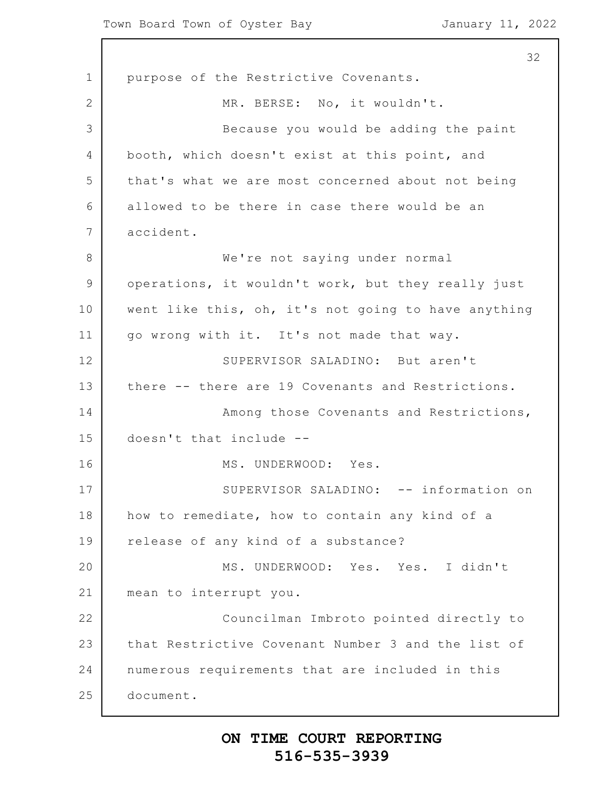1 2 3 4 5 6 7 8 9 10 11 12 13 14 15 16 17 18 19 20 21 22 23 24 25 32 purpose of the Restrictive Covenants. MR. BERSE: No, it wouldn't. Because you would be adding the paint booth, which doesn't exist at this point, and that's what we are most concerned about not being allowed to be there in case there would be an accident. We're not saying under normal operations, it wouldn't work, but they really just went like this, oh, it's not going to have anything go wrong with it. It's not made that way. SUPERVISOR SALADINO: But aren't there -- there are 19 Covenants and Restrictions. Among those Covenants and Restrictions, doesn't that include -- MS. UNDERWOOD: Yes. SUPERVISOR SALADINO: -- information on how to remediate, how to contain any kind of a release of any kind of a substance? MS. UNDERWOOD: Yes. Yes. I didn't mean to interrupt you. Councilman Imbroto pointed directly to that Restrictive Covenant Number 3 and the list of numerous requirements that are included in this document.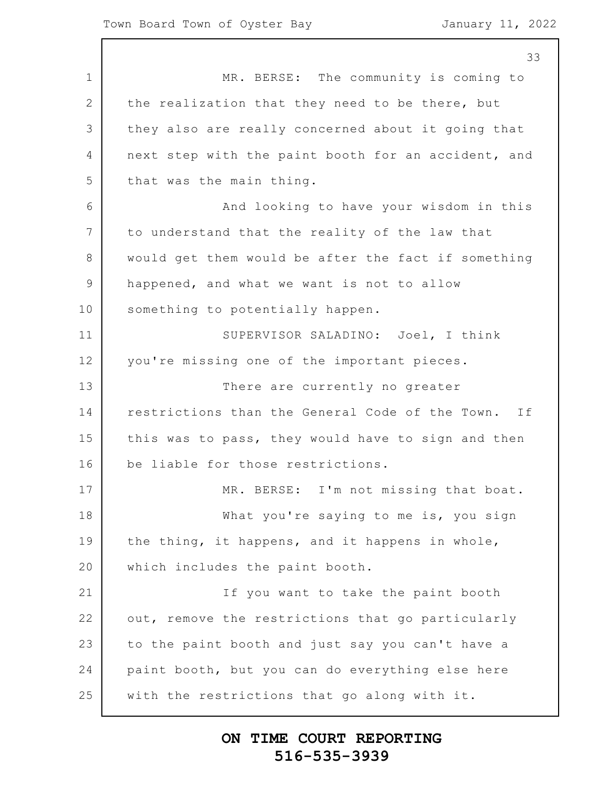1 2 3 4 5 6 7 8 9 10 11 12 13 14 15 16 17 18 19 20 21 22 23 24 25 33 MR. BERSE: The community is coming to the realization that they need to be there, but they also are really concerned about it going that next step with the paint booth for an accident, and that was the main thing. And looking to have your wisdom in this to understand that the reality of the law that would get them would be after the fact if something happened, and what we want is not to allow something to potentially happen. SUPERVISOR SALADINO: Joel, I think you're missing one of the important pieces. There are currently no greater restrictions than the General Code of the Town. If this was to pass, they would have to sign and then be liable for those restrictions. MR. BERSE: I'm not missing that boat. What you're saying to me is, you sign the thing, it happens, and it happens in whole, which includes the paint booth. If you want to take the paint booth out, remove the restrictions that go particularly to the paint booth and just say you can't have a paint booth, but you can do everything else here with the restrictions that go along with it.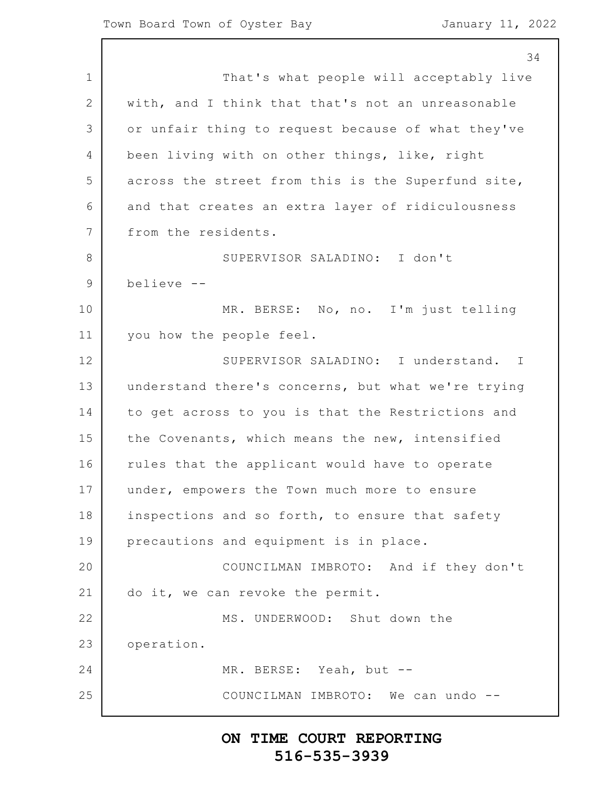1 2 3 4 5 6 7 8 9 10 11 12 13 14 15 16 17 18 19 20 21 22 23 24 25 34 That's what people will acceptably live with, and I think that that's not an unreasonable or unfair thing to request because of what they've been living with on other things, like, right across the street from this is the Superfund site, and that creates an extra layer of ridiculousness from the residents. SUPERVISOR SALADINO: I don't believe -- MR. BERSE: No, no. I'm just telling you how the people feel. SUPERVISOR SALADINO: I understand. I understand there's concerns, but what we're trying to get across to you is that the Restrictions and the Covenants, which means the new, intensified rules that the applicant would have to operate under, empowers the Town much more to ensure inspections and so forth, to ensure that safety precautions and equipment is in place. COUNCILMAN IMBROTO: And if they don't do it, we can revoke the permit. MS. UNDERWOOD: Shut down the operation. MR. BERSE: Yeah, but -- COUNCILMAN IMBROTO: We can undo --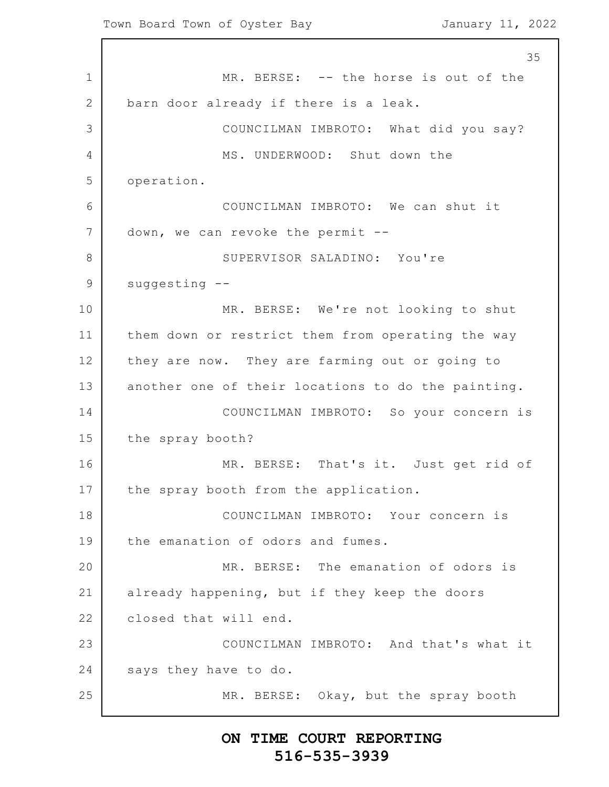1 2 3 4 5 6 7 8 9 10 11 12 13 14 15 16 17 18 19 20 21 22 23 24 25 35 MR. BERSE: -- the horse is out of the barn door already if there is a leak. COUNCILMAN IMBROTO: What did you say? MS. UNDERWOOD: Shut down the operation. COUNCILMAN IMBROTO: We can shut it down, we can revoke the permit -- SUPERVISOR SALADINO: You're suggesting -- MR. BERSE: We're not looking to shut them down or restrict them from operating the way they are now. They are farming out or going to another one of their locations to do the painting. COUNCILMAN IMBROTO: So your concern is the spray booth? MR. BERSE: That's it. Just get rid of the spray booth from the application. COUNCILMAN IMBROTO: Your concern is the emanation of odors and fumes. MR. BERSE: The emanation of odors is already happening, but if they keep the doors closed that will end. COUNCILMAN IMBROTO: And that's what it says they have to do. MR. BERSE: Okay, but the spray booth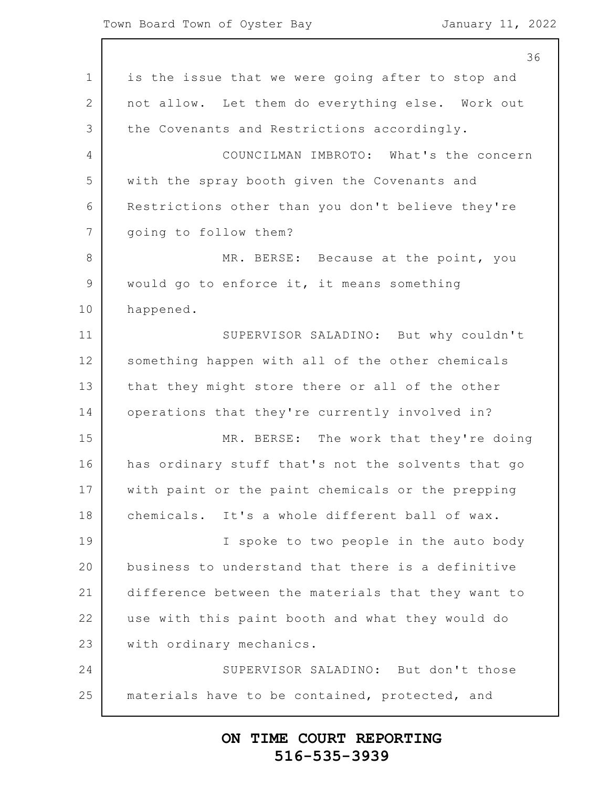1 2 3 4 5 6 7 8 9 10 11 12 13 14 15 16 17 18 19 20 21 22 23 24 25 36 is the issue that we were going after to stop and not allow. Let them do everything else. Work out the Covenants and Restrictions accordingly. COUNCILMAN IMBROTO: What's the concern with the spray booth given the Covenants and Restrictions other than you don't believe they're going to follow them? MR. BERSE: Because at the point, you would go to enforce it, it means something happened. SUPERVISOR SALADINO: But why couldn't something happen with all of the other chemicals that they might store there or all of the other operations that they're currently involved in? MR. BERSE: The work that they're doing has ordinary stuff that's not the solvents that go with paint or the paint chemicals or the prepping chemicals. It's a whole different ball of wax. I spoke to two people in the auto body business to understand that there is a definitive difference between the materials that they want to use with this paint booth and what they would do with ordinary mechanics. SUPERVISOR SALADINO: But don't those materials have to be contained, protected, and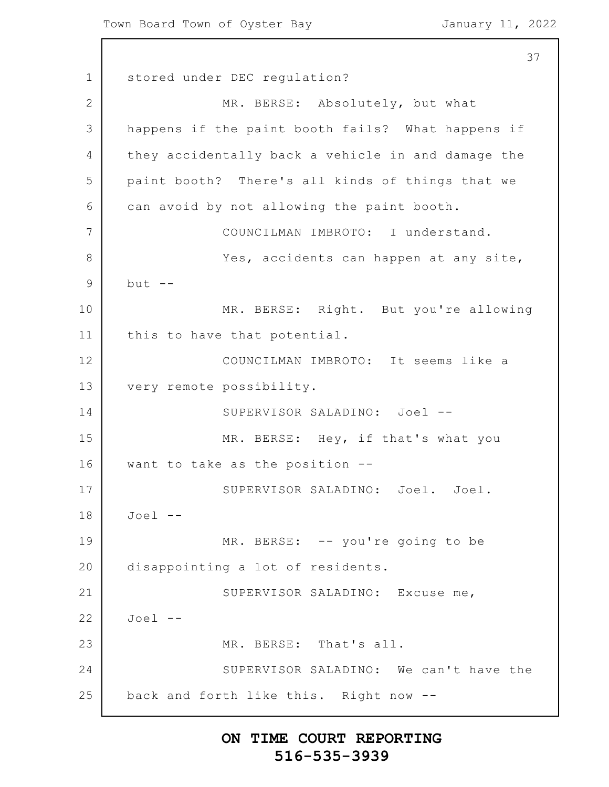37

1 2 3 4 5 6 7 8 9 10 11 12 13 14 15 16 17 18 19 20 21 22 23 24 25 stored under DEC regulation? MR. BERSE: Absolutely, but what happens if the paint booth fails? What happens if they accidentally back a vehicle in and damage the paint booth? There's all kinds of things that we can avoid by not allowing the paint booth. COUNCILMAN IMBROTO: I understand. Yes, accidents can happen at any site,  $but --$ MR. BERSE: Right. But you're allowing this to have that potential. COUNCILMAN IMBROTO: It seems like a very remote possibility. SUPERVISOR SALADINO: Joel -- MR. BERSE: Hey, if that's what you want to take as the position -- SUPERVISOR SALADINO: Joel. Joel. Joel -- MR. BERSE: -- you're going to be disappointing a lot of residents. SUPERVISOR SALADINO: Excuse me, Joel -- MR. BERSE: That's all. SUPERVISOR SALADINO: We can't have the back and forth like this. Right now --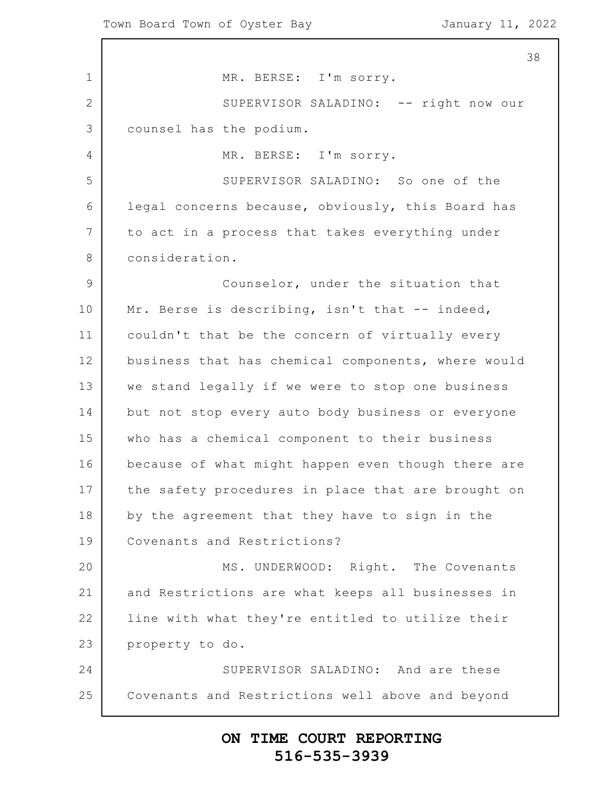1 2 3 4 5 6 7 8 9 10 11 12 13 14 15 16 17 18 19 20 21 22 23 24 25 MR. BERSE: I'm sorry. SUPERVISOR SALADINO: -- right now our counsel has the podium. MR. BERSE: I'm sorry. SUPERVISOR SALADINO: So one of the legal concerns because, obviously, this Board has to act in a process that takes everything under consideration. Counselor, under the situation that Mr. Berse is describing, isn't that -- indeed, couldn't that be the concern of virtually every business that has chemical components, where would we stand legally if we were to stop one business but not stop every auto body business or everyone who has a chemical component to their business because of what might happen even though there are the safety procedures in place that are brought on by the agreement that they have to sign in the Covenants and Restrictions? MS. UNDERWOOD: Right. The Covenants and Restrictions are what keeps all businesses in line with what they're entitled to utilize their property to do. SUPERVISOR SALADINO: And are these Covenants and Restrictions well above and beyond

# **ON TIME COURT REPORTING 516-535-3939**

38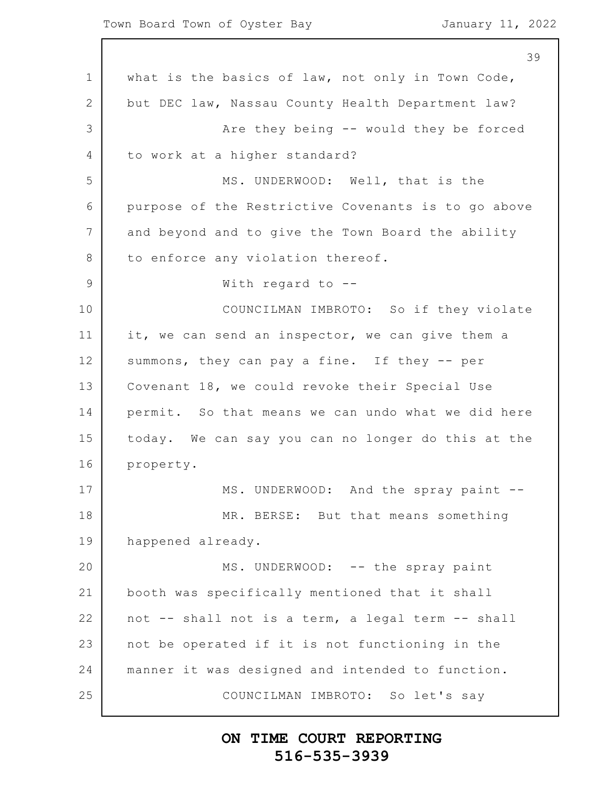1 2 3 4 5 6 7 8 9 10 11 12 13 14 15 16 17 18 19 20 21 22 23 24 25 39 what is the basics of law, not only in Town Code, but DEC law, Nassau County Health Department law? Are they being -- would they be forced to work at a higher standard? MS. UNDERWOOD: Well, that is the purpose of the Restrictive Covenants is to go above and beyond and to give the Town Board the ability to enforce any violation thereof. With regard to -- COUNCILMAN IMBROTO: So if they violate it, we can send an inspector, we can give them a summons, they can pay a fine. If they -- per Covenant 18, we could revoke their Special Use permit. So that means we can undo what we did here today. We can say you can no longer do this at the property. MS. UNDERWOOD: And the spray paint --MR. BERSE: But that means something happened already. MS. UNDERWOOD: -- the spray paint booth was specifically mentioned that it shall not -- shall not is a term, a legal term -- shall not be operated if it is not functioning in the manner it was designed and intended to function. COUNCILMAN IMBROTO: So let's say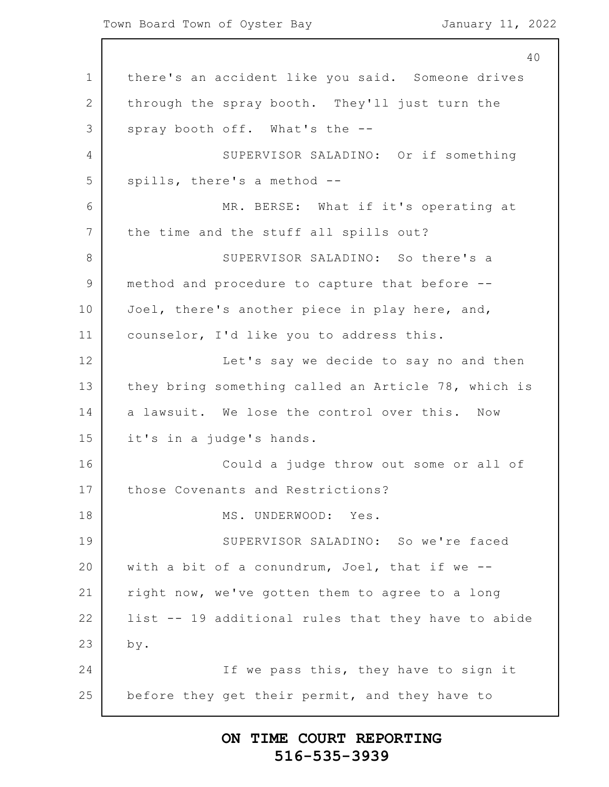1 2 3 4 5 6 7 8 9 10 11 12 13 14 15 16 17 18 19 20 21 22 23 24 25 40 there's an accident like you said. Someone drives through the spray booth. They'll just turn the spray booth off. What's the -- SUPERVISOR SALADINO: Or if something spills, there's a method -- MR. BERSE: What if it's operating at the time and the stuff all spills out? SUPERVISOR SALADINO: So there's a method and procedure to capture that before -- Joel, there's another piece in play here, and, counselor, I'd like you to address this. Let's say we decide to say no and then they bring something called an Article 78, which is a lawsuit. We lose the control over this. Now it's in a judge's hands. Could a judge throw out some or all of those Covenants and Restrictions? MS. UNDERWOOD: Yes. SUPERVISOR SALADINO: So we're faced with a bit of a conundrum, Joel, that if we - right now, we've gotten them to agree to a long list -- 19 additional rules that they have to abide by. If we pass this, they have to sign it before they get their permit, and they have to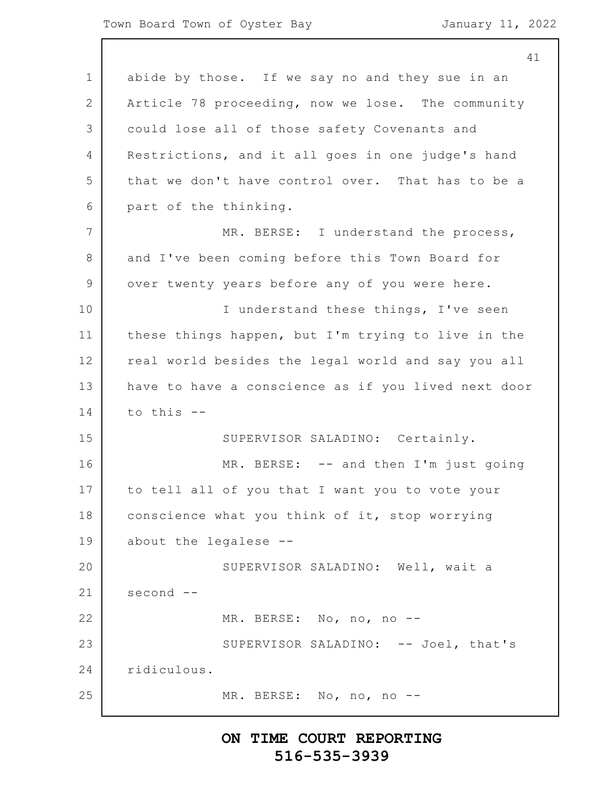|                | ㄱ.                                                  |
|----------------|-----------------------------------------------------|
| $\mathbf 1$    | abide by those. If we say no and they sue in an     |
| 2              | Article 78 proceeding, now we lose. The community   |
| 3              | could lose all of those safety Covenants and        |
| 4              | Restrictions, and it all goes in one judge's hand   |
| 5              | that we don't have control over. That has to be a   |
| 6              | part of the thinking.                               |
| $7\phantom{.}$ | MR. BERSE: I understand the process,                |
| 8              | and I've been coming before this Town Board for     |
| 9              | over twenty years before any of you were here.      |
| 10             | I understand these things, I've seen                |
| 11             | these things happen, but I'm trying to live in the  |
| 12             | real world besides the legal world and say you all  |
| 13             | have to have a conscience as if you lived next door |
| 14             | to this --                                          |
| 15             | SUPERVISOR SALADINO: Certainly.                     |
| 16             | MR. BERSE: -- and then I'm just going               |
| 17             | to tell all of you that I want you to vote your     |
| 18             | conscience what you think of it, stop worrying      |
| 19             | about the legalese --                               |
| 20             | SUPERVISOR SALADINO: Well, wait a                   |
| 21             | second --                                           |
| 22             | MR. BERSE: No, no, no --                            |
| 23             | SUPERVISOR SALADINO: -- Joel, that's                |
| 24             | ridiculous.                                         |
| 25             | MR. BERSE: No, no, no --                            |
|                |                                                     |

# **ON TIME COURT REPORTING 516-535-3939**

41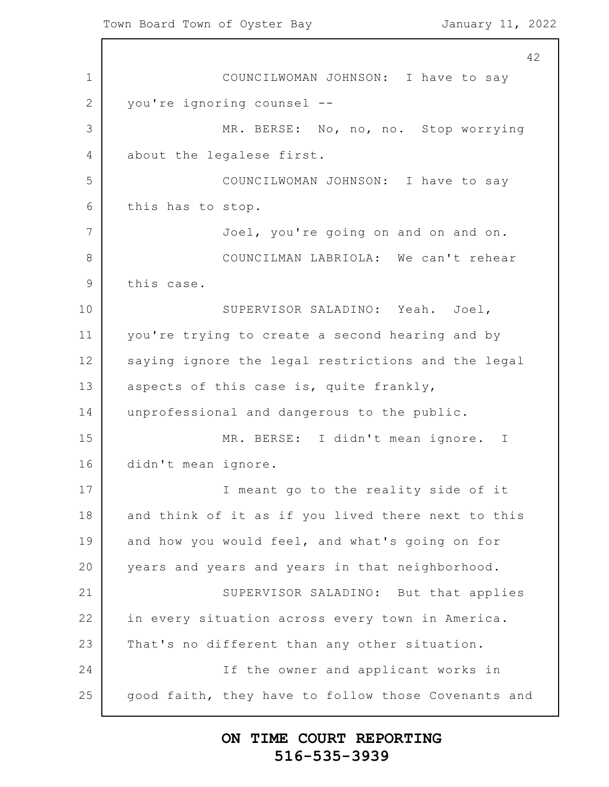1 2 3 4 5 6 7 8 9 10 11 12 13 14 15 16 17 18 19 20 21 22 23 24 25 42 COUNCILWOMAN JOHNSON: I have to say you're ignoring counsel -- MR. BERSE: No, no, no. Stop worrying about the legalese first. COUNCILWOMAN JOHNSON: I have to say this has to stop. Joel, you're going on and on and on. COUNCILMAN LABRIOLA: We can't rehear this case. SUPERVISOR SALADINO: Yeah. Joel, you're trying to create a second hearing and by saying ignore the legal restrictions and the legal aspects of this case is, quite frankly, unprofessional and dangerous to the public. MR. BERSE: I didn't mean ignore. I didn't mean ignore. I meant go to the reality side of it and think of it as if you lived there next to this and how you would feel, and what's going on for years and years and years in that neighborhood. SUPERVISOR SALADINO: But that applies in every situation across every town in America. That's no different than any other situation. If the owner and applicant works in good faith, they have to follow those Covenants and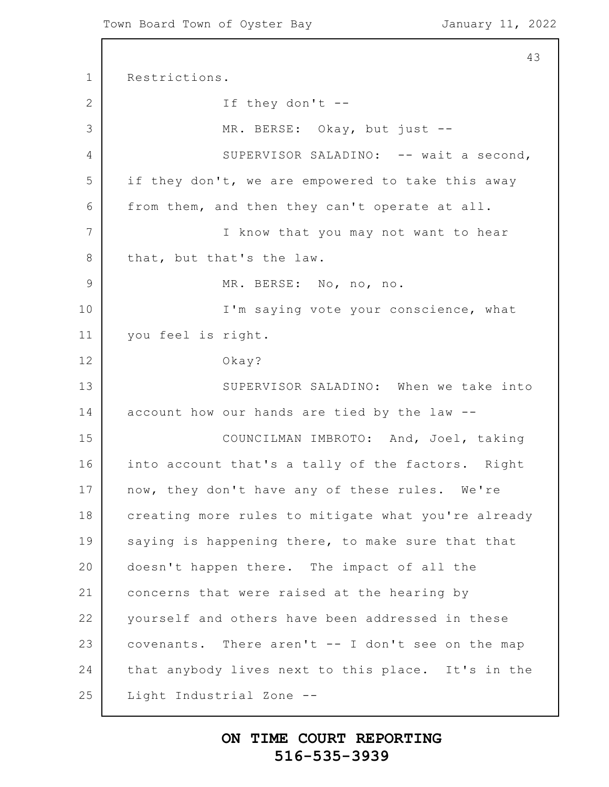```
1
2
3
4
5
6
7
8
9
10
11
12
13
14
15
16
17
18
19
20
21
22
23
24
25
                                                          43
      Restrictions.
                  If they don't --
                  MR. BERSE: Okay, but just --
                  SUPERVISOR SALADINO: -- wait a second,
      if they don't, we are empowered to take this away
      from them, and then they can't operate at all.
                  I know that you may not want to hear
      that, but that's the law.
                  MR. BERSE: No, no, no.
                  I'm saying vote your conscience, what
      you feel is right.
                  Okay?
                  SUPERVISOR SALADINO: When we take into
      account how our hands are tied by the law --
                  COUNCILMAN IMBROTO: And, Joel, taking
      into account that's a tally of the factors. Right
      now, they don't have any of these rules. We're
      creating more rules to mitigate what you're already
      saying is happening there, to make sure that that
      doesn't happen there. The impact of all the
      concerns that were raised at the hearing by
      yourself and others have been addressed in these
      covenants. There aren't -- I don't see on the map
      that anybody lives next to this place. It's in the
      Light Industrial Zone --
```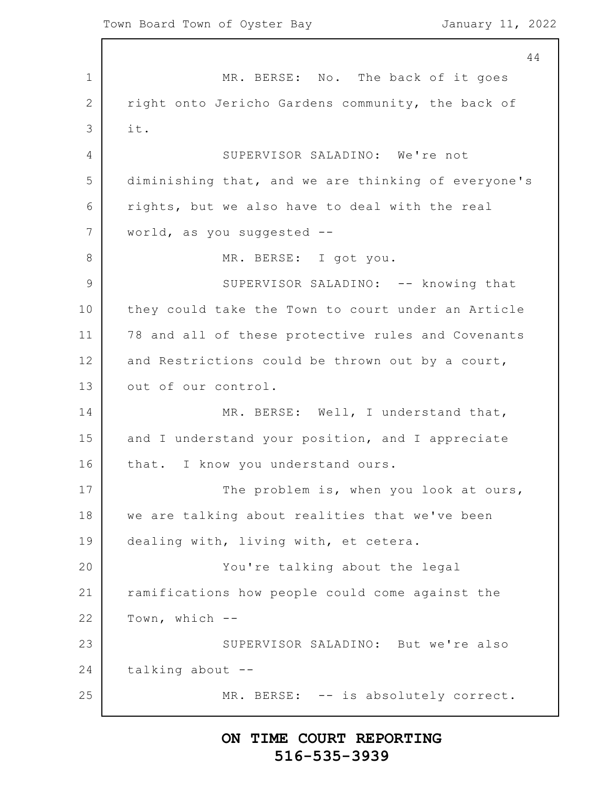1 2 3 4 5 6 7 8 9 10 11 12 13 14 15 16 17 18 19 20 21 22 23 24 25 44 MR. BERSE: No. The back of it goes right onto Jericho Gardens community, the back of it. SUPERVISOR SALADINO: We're not diminishing that, and we are thinking of everyone's rights, but we also have to deal with the real world, as you suggested -- MR. BERSE: I got you. SUPERVISOR SALADINO: -- knowing that they could take the Town to court under an Article 78 and all of these protective rules and Covenants and Restrictions could be thrown out by a court, out of our control. MR. BERSE: Well, I understand that, and I understand your position, and I appreciate that. I know you understand ours. The problem is, when you look at ours, we are talking about realities that we've been dealing with, living with, et cetera. You're talking about the legal ramifications how people could come against the Town, which -- SUPERVISOR SALADINO: But we're also talking about -- MR. BERSE: -- is absolutely correct.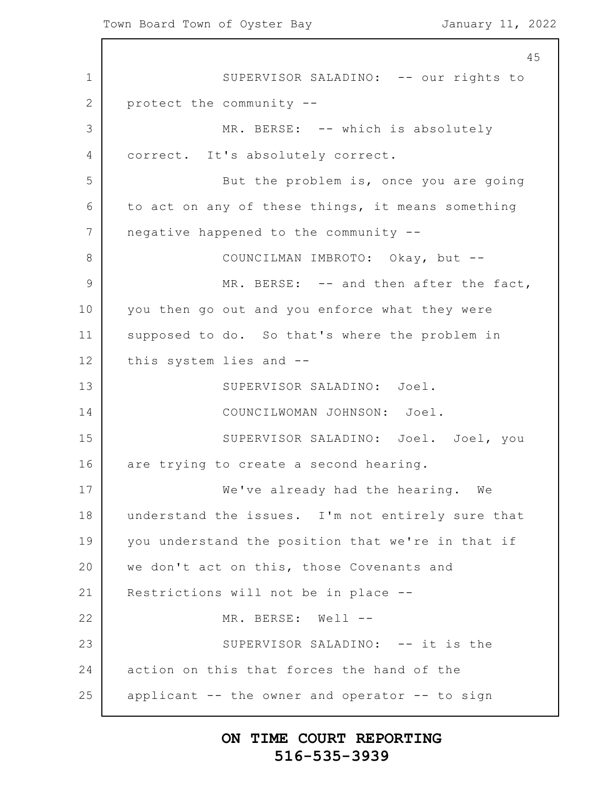1 2 3 4 5 6 7 8 9 10 11 12 13 14 15 16 17 18 19 20 21 22 23 24 25 45 SUPERVISOR SALADINO: -- our rights to protect the community -- MR. BERSE: -- which is absolutely correct. It's absolutely correct. But the problem is, once you are going to act on any of these things, it means something negative happened to the community -- COUNCILMAN IMBROTO: Okay, but -- MR. BERSE: -- and then after the fact, you then go out and you enforce what they were supposed to do. So that's where the problem in this system lies and -- SUPERVISOR SALADINO: Joel. COUNCILWOMAN JOHNSON: Joel. SUPERVISOR SALADINO: Joel. Joel, you are trying to create a second hearing. We've already had the hearing. We understand the issues. I'm not entirely sure that you understand the position that we're in that if we don't act on this, those Covenants and Restrictions will not be in place -- MR. BERSE: Well --SUPERVISOR SALADINO: -- it is the action on this that forces the hand of the applicant -- the owner and operator -- to sign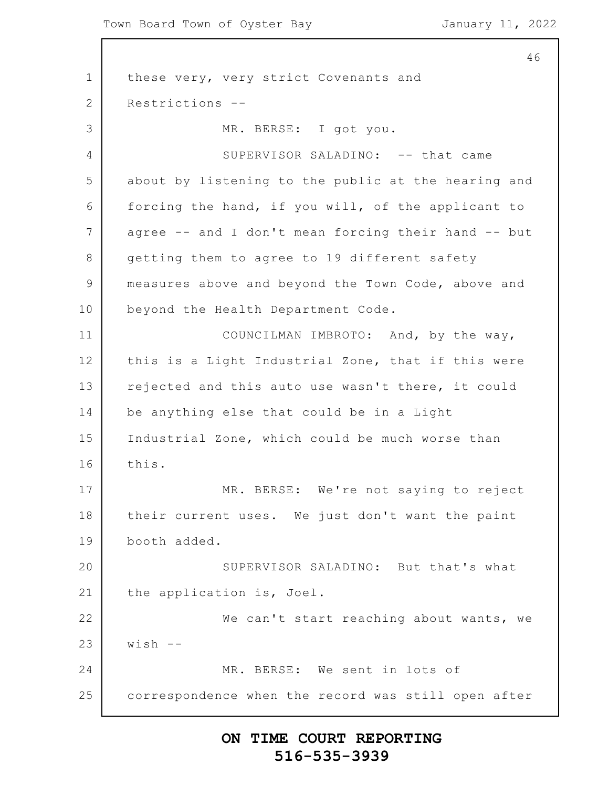1 2 3 4 5 6 7 8 9 10 11 12 13 14 15 16 17 18 19 20 21 22 23 24 25 46 these very, very strict Covenants and Restrictions -- MR. BERSE: I got you. SUPERVISOR SALADINO: -- that came about by listening to the public at the hearing and forcing the hand, if you will, of the applicant to agree -- and I don't mean forcing their hand -- but getting them to agree to 19 different safety measures above and beyond the Town Code, above and beyond the Health Department Code. COUNCILMAN IMBROTO: And, by the way, this is a Light Industrial Zone, that if this were rejected and this auto use wasn't there, it could be anything else that could be in a Light Industrial Zone, which could be much worse than this. MR. BERSE: We're not saying to reject their current uses. We just don't want the paint booth added. SUPERVISOR SALADINO: But that's what the application is, Joel. We can't start reaching about wants, we  $wish$  --MR. BERSE: We sent in lots of correspondence when the record was still open after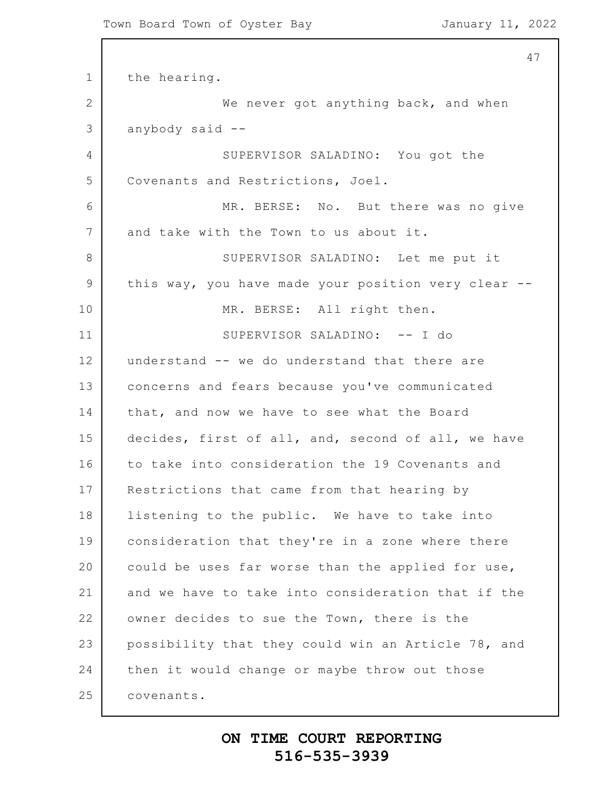1 2 3 4 5 6 7 8 9 10 11 12 13 14 15 16 17 18 19 20 21 22 23 24 25 47 the hearing. We never got anything back, and when anybody said -- SUPERVISOR SALADINO: You got the Covenants and Restrictions, Joel. MR. BERSE: No. But there was no give and take with the Town to us about it. SUPERVISOR SALADINO: Let me put it this way, you have made your position very clear -- MR. BERSE: All right then. SUPERVISOR SALADINO: -- I do understand -- we do understand that there are concerns and fears because you've communicated that, and now we have to see what the Board decides, first of all, and, second of all, we have to take into consideration the 19 Covenants and Restrictions that came from that hearing by listening to the public. We have to take into consideration that they're in a zone where there could be uses far worse than the applied for use, and we have to take into consideration that if the owner decides to sue the Town, there is the possibility that they could win an Article 78, and then it would change or maybe throw out those covenants.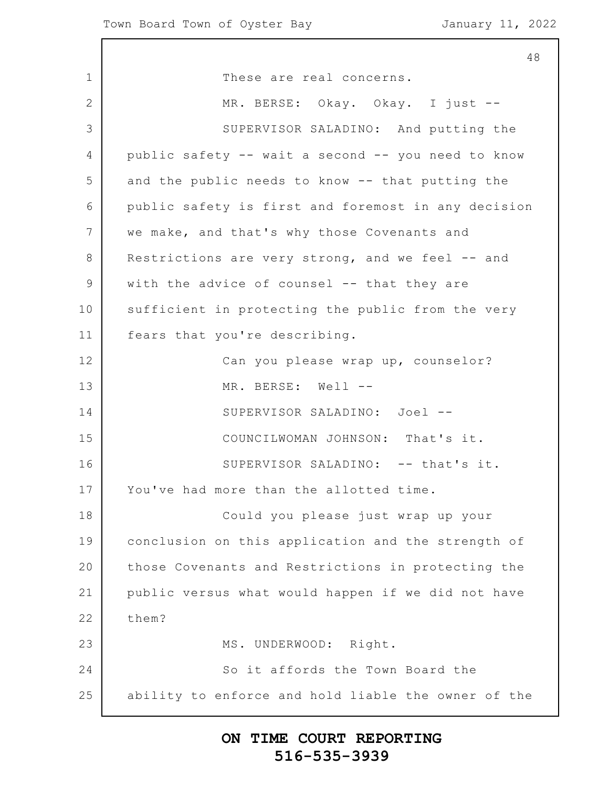1 2 3 4 5 6 7 8 9 10 11 12 13 14 15 16 17 18 19 20 21 22 23 24 25 48 These are real concerns. MR. BERSE: Okay. Okay. I just -- SUPERVISOR SALADINO: And putting the public safety -- wait a second -- you need to know and the public needs to know -- that putting the public safety is first and foremost in any decision we make, and that's why those Covenants and Restrictions are very strong, and we feel -- and with the advice of counsel -- that they are sufficient in protecting the public from the very fears that you're describing. Can you please wrap up, counselor? MR. BERSE: Well --SUPERVISOR SALADINO: Joel -- COUNCILWOMAN JOHNSON: That's it. SUPERVISOR SALADINO: -- that's it. You've had more than the allotted time. Could you please just wrap up your conclusion on this application and the strength of those Covenants and Restrictions in protecting the public versus what would happen if we did not have them? MS. UNDERWOOD: Right. So it affords the Town Board the ability to enforce and hold liable the owner of the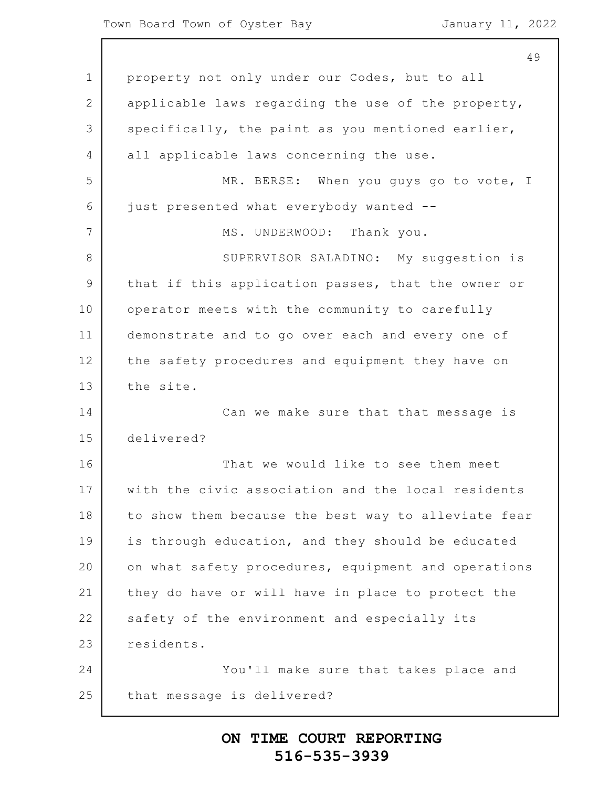#### Town Board Town of Oyster Bay January 11, 2022

|                | 49                                                  |
|----------------|-----------------------------------------------------|
| $\mathbf 1$    | property not only under our Codes, but to all       |
| $\mathbf{2}$   | applicable laws regarding the use of the property,  |
| 3              | specifically, the paint as you mentioned earlier,   |
| 4              | all applicable laws concerning the use.             |
| 5              | MR. BERSE: When you guys go to vote, I              |
| 6              | just presented what everybody wanted --             |
| $\overline{7}$ | MS. UNDERWOOD: Thank you.                           |
| 8              | SUPERVISOR SALADINO: My suggestion is               |
| $\mathcal{G}$  | that if this application passes, that the owner or  |
| 10             | operator meets with the community to carefully      |
| 11             | demonstrate and to go over each and every one of    |
| 12             | the safety procedures and equipment they have on    |
| 13             | the site.                                           |
| 14             | Can we make sure that that message is               |
| 15             | delivered?                                          |
| 16             | That we would like to see them meet                 |
| 17             | with the civic association and the local residents  |
| 18             | to show them because the best way to alleviate fear |
| 19             | is through education, and they should be educated   |
| 20             | on what safety procedures, equipment and operations |
| 21             | they do have or will have in place to protect the   |
| 22             | safety of the environment and especially its        |
| 23             | residents.                                          |
| 24             | You'll make sure that takes place and               |
| 25             | that message is delivered?                          |
|                |                                                     |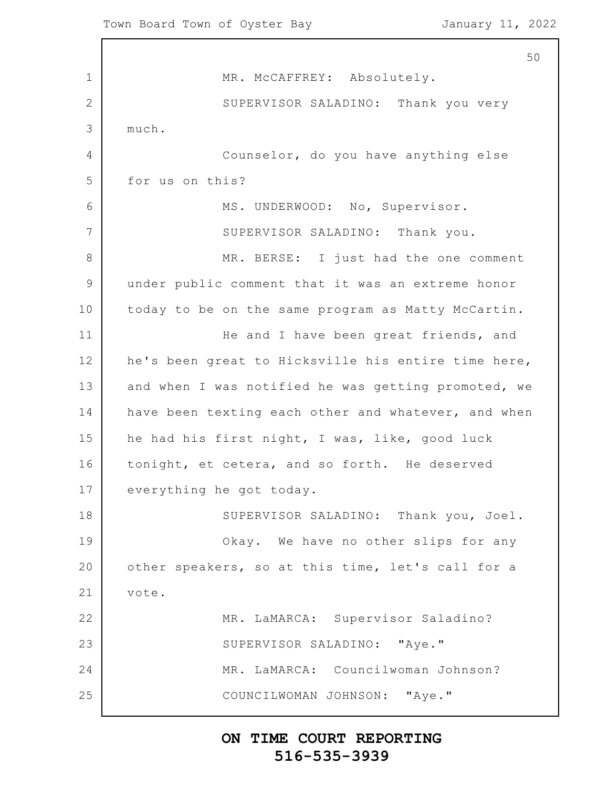1 2 3 4 5 6 7 8 9 10 11 12 13 14 15 16 17 18 19 20 21 22 23 24 25 50 MR. McCAFFREY: Absolutely. SUPERVISOR SALADINO: Thank you very much. Counselor, do you have anything else for us on this? MS. UNDERWOOD: No, Supervisor. SUPERVISOR SALADINO: Thank you. MR. BERSE: I just had the one comment under public comment that it was an extreme honor today to be on the same program as Matty McCartin. He and I have been great friends, and he's been great to Hicksville his entire time here, and when I was notified he was getting promoted, we have been texting each other and whatever, and when he had his first night, I was, like, good luck tonight, et cetera, and so forth. He deserved everything he got today. SUPERVISOR SALADINO: Thank you, Joel. Okay. We have no other slips for any other speakers, so at this time, let's call for a vote. MR. LaMARCA: Supervisor Saladino? SUPERVISOR SALADINO: "Aye." MR. LaMARCA: Councilwoman Johnson? COUNCILWOMAN JOHNSON: "Aye."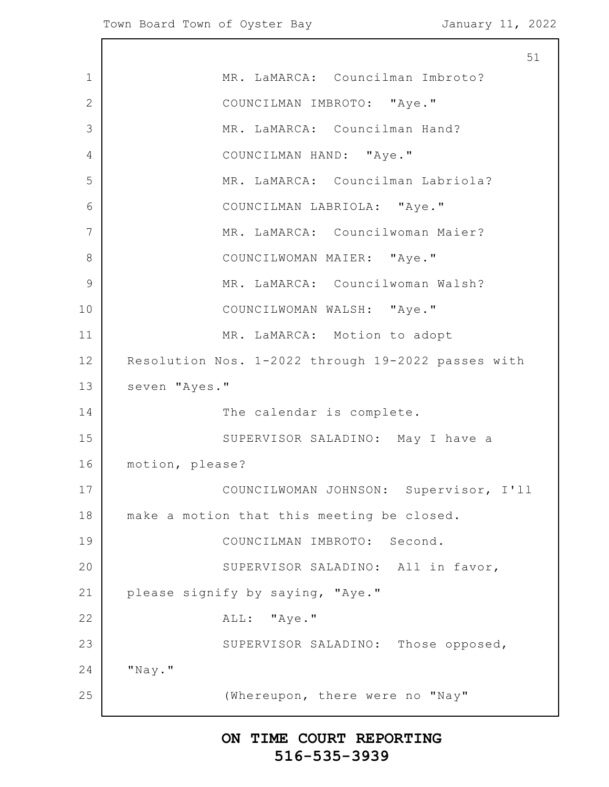1 2 3 4 5 6 7 8 9 10 11 12 13 14 15 16 17 18 19 20 21 22 23 24 25 51 MR. LaMARCA: Councilman Imbroto? COUNCILMAN IMBROTO: "Aye." MR. LaMARCA: Councilman Hand? COUNCILMAN HAND: "Aye." MR. LaMARCA: Councilman Labriola? COUNCILMAN LABRIOLA: "Aye." MR. LaMARCA: Councilwoman Maier? COUNCILWOMAN MAIER: "Aye." MR. LaMARCA: Councilwoman Walsh? COUNCILWOMAN WALSH: "Aye." MR. LaMARCA: Motion to adopt Resolution Nos. 1-2022 through 19-2022 passes with seven "Ayes." The calendar is complete. SUPERVISOR SALADINO: May I have a motion, please? COUNCILWOMAN JOHNSON: Supervisor, I'll make a motion that this meeting be closed. COUNCILMAN IMBROTO: Second. SUPERVISOR SALADINO: All in favor, please signify by saying, "Aye." ALL: "Aye." SUPERVISOR SALADINO: Those opposed, "Nay." (Whereupon, there were no "Nay"

## **ON TIME COURT REPORTING 516-535-3939**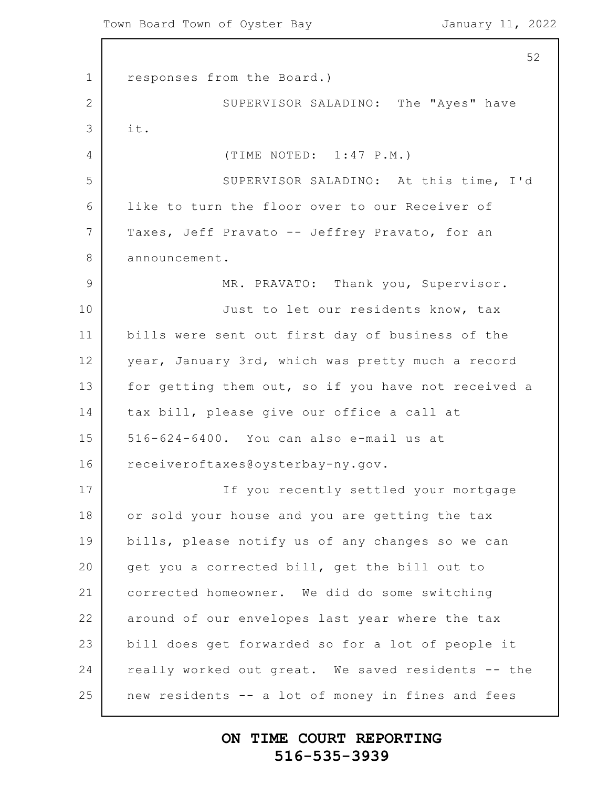1 2 3 4 5 6 7 8 9 10 11 12 13 14 15 16 17 18 19 20 21 22 23 24 25 responses from the Board.) SUPERVISOR SALADINO: The "Ayes" have it. (TIME NOTED: 1:47 P.M.) SUPERVISOR SALADINO: At this time, I'd like to turn the floor over to our Receiver of Taxes, Jeff Pravato -- Jeffrey Pravato, for an announcement. MR. PRAVATO: Thank you, Supervisor. Just to let our residents know, tax bills were sent out first day of business of the year, January 3rd, which was pretty much a record for getting them out, so if you have not received a tax bill, please give our office a call at 516-624-6400. You can also e-mail us at receiveroftaxes@oysterbay-ny.gov. If you recently settled your mortgage or sold your house and you are getting the tax bills, please notify us of any changes so we can get you a corrected bill, get the bill out to corrected homeowner. We did do some switching around of our envelopes last year where the tax bill does get forwarded so for a lot of people it really worked out great. We saved residents -- the new residents -- a lot of money in fines and fees

## **ON TIME COURT REPORTING 516-535-3939**

52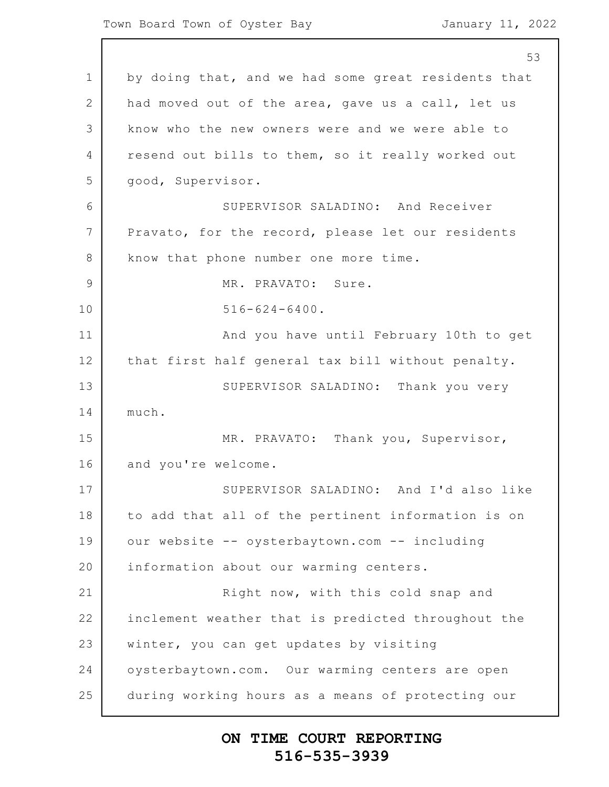1 2 3 4 5 6 7 8 9 10 11 12 13 14 15 16 17 18 19 20 21 22 23 24 25 53 by doing that, and we had some great residents that had moved out of the area, gave us a call, let us know who the new owners were and we were able to resend out bills to them, so it really worked out good, Supervisor. SUPERVISOR SALADINO: And Receiver Pravato, for the record, please let our residents know that phone number one more time. MR. PRAVATO: Sure. 516-624-6400. And you have until February 10th to get that first half general tax bill without penalty. SUPERVISOR SALADINO: Thank you very much. MR. PRAVATO: Thank you, Supervisor, and you're welcome. SUPERVISOR SALADINO: And I'd also like to add that all of the pertinent information is on our website -- oysterbaytown.com -- including information about our warming centers. Right now, with this cold snap and inclement weather that is predicted throughout the winter, you can get updates by visiting oysterbaytown.com. Our warming centers are open during working hours as a means of protecting our

## **ON TIME COURT REPORTING 516-535-3939**